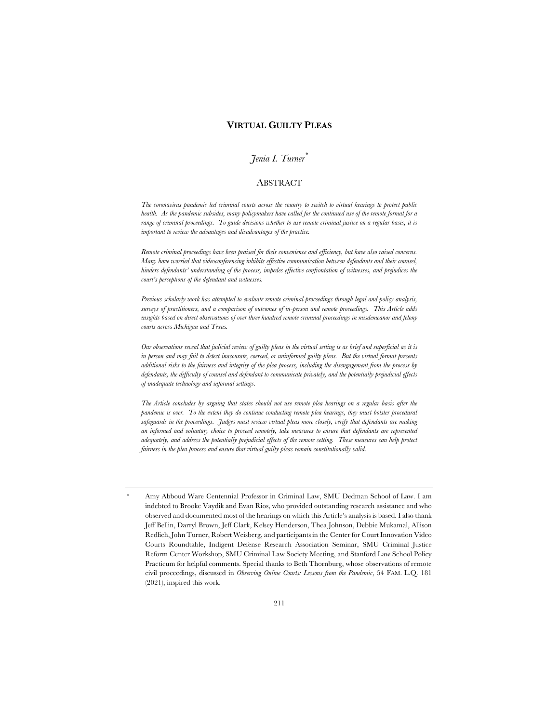# **VIRTUAL GUILTY PLEAS**

# *Jenia I. Turner\**

#### ABSTRACT

*The coronavirus pandemic led criminal courts across the country to switch to virtual hearings to protect public health. As the pandemic subsides, many policymakers have called for the continued use of the remote format for a range of criminal proceedings. To guide decisions whether to use remote criminal justice on a regular basis, it is important to review the advantages and disadvantages of the practice.*

*Remote criminal proceedings have been praised for their convenience and efficiency, but have also raised concerns. Many have worried that videoconferencing inhibits effective communication between defendants and their counsel, hinders defendants' understanding of the process, impedes effective confrontation of witnesses, and prejudices the court's perceptions of the defendant and witnesses.*

*Previous scholarly work has attempted to evaluate remote criminal proceedings through legal and policy analysis, surveys of practitioners, and a comparison of outcomes of in-person and remote proceedings. This Article adds insights based on direct observations of over three hundred remote criminal proceedings in misdemeanor and felony courts across Michigan and Texas.*

*Our observations reveal that judicial review of guilty pleas in the virtual setting is as brief and superficial as it is in person and may fail to detect inaccurate, coerced, or uninformed guilty pleas. But the virtual format presents additional risks to the fairness and integrity of the plea process, including the disengagement from the process by defendants, the difficulty of counsel and defendant to communicate privately, and the potentially prejudicial effects of inadequate technology and informal settings.*

*The Article concludes by arguing that states should not use remote plea hearings on a regular basis after the pandemic is over. To the extent they do continue conducting remote plea hearings, they must bolster procedural safeguards in the proceedings. Judges must review virtual pleas more closely, verify that defendants are making an informed and voluntary choice to proceed remotely, take measures to ensure that defendants are represented adequately, and address the potentially prejudicial effects of the remote setting. These measures can help protect fairness in the plea process and ensure that virtual guilty pleas remain constitutionally valid.*

Amy Abboud Ware Centennial Professor in Criminal Law, SMU Dedman School of Law. I am indebted to Brooke Vaydik and Evan Rios, who provided outstanding research assistance and who observed and documented most of the hearings on which this Article's analysis is based. I also thank Jeff Bellin, Darryl Brown, Jeff Clark, Kelsey Henderson, Thea Johnson, Debbie Mukamal, Allison Redlich, John Turner, Robert Weisberg, and participants in the Center for Court Innovation Video Courts Roundtable, Indigent Defense Research Association Seminar, SMU Criminal Justice Reform Center Workshop, SMU Criminal Law Society Meeting, and Stanford Law School Policy Practicum for helpful comments. Special thanks to Beth Thornburg, whose observations of remote civil proceedings, discussed in *Observing Online Courts: Lessons from the Pandemic*, 54 FAM. L.Q. 181 (2021), inspired this work.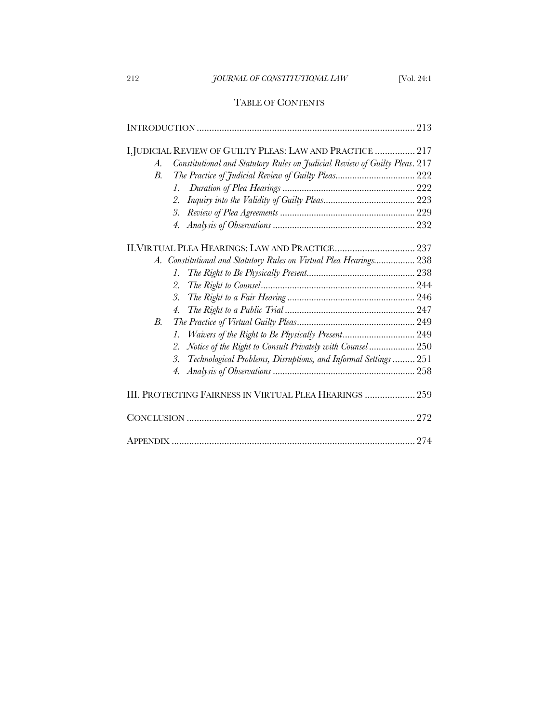# 212 *JOURNAL OF CONSTITUTIONAL LAW* [Vol. 24:1

# TABLE OF CONTENTS

| I.JUDICIAL REVIEW OF GUILTY PLEAS: LAW AND PRACTICE  217                         |  |
|----------------------------------------------------------------------------------|--|
| Constitutional and Statutory Rules on Judicial Review of Guilty Pleas. 217<br>A. |  |
| <i>B</i> .                                                                       |  |
| $\mathcal{I}$ .                                                                  |  |
| 2.                                                                               |  |
| 3.                                                                               |  |
|                                                                                  |  |
| 4.                                                                               |  |
|                                                                                  |  |
| A. Constitutional and Statutory Rules on Virtual Plea Hearings 238               |  |
| $\mathcal{I}$ .                                                                  |  |
| 2.                                                                               |  |
| 3.                                                                               |  |
| $\overline{4}$ .                                                                 |  |
| $B_{\cdot}$                                                                      |  |
| $\mathcal{I}$ .                                                                  |  |
| Notice of the Right to Consult Privately with Counsel 250<br>2.                  |  |
| Technological Problems, Disruptions, and Informal Settings  251<br>3.            |  |
| 4.                                                                               |  |
|                                                                                  |  |
| III. PROTECTING FAIRNESS IN VIRTUAL PLEA HEARINGS  259                           |  |
|                                                                                  |  |
|                                                                                  |  |
|                                                                                  |  |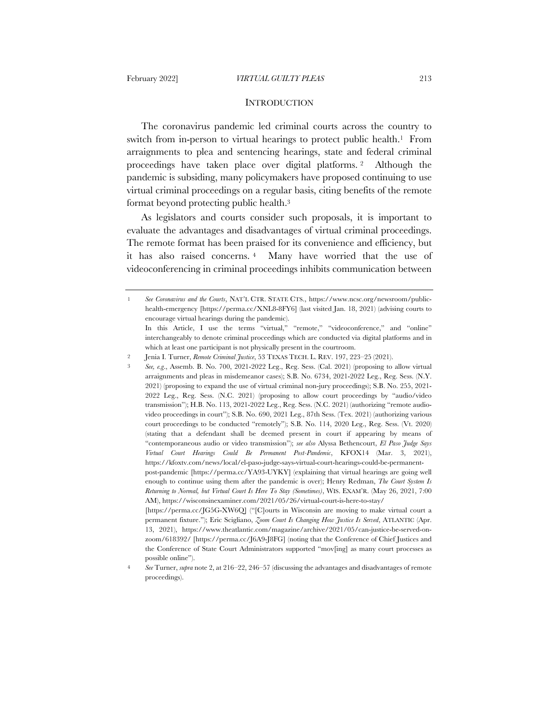#### **INTRODUCTION**

The coronavirus pandemic led criminal courts across the country to switch from in-person to virtual hearings to protect public health.1 From arraignments to plea and sentencing hearings, state and federal criminal proceedings have taken place over digital platforms. <sup>2</sup> Although the pandemic is subsiding, many policymakers have proposed continuing to use virtual criminal proceedings on a regular basis, citing benefits of the remote format beyond protecting public health.3

As legislators and courts consider such proposals, it is important to evaluate the advantages and disadvantages of virtual criminal proceedings. The remote format has been praised for its convenience and efficiency, but it has also raised concerns. <sup>4</sup> Many have worried that the use of videoconferencing in criminal proceedings inhibits communication between

<sup>1</sup> *See Coronavirus and the Courts*, NAT'L CTR. STATE CTS., https://www.ncsc.org/newsroom/publichealth-emergency [https://perma.cc/XNL8-8FY6] (last visited Jan. 18, 2021) (advising courts to encourage virtual hearings during the pandemic).

In this Article, I use the terms "virtual," "remote," "videoconference," and "online" interchangeably to denote criminal proceedings which are conducted via digital platforms and in which at least one participant is not physically present in the courtroom.

<sup>2</sup> Jenia I. Turner, *Remote Criminal Justice*, 53 TEXAS TECH. L. REV. 197, 223–25 (2021).

<sup>3</sup> *See, e.g*., Assemb. B. No. 700, 2021-2022 Leg., Reg. Sess. (Cal. 2021) (proposing to allow virtual arraignments and pleas in misdemeanor cases); S.B. No. 6734, 2021-2022 Leg., Reg. Sess. (N.Y. 2021) (proposing to expand the use of virtual criminal non-jury proceedings); S.B. No. 255, 2021- 2022 Leg., Reg. Sess. (N.C. 2021) (proposing to allow court proceedings by "audio/video transmission"); H.B. No. 113, 2021-2022 Leg., Reg. Sess. (N.C. 2021) (authorizing "remote audiovideo proceedings in court"); S.B. No. 690, 2021 Leg., 87th Sess. (Tex. 2021) (authorizing various court proceedings to be conducted "remotely"); S.B. No. 114, 2020 Leg., Reg. Sess. (Vt. 2020) (stating that a defendant shall be deemed present in court if appearing by means of "contemporaneous audio or video transmission"); *see also* Alyssa Bethencourt, *El Paso Judge Says Virtual Court Hearings Could Be Permanent Post-Pandemic*, KFOX14 (Mar. 3, 2021), https://kfoxtv.com/news/local/el-paso-judge-says-virtual-court-hearings-could-be-permanentpost-pandemic [https://perma.cc/YA93-UYKY] (explaining that virtual hearings are going well enough to continue using them after the pandemic is over); Henry Redman, *The Court System Is Returning to Normal, but Virtual Court Is Here To Stay (Sometimes)*, WIS. EXAM'R. (May 26, 2021, 7:00 AM), https://wisconsinexaminer.com/2021/05/26/virtual-court-is-here-to-stay/

<sup>[</sup>https://perma.cc/JG5G-XW6Q] ("[C]ourts in Wisconsin are moving to make virtual court a permanent fixture."); Eric Scigliano, *Zoom Court Is Changing How Justice Is Served*, ATLANTIC (Apr. 13, 2021), https://www.theatlantic.com/magazine/archive/2021/05/can-justice-be-served-onzoom/618392/ [https://perma.cc/J6A9-J8FG] (noting that the Conference of Chief Justices and the Conference of State Court Administrators supported "mov[ing] as many court processes as possible online").

<sup>4</sup> *See* Turner, *supra* note 2, at 216–22, 246–57 (discussing the advantages and disadvantages of remote proceedings).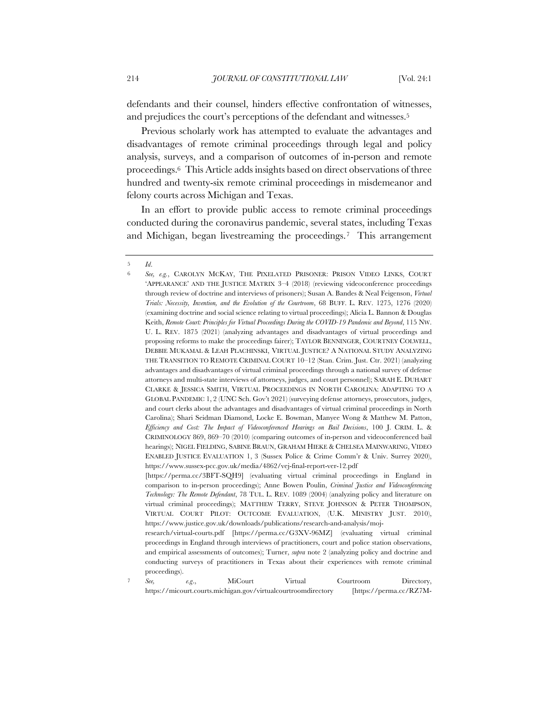defendants and their counsel, hinders effective confrontation of witnesses, and prejudices the court's perceptions of the defendant and witnesses.5

Previous scholarly work has attempted to evaluate the advantages and disadvantages of remote criminal proceedings through legal and policy analysis, surveys, and a comparison of outcomes of in-person and remote proceedings.6 This Article adds insights based on direct observations of three hundred and twenty-six remote criminal proceedings in misdemeanor and felony courts across Michigan and Texas.

In an effort to provide public access to remote criminal proceedings conducted during the coronavirus pandemic, several states, including Texas and Michigan, began livestreaming the proceedings.7 This arrangement

*See,* e.g., MiCourt Virtual Courtroom Directory, https://micourt.courts.michigan.gov/virtualcourtroomdirectory [https://perma.cc/RZ7M-

<sup>5</sup> *Id*.

<sup>6</sup> *See, e.g.*, CAROLYN MCKAY, THE PIXELATED PRISONER: PRISON VIDEO LINKS, COURT 'APPEARANCE' AND THE JUSTICE MATRIX 3–4 (2018) (reviewing videoconference proceedings through review of doctrine and interviews of prisoners); Susan A. Bandes & Neal Feigenson, *Virtual Trials: Necessity, Invention, and the Evolution of the Courtroom*, 68 BUFF. L. REV. 1275, 1276 (2020) (examining doctrine and social science relating to virtual proceedings); Alicia L. Bannon & Douglas Keith, *Remote Court: Principles for Virtual Proceedings During the COVID-19 Pandemic and Beyond*, 115 NW. U. L. REV. 1875 (2021) (analyzing advantages and disadvantages of virtual proceedings and proposing reforms to make the proceedings fairer); TAYLOR BENNINGER, COURTNEY COLWELL, DEBBIE MUKAMAL & LEAH PLACHINSKI, VIRTUAL JUSTICE? A NATIONAL STUDY ANALYZING THE TRANSITION TO REMOTE CRIMINAL COURT 10–12 (Stan. Crim. Just. Ctr. 2021) (analyzing advantages and disadvantages of virtual criminal proceedings through a national survey of defense attorneys and multi-state interviews of attorneys, judges, and court personnel); SARAH E. DUHART CLARKE & JESSICA SMITH, VIRTUAL PROCEEDINGS IN NORTH CAROLINA: ADAPTING TO A GLOBAL PANDEMIC 1, 2 (UNC Sch. Gov't 2021) (surveying defense attorneys, prosecutors, judges, and court clerks about the advantages and disadvantages of virtual criminal proceedings in North Carolina); Shari Seidman Diamond, Locke E. Bowman, Manyee Wong & Matthew M. Patton, *Efficiency and Cost: The Impact of Videoconferenced Hearings on Bail Decisions*, 100 J. CRIM. L. & CRIMINOLOGY 869, 869–70 (2010) (comparing outcomes of in-person and videoconferenced bail hearings); NIGEL FIELDING, SABINE BRAUN, GRAHAM HIEKE & CHELSEA MAINWARING, VIDEO ENABLED JUSTICE EVALUATION 1, 3 (Sussex Police & Crime Comm'r & Univ. Surrey 2020), https://www.sussex-pcc.gov.uk/media/4862/vej-final-report-ver-12.pdf

<sup>[</sup>https://perma.cc/3BFT-SQH9] (evaluating virtual criminal proceedings in England in comparison to in-person proceedings); Anne Bowen Poulin, *Criminal Justice and Videoconferencing Technology: The Remote Defendant*, 78 TUL. L. REV. 1089 (2004) (analyzing policy and literature on virtual criminal proceedings); MATTHEW TERRY, STEVE JOHNSON & PETER THOMPSON, VIRTUAL COURT PILOT: OUTCOME EVALUATION, (U.K. MINISTRY JUST. 2010), https://www.justice.gov.uk/downloads/publications/research-and-analysis/moj-

research/virtual-courts.pdf [https://perma.cc/G3XV-96MZ] (evaluating virtual criminal proceedings in England through interviews of practitioners, court and police station observations, and empirical assessments of outcomes); Turner, *supra* note 2 (analyzing policy and doctrine and conducting surveys of practitioners in Texas about their experiences with remote criminal proceedings).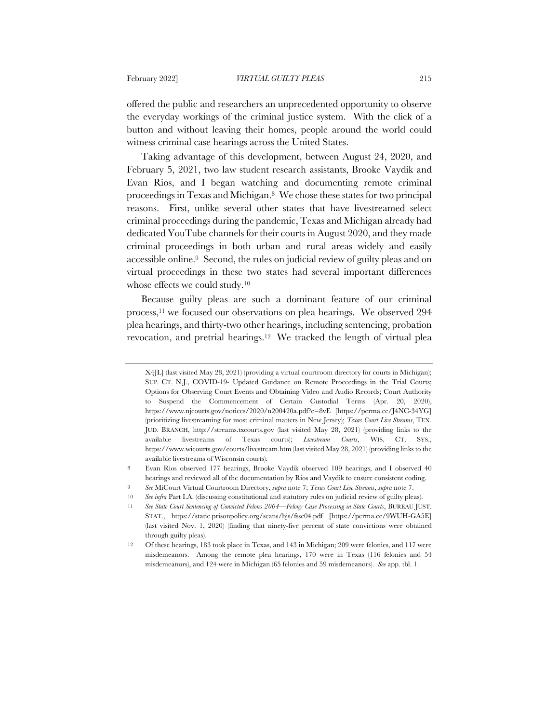offered the public and researchers an unprecedented opportunity to observe the everyday workings of the criminal justice system. With the click of a button and without leaving their homes, people around the world could witness criminal case hearings across the United States.

Taking advantage of this development, between August 24, 2020, and February 5, 2021, two law student research assistants, Brooke Vaydik and Evan Rios, and I began watching and documenting remote criminal proceedings in Texas and Michigan.8 We chose these states for two principal reasons. First, unlike several other states that have livestreamed select criminal proceedings during the pandemic, Texas and Michigan already had dedicated YouTube channels for their courts in August 2020, and they made criminal proceedings in both urban and rural areas widely and easily accessible online.9 Second, the rules on judicial review of guilty pleas and on virtual proceedings in these two states had several important differences whose effects we could study.10

Because guilty pleas are such a dominant feature of our criminal process,<sup>11</sup> we focused our observations on plea hearings. We observed 294 plea hearings, and thirty-two other hearings, including sentencing, probation revocation, and pretrial hearings.12 We tracked the length of virtual plea

X4JL] (last visited May 28, 2021) (providing a virtual courtroom directory for courts in Michigan); SUP. CT. N.J., COVID-19- Updated Guidance on Remote Proceedings in the Trial Courts; Options for Observing Court Events and Obtaining Video and Audio Records; Court Authority to Suspend the Commencement of Certain Custodial Terms (Apr. 20, 2020), https://www.njcourts.gov/notices/2020/n200420a.pdf?c=8vE [https://perma.cc/J4NC-34YG] (prioritizing livestreaming for most criminal matters in New Jersey); *Texas Court Live Streams*, TEX. JUD. BRANCH, http://streams.txcourts.gov (last visited May 28, 2021) (providing links to the available livestreams of Texas courts); *Livestream Courts*, WIS. CT. SYS., https://www.wicourts.gov/courts/livestream.htm (last visited May 28, 2021) (providing links to the available livestreams of Wisconsin courts).

<sup>8</sup> Evan Rios observed 177 hearings, Brooke Vaydik observed 109 hearings, and I observed 40 hearings and reviewed all of the documentation by Rios and Vaydik to ensure consistent coding.

<sup>9</sup> *See* MiCourt Virtual Courtroom Directory, *supra* note 7; *Texas Court Live Streams*, *supra* note 7.

<sup>10</sup> *See infra* Part I.A. (discussing constitutional and statutory rules on judicial review of guilty pleas).

<sup>11</sup> *See State Court Sentencing of Convicted Felons 2004—Felony Case Processing in State Courts*, BUREAU JUST. STAT., https://static.prisonpolicy.org/scans/bjs/fssc04.pdf [https://perma.cc/9WUH-GA5E] (last visited Nov. 1, 2020) (finding that ninety-five percent of state convictions were obtained through guilty pleas).

<sup>12</sup> Of these hearings, 183 took place in Texas, and 143 in Michigan; 209 were felonies, and 117 were misdemeanors. Among the remote plea hearings, 170 were in Texas (116 felonies and 54 misdemeanors), and 124 were in Michigan (65 felonies and 59 misdemeanors). *See* app. tbl. 1.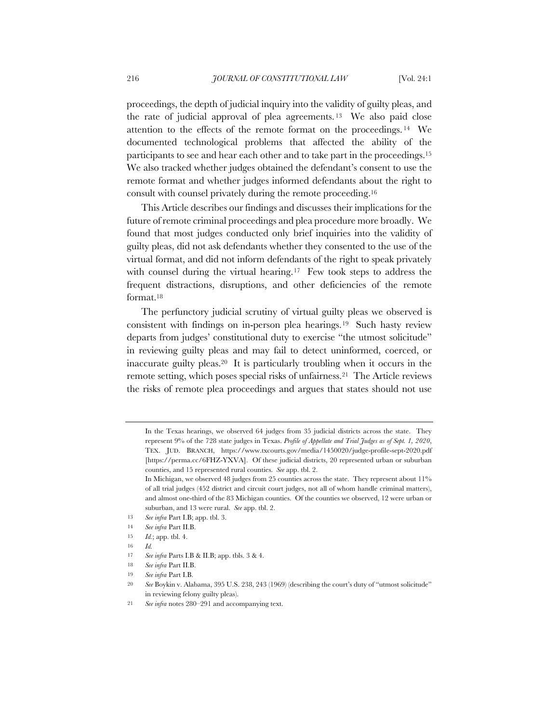proceedings, the depth of judicial inquiry into the validity of guilty pleas, and the rate of judicial approval of plea agreements. <sup>13</sup> We also paid close attention to the effects of the remote format on the proceedings. <sup>14</sup> We documented technological problems that affected the ability of the participants to see and hear each other and to take part in the proceedings.15 We also tracked whether judges obtained the defendant's consent to use the remote format and whether judges informed defendants about the right to consult with counsel privately during the remote proceeding.16

This Article describes our findings and discusses their implications for the future of remote criminal proceedings and plea procedure more broadly. We found that most judges conducted only brief inquiries into the validity of guilty pleas, did not ask defendants whether they consented to the use of the virtual format, and did not inform defendants of the right to speak privately with counsel during the virtual hearing.<sup>17</sup> Few took steps to address the frequent distractions, disruptions, and other deficiencies of the remote format.18

The perfunctory judicial scrutiny of virtual guilty pleas we observed is consistent with findings on in-person plea hearings.19 Such hasty review departs from judges' constitutional duty to exercise "the utmost solicitude" in reviewing guilty pleas and may fail to detect uninformed, coerced, or inaccurate guilty pleas.20 It is particularly troubling when it occurs in the remote setting, which poses special risks of unfairness.21 The Article reviews the risks of remote plea proceedings and argues that states should not use

In the Texas hearings, we observed 64 judges from 35 judicial districts across the state. They represent 9% of the 728 state judges in Texas. *Profile of Appellate and Trial Judges as of Sept. 1, 2020*, TEX. JUD. BRANCH, https://www.txcourts.gov/media/1450020/judge-profile-sept-2020.pdf [https://perma.cc/6FHZ-YXVA]. Of these judicial districts, 20 represented urban or suburban counties, and 15 represented rural counties. *See* app. tbl. 2.

In Michigan, we observed 48 judges from 25 counties across the state. They represent about 11% of all trial judges (452 district and circuit court judges, not all of whom handle criminal matters), and almost one-third of the 83 Michigan counties. Of the counties we observed, 12 were urban or suburban, and 13 were rural. *See* app. tbl. 2.

<sup>13</sup> *See infra* Part I.B; app. tbl. 3.

<sup>14</sup> *See infra* Part II.B.

<sup>15</sup> *Id.*; app. tbl. 4.

<sup>16</sup> *Id.*

<sup>17</sup> *See infra* Parts I.B & II.B; app. tbls. 3 & 4.

<sup>18</sup> *See infra* Part II.B.

<sup>19</sup> *See infra* Part I.B.

<sup>20</sup> *See* Boykin v. Alabama, 395 U.S. 238, 243 (1969) (describing the court's duty of "utmost solicitude" in reviewing felony guilty pleas).

<sup>21</sup> *See infra* notes 280–291 and accompanying text.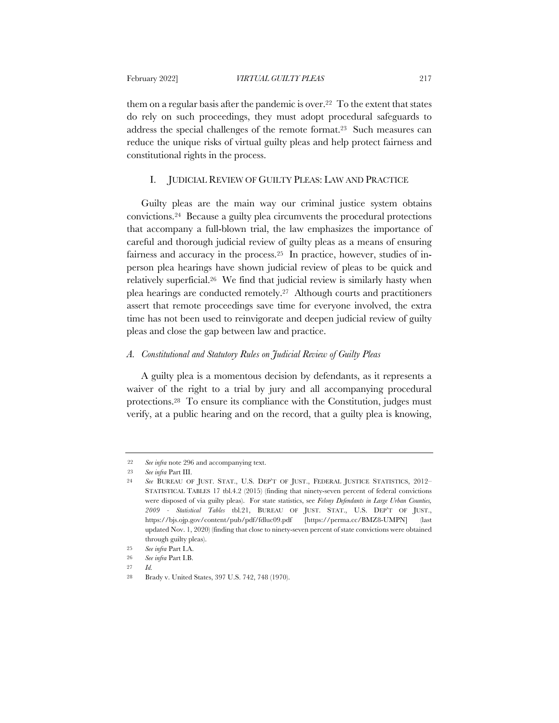them on a regular basis after the pandemic is over.22 To the extent that states do rely on such proceedings, they must adopt procedural safeguards to address the special challenges of the remote format.23 Such measures can reduce the unique risks of virtual guilty pleas and help protect fairness and constitutional rights in the process.

# I. JUDICIAL REVIEW OF GUILTY PLEAS: LAW AND PRACTICE

Guilty pleas are the main way our criminal justice system obtains convictions.24 Because a guilty plea circumvents the procedural protections that accompany a full-blown trial, the law emphasizes the importance of careful and thorough judicial review of guilty pleas as a means of ensuring fairness and accuracy in the process.25 In practice, however, studies of inperson plea hearings have shown judicial review of pleas to be quick and relatively superficial.26 We find that judicial review is similarly hasty when plea hearings are conducted remotely.27 Although courts and practitioners assert that remote proceedings save time for everyone involved, the extra time has not been used to reinvigorate and deepen judicial review of guilty pleas and close the gap between law and practice.

#### *A. Constitutional and Statutory Rules on Judicial Review of Guilty Pleas*

A guilty plea is a momentous decision by defendants, as it represents a waiver of the right to a trial by jury and all accompanying procedural protections.28 To ensure its compliance with the Constitution, judges must verify, at a public hearing and on the record, that a guilty plea is knowing,

<sup>22</sup> *See infra* note 296 and accompanying text.

<sup>23</sup> *See infra* Part III.

<sup>24</sup> *See* BUREAU OF JUST. STAT., U.S. DEP'T OF JUST., FEDERAL JUSTICE STATISTICS, 2012– STATISTICAL TABLES 17 tbl.4.2 (2015) (finding that ninety-seven percent of federal convictions were disposed of via guilty pleas). For state statistics, see *Felony Defendants in Large Urban Counties, 2009 - Statistical Tables* tbl.21, BUREAU OF JUST. STAT., U.S. DEP'T OF JUST., https://bjs.ojp.gov/content/pub/pdf/fdluc09.pdf [https://perma.cc/BMZ8-UMPN] updated Nov. 1, 2020) (finding that close to ninety-seven percent of state convictions were obtained through guilty pleas).

<sup>25</sup> *See infra* Part I.A.

<sup>26</sup> *See infra* Part I.B.

<sup>27</sup> *Id.*

<sup>28</sup> Brady v. United States, 397 U.S. 742, 748 (1970).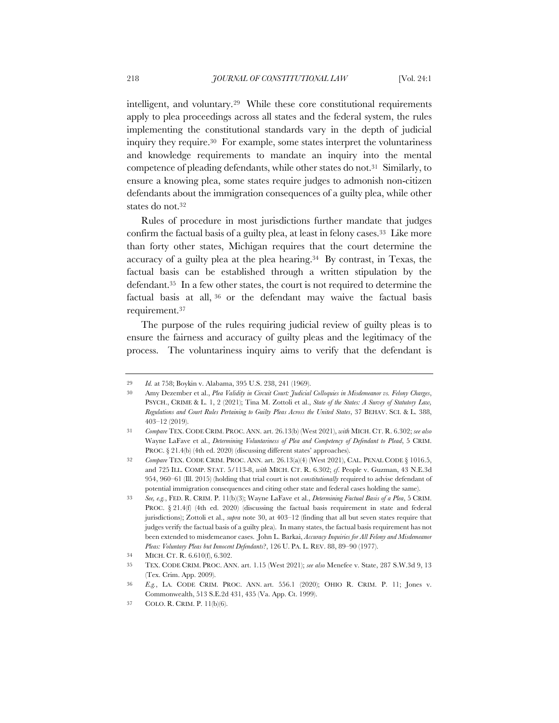intelligent, and voluntary.29 While these core constitutional requirements apply to plea proceedings across all states and the federal system, the rules implementing the constitutional standards vary in the depth of judicial inquiry they require.30 For example, some states interpret the voluntariness and knowledge requirements to mandate an inquiry into the mental competence of pleading defendants, while other states do not.31 Similarly, to ensure a knowing plea, some states require judges to admonish non-citizen defendants about the immigration consequences of a guilty plea, while other states do not.32

Rules of procedure in most jurisdictions further mandate that judges confirm the factual basis of a guilty plea, at least in felony cases.33 Like more than forty other states, Michigan requires that the court determine the accuracy of a guilty plea at the plea hearing.34 By contrast, in Texas, the factual basis can be established through a written stipulation by the defendant.35 In a few other states, the court is not required to determine the factual basis at all, <sup>36</sup> or the defendant may waive the factual basis requirement.37

The purpose of the rules requiring judicial review of guilty pleas is to ensure the fairness and accuracy of guilty pleas and the legitimacy of the process. The voluntariness inquiry aims to verify that the defendant is

<sup>29</sup> *Id.* at 758; Boykin v. Alabama, 395 U.S. 238, 241 (1969).

<sup>30</sup> Amy Dezember et al., *Plea Validity in Circuit Court: Judicial Colloquies in Misdemeanor vs. Felony Charges*, PSYCH., CRIME & L. 1, 2 (2021); Tina M. Zottoli et al., *State of the States: A Survey of Statutory Law, Regulations and Court Rules Pertaining to Guilty Pleas Across the United States*, 37 BEHAV. SCI. & L. 388, 403–12 (2019).

<sup>31</sup> *Compare* TEX. CODE CRIM. PROC. ANN. art. 26.13(b) (West 2021), *with* MICH. CT. R. 6.302; *see also* Wayne LaFave et al., *Determining Voluntariness of Plea and Competency of Defendant to Plead*, 5 CRIM. PROC. § 21.4(b) (4th ed. 2020) (discussing different states' approaches).

<sup>32</sup> *Compare* TEX. CODE CRIM. PROC. ANN. art. 26.13(a)(4) (West 2021), CAL. PENAL CODE § 1016.5, and 725 ILL. COMP. STAT. 5/113-8, *with* MICH. CT. R. 6.302; *cf*. People v. Guzman, 43 N.E.3d 954, 960–61 (Ill. 2015) (holding that trial court is not *constitutionally* required to advise defendant of potential immigration consequences and citing other state and federal cases holding the same).

<sup>33</sup> *See, e.g.*, FED. R. CRIM. P. 11(b)(3); Wayne LaFave et al., *Determining Factual Basis of a Plea*, 5 CRIM. PROC. § 21.4(f) (4th ed. 2020) (discussing the factual basis requirement in state and federal jurisdictions); Zottoli et al., *supra* note 30, at 403–12 (finding that all but seven states require that judges verify the factual basis of a guilty plea). In many states, the factual basis requirement has not been extended to misdemeanor cases. John L. Barkai, *Accuracy Inquiries for All Felony and Misdemeanor Pleas: Voluntary Pleas but Innocent Defendants*?, 126 U. PA. L. REV. 88, 89–90 (1977).

<sup>34</sup> MICH. CT. R. 6.610(f), 6.302.

<sup>35</sup> TEX. CODE CRIM. PROC. ANN. art. 1.15 (West 2021); *see also* Menefee v. State, 287 S.W.3d 9, 13 (Tex. Crim. App. 2009).

<sup>36</sup> *E.g.*, LA. CODE CRIM. PROC. ANN. art. 556.1 (2020); OHIO R. CRIM. P. 11; Jones v. Commonwealth, 513 S.E.2d 431, 435 (Va. App. Ct. 1999).

<sup>37</sup> COLO. R. CRIM. P. 11(b)(6).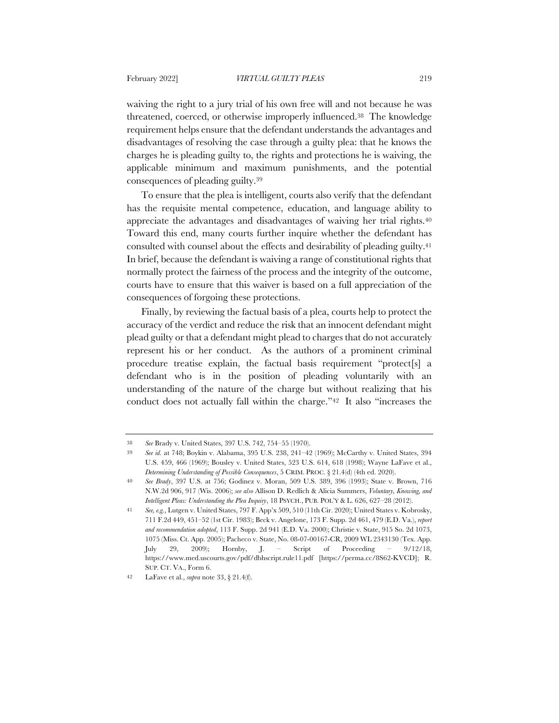waiving the right to a jury trial of his own free will and not because he was threatened, coerced, or otherwise improperly influenced.38 The knowledge requirement helps ensure that the defendant understands the advantages and disadvantages of resolving the case through a guilty plea: that he knows the charges he is pleading guilty to, the rights and protections he is waiving, the applicable minimum and maximum punishments, and the potential consequences of pleading guilty.39

To ensure that the plea is intelligent, courts also verify that the defendant has the requisite mental competence, education, and language ability to appreciate the advantages and disadvantages of waiving her trial rights.<sup>40</sup> Toward this end, many courts further inquire whether the defendant has consulted with counsel about the effects and desirability of pleading guilty.41 In brief, because the defendant is waiving a range of constitutional rights that normally protect the fairness of the process and the integrity of the outcome, courts have to ensure that this waiver is based on a full appreciation of the consequences of forgoing these protections.

Finally, by reviewing the factual basis of a plea, courts help to protect the accuracy of the verdict and reduce the risk that an innocent defendant might plead guilty or that a defendant might plead to charges that do not accurately represent his or her conduct. As the authors of a prominent criminal procedure treatise explain, the factual basis requirement "protect[s] a defendant who is in the position of pleading voluntarily with an understanding of the nature of the charge but without realizing that his conduct does not actually fall within the charge."42 It also "increases the

<sup>38</sup> *See* Brady v. United States, 397 U.S. 742, 754–55 (1970).

<sup>39</sup> *See id.* at 748; Boykin v. Alabama, 395 U.S. 238, 241–42 (1969); McCarthy v. United States, 394 U.S. 459, 466 (1969); Bousley v. United States, 523 U.S. 614, 618 (1998); Wayne LaFave et al., *Determining Understanding of Possible Consequences*, 5 CRIM. PROC. § 21.4(d) (4th ed. 2020).

<sup>40</sup> *See Brady*, 397 U.S. at 756; Godinez v. Moran, 509 U.S. 389, 396 (1993); State v. Brown, 716 N.W.2d 906, 917 (Wis. 2006); *see also* Allison D. Redlich & Alicia Summers, *Voluntary, Knowing, and Intelligent Pleas: Understanding the Plea Inquiry*, 18 PSYCH., PUB. POL'Y & L. 626, 627–28 (2012).

<sup>41</sup> *See, e.g.*, Lutgen v. United States, 797 F. App'x 509, 510 (11th Cir. 2020); United States v. Kobrosky, 711 F.2d 449, 451–52 (1st Cir. 1983); Beck v. Angelone, 173 F. Supp. 2d 461, 479 (E.D. Va.), *report and recommendation adopted*, 113 F. Supp. 2d 941 (E.D. Va. 2000); Christie v. State, 915 So. 2d 1073, 1075 (Miss. Ct. App. 2005); Pacheco v. State, No. 08-07-00167-CR, 2009 WL 2343130 (Tex. App. July 29, 2009); Hornby, J. – Script of Proceeding – 9/12/18, https://www.med.uscourts.gov/pdf/dbhscript.rule11.pdf [https://perma.cc/8S62-KVCD]; R. SUP. CT. VA., Form 6.

<sup>42</sup> LaFave et al., *supra* note 33, § 21.4(f).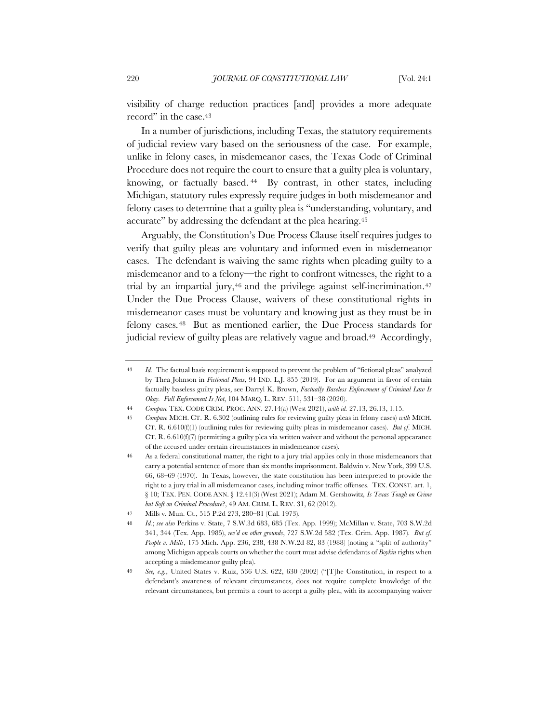visibility of charge reduction practices [and] provides a more adequate record" in the case.<sup>43</sup>

In a number of jurisdictions, including Texas, the statutory requirements of judicial review vary based on the seriousness of the case. For example, unlike in felony cases, in misdemeanor cases, the Texas Code of Criminal Procedure does not require the court to ensure that a guilty plea is voluntary, knowing, or factually based. <sup>44</sup> By contrast, in other states, including Michigan, statutory rules expressly require judges in both misdemeanor and felony cases to determine that a guilty plea is "understanding, voluntary, and accurate" by addressing the defendant at the plea hearing.45

Arguably, the Constitution's Due Process Clause itself requires judges to verify that guilty pleas are voluntary and informed even in misdemeanor cases. The defendant is waiving the same rights when pleading guilty to a misdemeanor and to a felony—the right to confront witnesses, the right to a trial by an impartial jury, $46$  and the privilege against self-incrimination. $47$ Under the Due Process Clause, waivers of these constitutional rights in misdemeanor cases must be voluntary and knowing just as they must be in felony cases. <sup>48</sup> But as mentioned earlier, the Due Process standards for judicial review of guilty pleas are relatively vague and broad.49 Accordingly,

<sup>43</sup> *Id.* The factual basis requirement is supposed to prevent the problem of "fictional pleas" analyzed by Thea Johnson in *Fictional Pleas*, 94 IND. L.J. 855 (2019). For an argument in favor of certain factually baseless guilty pleas, see Darryl K. Brown, *Factually Baseless Enforcement of Criminal Law Is Okay. Full Enforcement Is Not*, 104 MARQ. L. REV. 511, 531–38 (2020).

<sup>44</sup> *Compare* TEX. CODE CRIM. PROC. ANN. 27.14(a) (West 2021), *with id.* 27.13, 26.13, 1.15.

<sup>45</sup> *Compare* MICH. CT. R. 6.302 (outlining rules for reviewing guilty pleas in felony cases) *with* MICH. CT. R. 6.610(f)(1) (outlining rules for reviewing guilty pleas in misdemeanor cases). *But cf*. MICH. CT. R. 6.610(f)(7) (permitting a guilty plea via written waiver and without the personal appearance of the accused under certain circumstances in misdemeanor cases).

<sup>46</sup> As a federal constitutional matter, the right to a jury trial applies only in those misdemeanors that carry a potential sentence of more than six months imprisonment. Baldwin v. New York, 399 U.S. 66, 68–69 (1970). In Texas, however, the state constitution has been interpreted to provide the right to a jury trial in all misdemeanor cases, including minor traffic offenses. TEX. CONST. art. 1, § 10; TEX. PEN. CODE ANN. § 12.41(3) (West 2021); Adam M. Gershowitz*, Is Texas Tough on Crime but Soft on Criminal Procedure*?, 49 AM. CRIM. L. REV. 31, 62 (2012).

<sup>47</sup> Mills v. Mun. Ct., 515 P.2d 273, 280–81 (Cal. 1973).

<sup>48</sup> *Id.*; *see also* Perkins v. State, 7 S.W.3d 683, 685 (Tex. App. 1999); McMillan v. State, 703 S.W.2d 341, 344 (Tex. App. 1985), *rev'd on other grounds*, 727 S.W.2d 582 (Tex. Crim. App. 1987). *But cf*. *People v. Mills*, 175 Mich. App. 236, 238, 438 N.W.2d 82, 83 (1988) (noting a "split of authority" among Michigan appeals courts on whether the court must advise defendants of *Boykin* rights when accepting a misdemeanor guilty plea).

<sup>49</sup> *See, e.g.*, United States v. Ruiz, 536 U.S. 622, 630 (2002) ("[T]he Constitution, in respect to a defendant's awareness of relevant circumstances, does not require complete knowledge of the relevant circumstances, but permits a court to accept a guilty plea, with its accompanying waiver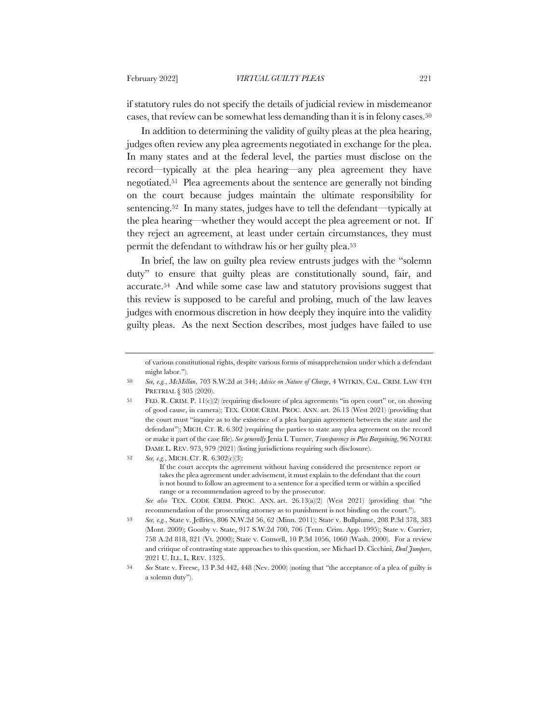if statutory rules do not specify the details of judicial review in misdemeanor cases, that review can be somewhat less demanding than it is in felony cases.50

In addition to determining the validity of guilty pleas at the plea hearing, judges often review any plea agreements negotiated in exchange for the plea. In many states and at the federal level, the parties must disclose on the record—typically at the plea hearing—any plea agreement they have negotiated.51 Plea agreements about the sentence are generally not binding on the court because judges maintain the ultimate responsibility for sentencing.52 In many states, judges have to tell the defendant—typically at the plea hearing—whether they would accept the plea agreement or not. If they reject an agreement, at least under certain circumstances, they must permit the defendant to withdraw his or her guilty plea.53

In brief, the law on guilty plea review entrusts judges with the "solemn duty" to ensure that guilty pleas are constitutionally sound, fair, and accurate.54 And while some case law and statutory provisions suggest that this review is supposed to be careful and probing, much of the law leaves judges with enormous discretion in how deeply they inquire into the validity guilty pleas. As the next Section describes, most judges have failed to use

If the court accepts the agreement without having considered the presentence report or takes the plea agreement under advisement, it must explain to the defendant that the court is not bound to follow an agreement to a sentence for a specified term or within a specified range or a recommendation agreed to by the prosecutor.

*See also* TEX. CODE CRIM. PROC. ANN. art. 26.13(a)(2) (West 2021) (providing that "the recommendation of the prosecuting attorney as to punishment is not binding on the court.").

of various constitutional rights, despite various forms of misapprehension under which a defendant might labor.").

<sup>50</sup> *See, e.g.*, *McMillan*, 703 S.W.2d at 344; *Advice on Nature of Charge*, 4 WITKIN, CAL. CRIM. LAW 4TH PRETRIAL § 305 (2020).

<sup>51</sup> FED. R. CRIM. P. 11(c)(2) (requiring disclosure of plea agreements "in open court" or, on showing of good cause, in camera); TEX. CODE CRIM. PROC. ANN. art. 26.13 (West 2021) (providing that the court must "inquire as to the existence of a plea bargain agreement between the state and the defendant"); MICH. CT. R. 6.302 (requiring the parties to state any plea agreement on the record or make it part of the case file). *See generally* Jenia I. Turner, *Transparency in Plea Bargaining*, 96 NOTRE DAME L. REV. 973, 979 (2021) (listing jurisdictions requiring such disclosure).

<sup>52</sup> *See, e.g.*, MICH. CT. R. 6.302(c)(3):

<sup>53</sup> *See, e.g.*, State v. Jeffries, 806 N.W.2d 56, 62 (Minn. 2011); State v. Bullplume, 208 P.3d 378, 383 (Mont. 2009); Goosby v. State, 917 S.W.2d 700, 706 (Tenn. Crim. App. 1995); State v. Currier, 758 A.2d 818, 821 (Vt. 2000); State v. Conwell, 10 P.3d 1056, 1060 (Wash. 2000). For a review and critique of contrasting state approaches to this question, see Michael D. Cicchini, *Deal Jumpers*, 2021 U. ILL. L. REV. 1325.

<sup>54</sup> *See* State v. Freese, 13 P.3d 442, 448 (Nev. 2000) (noting that "the acceptance of a plea of guilty is a solemn duty").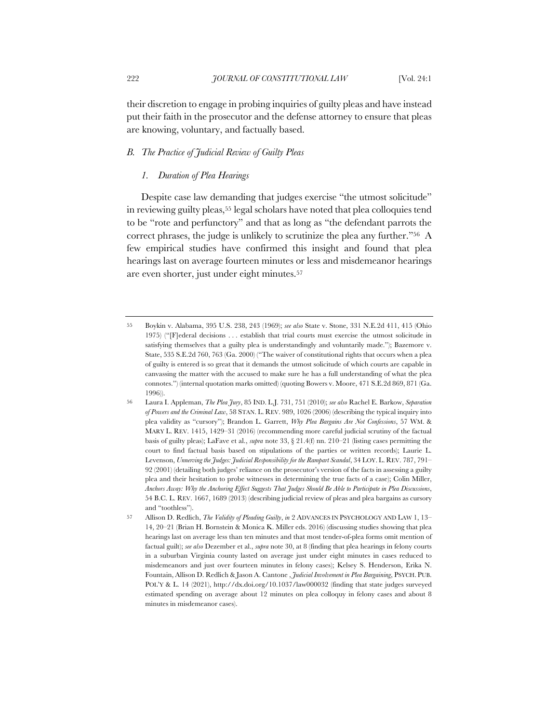their discretion to engage in probing inquiries of guilty pleas and have instead put their faith in the prosecutor and the defense attorney to ensure that pleas are knowing, voluntary, and factually based.

# *B. The Practice of Judicial Review of Guilty Pleas*

# *1. Duration of Plea Hearings*

Despite case law demanding that judges exercise "the utmost solicitude" in reviewing guilty pleas,55 legal scholars have noted that plea colloquies tend to be "rote and perfunctory" and that as long as "the defendant parrots the correct phrases, the judge is unlikely to scrutinize the plea any further."56 A few empirical studies have confirmed this insight and found that plea hearings last on average fourteen minutes or less and misdemeanor hearings are even shorter, just under eight minutes.57

<sup>55</sup> Boykin v. Alabama, 395 U.S. 238, 243 (1969); *see also* State v. Stone, 331 N.E.2d 411, 415 (Ohio 1975) ("[F]ederal decisions . . . establish that trial courts must exercise the utmost solicitude in satisfying themselves that a guilty plea is understandingly and voluntarily made."); Bazemore v. State, 535 S.E.2d 760, 763 (Ga. 2000) ("The waiver of constitutional rights that occurs when a plea of guilty is entered is so great that it demands the utmost solicitude of which courts are capable in canvassing the matter with the accused to make sure he has a full understanding of what the plea connotes.") (internal quotation marks omitted) (quoting Bowers v. Moore, 471 S.E.2d 869, 871 (Ga. 1996)).

<sup>56</sup> Laura I. Appleman, *The Plea Jury*, 85 IND. L.J. 731, 751 (2010); *see also* Rachel E. Barkow, *Separation of Powers and the Criminal Law*, 58 STAN. L. REV. 989, 1026 (2006) (describing the typical inquiry into plea validity as "cursory"); Brandon L. Garrett, *Why Plea Bargains Are Not Confessions*, 57 WM. & MARY L. REV. 1415, 1429–31 (2016) (recommending more careful judicial scrutiny of the factual basis of guilty pleas); LaFave et al., *supra* note 33, § 21.4(f) nn. 210–21 (listing cases permitting the court to find factual basis based on stipulations of the parties or written records); Laurie L. Levenson, *Unnerving the Judges: Judicial Responsibility for the Rampart Scandal*, 34 LOY. L. REV. 787, 791– 92 (2001) (detailing both judges' reliance on the prosecutor's version of the facts in assessing a guilty plea and their hesitation to probe witnesses in determining the true facts of a case); Colin Miller, *Anchors Away: Why the Anchoring Effect Suggests That Judges Should Be Able to Participate in Plea Discussions*, 54 B.C. L. REV. 1667, 1689 (2013) (describing judicial review of pleas and plea bargains as cursory and "toothless").

<sup>57</sup> Allison D. Redlich, *The Validity of Pleading Guilty*, *in* 2 ADVANCES IN PSYCHOLOGY AND LAW 1, 13– 14, 20–21 (Brian H. Bornstein & Monica K. Miller eds. 2016) (discussing studies showing that plea hearings last on average less than ten minutes and that most tender-of-plea forms omit mention of factual guilt); *see also* Dezember et al., *supra* note 30, at 8 (finding that plea hearings in felony courts in a suburban Virginia county lasted on average just under eight minutes in cases reduced to misdemeanors and just over fourteen minutes in felony cases); Kelsey S. Henderson, Erika N. Fountain, Allison D. Redlich & Jason A. Cantone , *Judicial Involvement in Plea Bargaining*, PSYCH. PUB. POL'Y & L. 14 (2021), http://dx.doi.org/10.1037/law000032 (finding that state judges surveyed estimated spending on average about 12 minutes on plea colloquy in felony cases and about 8 minutes in misdemeanor cases).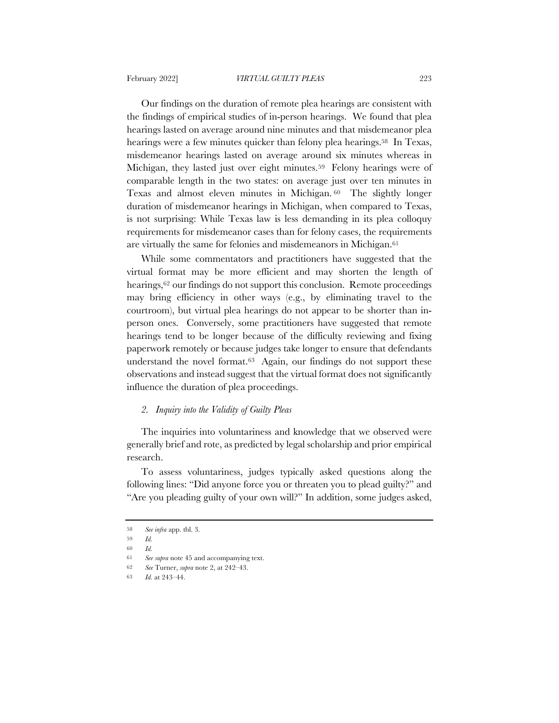Our findings on the duration of remote plea hearings are consistent with the findings of empirical studies of in-person hearings. We found that plea hearings lasted on average around nine minutes and that misdemeanor plea hearings were a few minutes quicker than felony plea hearings.<sup>58</sup> In Texas, misdemeanor hearings lasted on average around six minutes whereas in Michigan, they lasted just over eight minutes.<sup>59</sup> Felony hearings were of comparable length in the two states: on average just over ten minutes in Texas and almost eleven minutes in Michigan. <sup>60</sup> The slightly longer duration of misdemeanor hearings in Michigan, when compared to Texas, is not surprising: While Texas law is less demanding in its plea colloquy requirements for misdemeanor cases than for felony cases, the requirements are virtually the same for felonies and misdemeanors in Michigan.<sup>61</sup>

While some commentators and practitioners have suggested that the virtual format may be more efficient and may shorten the length of hearings,<sup>62</sup> our findings do not support this conclusion. Remote proceedings may bring efficiency in other ways (e.g., by eliminating travel to the courtroom), but virtual plea hearings do not appear to be shorter than inperson ones. Conversely, some practitioners have suggested that remote hearings tend to be longer because of the difficulty reviewing and fixing paperwork remotely or because judges take longer to ensure that defendants understand the novel format.63 Again, our findings do not support these observations and instead suggest that the virtual format does not significantly influence the duration of plea proceedings.

### *2. Inquiry into the Validity of Guilty Pleas*

The inquiries into voluntariness and knowledge that we observed were generally brief and rote, as predicted by legal scholarship and prior empirical research.

To assess voluntariness, judges typically asked questions along the following lines: "Did anyone force you or threaten you to plead guilty?" and "Are you pleading guilty of your own will?" In addition, some judges asked,

<sup>58</sup> *See infra* app. tbl. 3.

<sup>59</sup> *Id.*

<sup>60</sup> *Id.*

<sup>61</sup> *See supra* note 45 and accompanying text.

<sup>62</sup> *See* Turner, *supra* note 2, at 242–43.

<sup>63</sup> *Id.* at 243–44.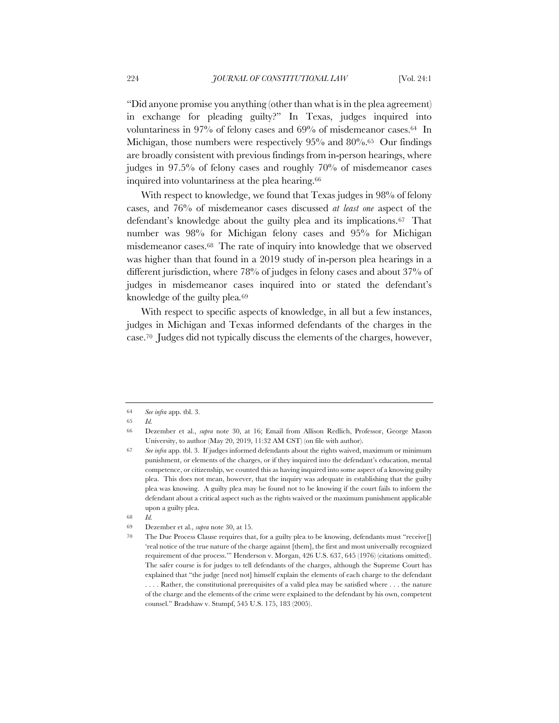"Did anyone promise you anything (other than what is in the plea agreement) in exchange for pleading guilty?" In Texas, judges inquired into voluntariness in 97% of felony cases and 69% of misdemeanor cases.64 In Michigan, those numbers were respectively 95% and 80%.<sup>65</sup> Our findings are broadly consistent with previous findings from in-person hearings, where judges in 97.5% of felony cases and roughly 70% of misdemeanor cases inquired into voluntariness at the plea hearing.66

With respect to knowledge, we found that Texas judges in 98% of felony cases, and 76% of misdemeanor cases discussed *at least one* aspect of the defendant's knowledge about the guilty plea and its implications.67 That number was 98% for Michigan felony cases and 95% for Michigan misdemeanor cases.68 The rate of inquiry into knowledge that we observed was higher than that found in a 2019 study of in-person plea hearings in a different jurisdiction, where 78% of judges in felony cases and about 37% of judges in misdemeanor cases inquired into or stated the defendant's knowledge of the guilty plea*.*<sup>69</sup>

With respect to specific aspects of knowledge, in all but a few instances, judges in Michigan and Texas informed defendants of the charges in the case.70 Judges did not typically discuss the elements of the charges, however,

<sup>64</sup> *See infra* app. tbl. 3.

<sup>65</sup> *Id.*

<sup>66</sup> Dezember et al., *supra* note 30, at 16; Email from Allison Redlich, Professor, George Mason University, to author (May 20, 2019, 11:32 AM CST) (on file with author).

<sup>67</sup> *See infra* app. tbl. 3. If judges informed defendants about the rights waived, maximum or minimum punishment, or elements of the charges, or if they inquired into the defendant's education, mental competence, or citizenship, we counted this as having inquired into some aspect of a knowing guilty plea. This does not mean, however, that the inquiry was adequate in establishing that the guilty plea was knowing. A guilty plea may be found not to be knowing if the court fails to inform the defendant about a critical aspect such as the rights waived or the maximum punishment applicable upon a guilty plea.

<sup>68</sup> *Id.*

<sup>69</sup> Dezember et al., *supra* note 30, at 15.

<sup>70</sup> The Due Process Clause requires that, for a guilty plea to be knowing, defendants must "receive[] 'real notice of the true nature of the charge against [them], the first and most universally recognized requirement of due process.'" Henderson v. Morgan, 426 U.S. 637, 645 (1976) (citations omitted). The safer course is for judges to tell defendants of the charges, although the Supreme Court has explained that "the judge [need not] himself explain the elements of each charge to the defendant . . . . Rather, the constitutional prerequisites of a valid plea may be satisfied where . . . the nature of the charge and the elements of the crime were explained to the defendant by his own, competent counsel." Bradshaw v. Stumpf, 545 U.S. 175, 183 (2005).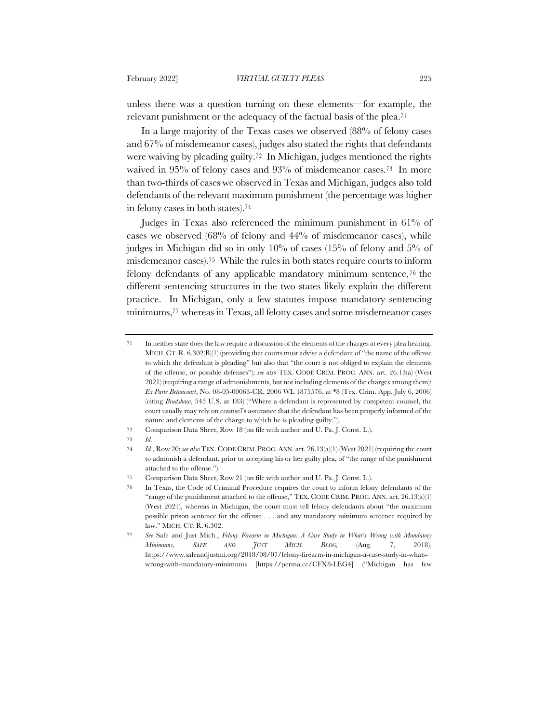unless there was a question turning on these elements—for example, the relevant punishment or the adequacy of the factual basis of the plea.71

In a large majority of the Texas cases we observed (88% of felony cases and 67% of misdemeanor cases), judges also stated the rights that defendants were waiving by pleading guilty.72 In Michigan, judges mentioned the rights waived in 95% of felony cases and 93% of misdemeanor cases.73 In more than two-thirds of cases we observed in Texas and Michigan, judges also told defendants of the relevant maximum punishment (the percentage was higher in felony cases in both states).74

Judges in Texas also referenced the minimum punishment in 61% of cases we observed (68% of felony and 44% of misdemeanor cases), while judges in Michigan did so in only 10% of cases (15% of felony and 5% of misdemeanor cases).75 While the rules in both states require courts to inform felony defendants of any applicable mandatory minimum sentence,76 the different sentencing structures in the two states likely explain the different practice. In Michigan, only a few statutes impose mandatory sentencing minimums,77 whereas in Texas, all felony cases and some misdemeanor cases

73 *Id.*

<sup>71</sup> In neither state does the law require a discussion of the elements of the charges at every plea hearing. MICH. CT. R.  $6.302(B)(1)$  (providing that courts must advise a defendant of "the name of the offense to which the defendant is pleading" but also that "the court is not obliged to explain the elements of the offense, or possible defenses"); *see also* TEX. CODE CRIM. PROC. ANN. art. 26.13(a) (West 2021) (requiring a range of admonishments, but not including elements of the charges among them); *Ex Parte Betancourt*, No. 08-05-00063-CR, 2006 WL 1875576, at \*8 (Tex. Crim. App. July 6, 2006) (citing *Bradshaw*, 545 U.S. at 183) ("Where a defendant is represented by competent counsel, the court usually may rely on counsel's assurance that the defendant has been properly informed of the nature and elements of the charge to which he is pleading guilty.").

<sup>72</sup> Comparison Data Sheet, Row 18 (on file with author and U. Pa. J. Const. L.).

<sup>74</sup> *Id.*, Row 20; *see also* TEX. CODE CRIM. PROC. ANN. art. 26.13(a)(1) (West 2021) (requiring the court to admonish a defendant, prior to accepting his or her guilty plea, of "the range of the punishment attached to the offense.").

<sup>75</sup> Comparison Data Sheet, Row 21 (on file with author and U. Pa. J. Const. L.).

<sup>76</sup> In Texas, the Code of Criminal Procedure requires the court to inform felony defendants of the "range of the punishment attached to the offense," TEX. CODE CRIM. PROC. ANN. art. 26.13(a)(1) (West 2021), whereas in Michigan, the court must tell felony defendants about "the maximum possible prison sentence for the offense . . . and any mandatory minimum sentence required by law." MICH. CT. R. 6.302.

<sup>77</sup> *See* Safe and Just Mich., *Felony Firearm in Michigan: A Case Study in What's Wrong with Mandatory Minimums, SAFE AND JUST MICH. BLOG,* (Aug. 7, 2018), https://www.safeandjustmi.org/2018/08/07/felony-firearm-in-michigan-a-case-study-in-whatswrong-with-mandatory-minimums [https://perma.cc/CFX8-LEG4] ("Michigan has few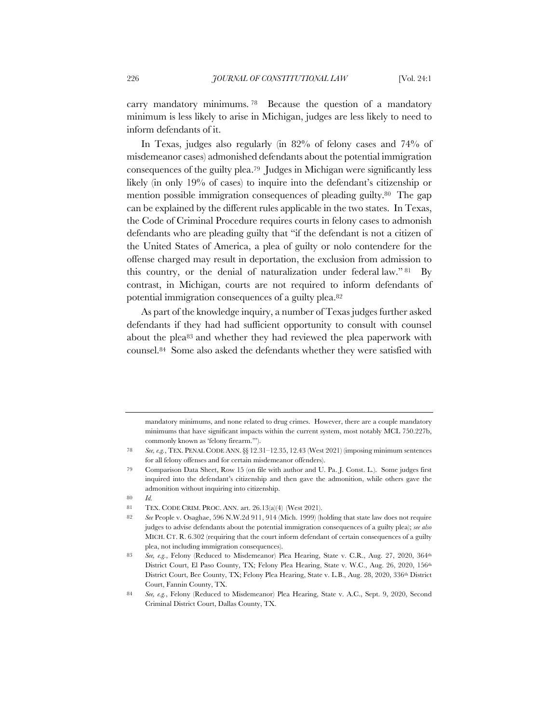carry mandatory minimums. <sup>78</sup> Because the question of a mandatory minimum is less likely to arise in Michigan, judges are less likely to need to inform defendants of it.

In Texas, judges also regularly (in 82% of felony cases and 74% of misdemeanor cases) admonished defendants about the potential immigration consequences of the guilty plea.79 Judges in Michigan were significantly less likely (in only 19% of cases) to inquire into the defendant's citizenship or mention possible immigration consequences of pleading guilty.80 The gap can be explained by the different rules applicable in the two states. In Texas, the Code of Criminal Procedure requires courts in felony cases to admonish defendants who are pleading guilty that "if the defendant is not a citizen of the United States of America, a plea of guilty or nolo contendere for the offense charged may result in deportation, the exclusion from admission to this country, or the denial of naturalization under federal law." <sup>81</sup> By contrast, in Michigan, courts are not required to inform defendants of potential immigration consequences of a guilty plea.82

As part of the knowledge inquiry, a number of Texas judges further asked defendants if they had had sufficient opportunity to consult with counsel about the plea83 and whether they had reviewed the plea paperwork with counsel.84 Some also asked the defendants whether they were satisfied with

mandatory minimums, and none related to drug crimes. However, there are a couple mandatory minimums that have significant impacts within the current system, most notably MCL 750.227b, commonly known as 'felony firearm.'").

80 *Id.* 

<sup>78</sup> *See, e.g.*, TEX. PENAL CODE ANN.§§ 12.31–12.35, 12.43 (West 2021) (imposing minimum sentences for all felony offenses and for certain misdemeanor offenders).

<sup>79</sup> Comparison Data Sheet, Row 15 (on file with author and U. Pa. J. Const. L.). Some judges first inquired into the defendant's citizenship and then gave the admonition, while others gave the admonition without inquiring into citizenship.

<sup>81</sup> TEX. CODE CRIM. PROC. ANN. art. 26.13(a)(4) (West 2021).

<sup>82</sup> *See* People v. Osaghae, 596 N.W.2d 911, 914 (Mich. 1999) (holding that state law does not require judges to advise defendants about the potential immigration consequences of a guilty plea); *see also* MICH. CT. R. 6.302 (requiring that the court inform defendant of certain consequences of a guilty plea, not including immigration consequences).

<sup>83</sup> *See, e.g.*, Felony (Reduced to Misdemeanor) Plea Hearing, State v. C.R., Aug. 27, 2020, 364th District Court, El Paso County, TX; Felony Plea Hearing, State v. W.C., Aug. 26, 2020, 156<sup>th</sup> District Court, Bee County, TX; Felony Plea Hearing, State v. L.B., Aug. 28, 2020, 336<sup>th</sup> District Court, Fannin County, TX.

<sup>84</sup> *See, e.g.*, Felony (Reduced to Misdemeanor) Plea Hearing, State v. A.C., Sept. 9, 2020, Second Criminal District Court, Dallas County, TX.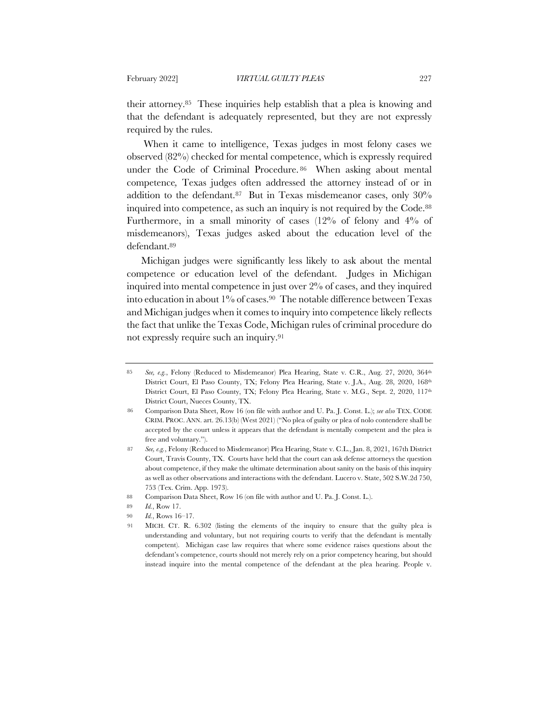their attorney.85 These inquiries help establish that a plea is knowing and that the defendant is adequately represented, but they are not expressly required by the rules.

When it came to intelligence, Texas judges in most felony cases we observed (82%) checked for mental competence, which is expressly required under the Code of Criminal Procedure. <sup>86</sup> When asking about mental competence*,* Texas judges often addressed the attorney instead of or in addition to the defendant.87 But in Texas misdemeanor cases, only 30% inquired into competence, as such an inquiry is not required by the Code.88 Furthermore, in a small minority of cases (12% of felony and 4% of misdemeanors), Texas judges asked about the education level of the defendant.89

Michigan judges were significantly less likely to ask about the mental competence or education level of the defendant. Judges in Michigan inquired into mental competence in just over 2% of cases, and they inquired into education in about 1% of cases.90 The notable difference between Texas and Michigan judges when it comes to inquiry into competence likely reflects the fact that unlike the Texas Code, Michigan rules of criminal procedure do not expressly require such an inquiry.91

<sup>85</sup> *See, e.g.*, Felony (Reduced to Misdemeanor) Plea Hearing, State v. C.R., Aug. 27, 2020, 364th District Court, El Paso County, TX; Felony Plea Hearing, State v. J.A., Aug. 28, 2020, 168th District Court, El Paso County, TX; Felony Plea Hearing, State v. M.G., Sept. 2, 2020, 117<sup>th</sup> District Court, Nueces County, TX.

<sup>86</sup> Comparison Data Sheet, Row 16 (on file with author and U. Pa. J. Const. L.); *see also* TEX. CODE CRIM. PROC. ANN. art. 26.13(b) (West 2021) ("No plea of guilty or plea of nolo contendere shall be accepted by the court unless it appears that the defendant is mentally competent and the plea is free and voluntary.").

<sup>87</sup> *See, e.g.*, Felony (Reduced to Misdemeanor) Plea Hearing, State v. C.L., Jan. 8, 2021, 167th District Court, Travis County, TX. Courts have held that the court can ask defense attorneys the question about competence, if they make the ultimate determination about sanity on the basis of this inquiry as well as other observations and interactions with the defendant. Lucero v. State, 502 S.W.2d 750, 753 (Tex. Crim. App. 1973).

<sup>88</sup> Comparison Data Sheet, Row 16 (on file with author and U. Pa. J. Const. L.).

<sup>89</sup> *Id.*, Row 17.

<sup>90</sup> *Id.*, Rows 16–17.

MICH. CT. R. 6.302 (listing the elements of the inquiry to ensure that the guilty plea is understanding and voluntary, but not requiring courts to verify that the defendant is mentally competent). Michigan case law requires that where some evidence raises questions about the defendant's competence, courts should not merely rely on a prior competency hearing, but should instead inquire into the mental competence of the defendant at the plea hearing. People v.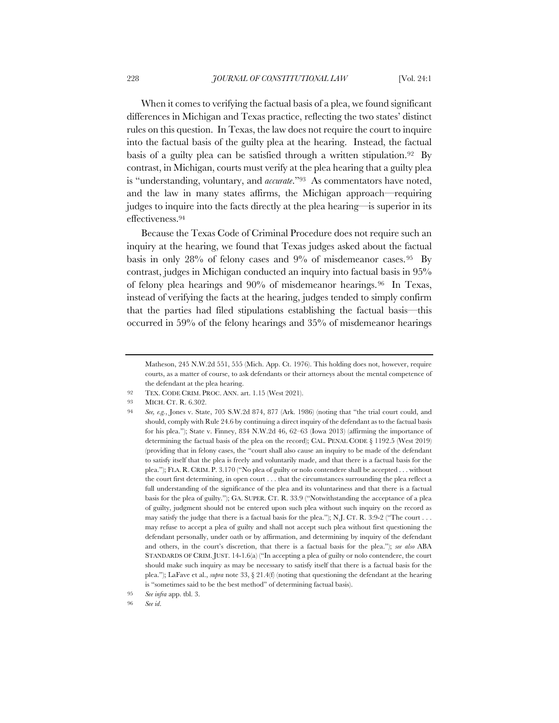When it comes to verifying the factual basis of a plea, we found significant differences in Michigan and Texas practice, reflecting the two states' distinct rules on this question. In Texas, the law does not require the court to inquire into the factual basis of the guilty plea at the hearing. Instead, the factual basis of a guilty plea can be satisfied through a written stipulation.<sup>92</sup> By contrast, in Michigan, courts must verify at the plea hearing that a guilty plea is "understanding, voluntary, and *accurate*."93 As commentators have noted, and the law in many states affirms, the Michigan approach—requiring judges to inquire into the facts directly at the plea hearing—is superior in its effectiveness.94

Because the Texas Code of Criminal Procedure does not require such an inquiry at the hearing, we found that Texas judges asked about the factual basis in only 28% of felony cases and 9% of misdemeanor cases. <sup>95</sup> By contrast, judges in Michigan conducted an inquiry into factual basis in 95% of felony plea hearings and 90% of misdemeanor hearings.96 In Texas, instead of verifying the facts at the hearing, judges tended to simply confirm that the parties had filed stipulations establishing the factual basis—this occurred in 59% of the felony hearings and 35% of misdemeanor hearings

93 MICH. CT. R. 6.302.

Matheson, 245 N.W.2d 551, 555 (Mich. App. Ct. 1976). This holding does not, however, require courts, as a matter of course, to ask defendants or their attorneys about the mental competence of the defendant at the plea hearing.

<sup>92</sup> TEX. CODE CRIM. PROC. ANN. art. 1.15 (West 2021).

<sup>94</sup> *See, e.g.*, Jones v. State, 705 S.W.2d 874, 877 (Ark. 1986) (noting that "the trial court could, and should, comply with Rule 24.6 by continuing a direct inquiry of the defendant as to the factual basis for his plea."); State v. Finney, 834 N.W.2d 46, 62–63 (Iowa 2013) (affirming the importance of determining the factual basis of the plea on the record); CAL. PENAL CODE § 1192.5 (West 2019) (providing that in felony cases, the "court shall also cause an inquiry to be made of the defendant to satisfy itself that the plea is freely and voluntarily made, and that there is a factual basis for the plea."); FLA. R. CRIM. P. 3.170 ("No plea of guilty or nolo contendere shall be accepted . . . without the court first determining, in open court . . . that the circumstances surrounding the plea reflect a full understanding of the significance of the plea and its voluntariness and that there is a factual basis for the plea of guilty."); GA. SUPER. CT. R. 33.9 ("Notwithstanding the acceptance of a plea of guilty, judgment should not be entered upon such plea without such inquiry on the record as may satisfy the judge that there is a factual basis for the plea."); N.J. CT. R. 3:9-2 ("The court . . . may refuse to accept a plea of guilty and shall not accept such plea without first questioning the defendant personally, under oath or by affirmation, and determining by inquiry of the defendant and others, in the court's discretion, that there is a factual basis for the plea."); *see also* ABA STANDARDS OF CRIM. JUST. 14-1.6(a) ("In accepting a plea of guilty or nolo contendere, the court should make such inquiry as may be necessary to satisfy itself that there is a factual basis for the plea."); LaFave et al., *supra* note 33, § 21.4(f) (noting that questioning the defendant at the hearing is "sometimes said to be the best method" of determining factual basis).

<sup>95</sup> *See infra* app. tbl. 3.

<sup>96</sup> *See id*.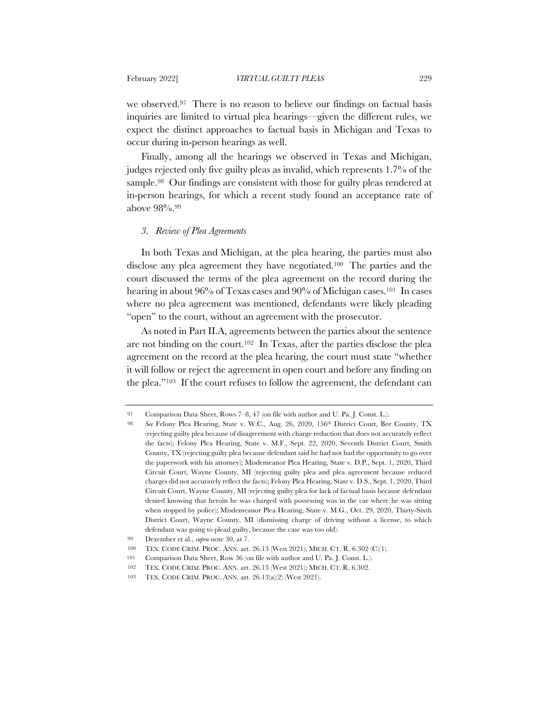we observed.97 There is no reason to believe our findings on factual basis inquiries are limited to virtual plea hearings—given the different rules, we expect the distinct approaches to factual basis in Michigan and Texas to occur during in-person hearings as well.

Finally, among all the hearings we observed in Texas and Michigan, judges rejected only five guilty pleas as invalid, which represents 1.7% of the sample.<sup>98</sup> Our findings are consistent with those for guilty pleas rendered at in-person hearings, for which a recent study found an acceptance rate of above 98%.99

#### *3. Review of Plea Agreements*

In both Texas and Michigan, at the plea hearing, the parties must also disclose any plea agreement they have negotiated.100 The parties and the court discussed the terms of the plea agreement on the record during the hearing in about 96% of Texas cases and 90% of Michigan cases.<sup>101</sup> In cases where no plea agreement was mentioned, defendants were likely pleading "open" to the court, without an agreement with the prosecutor.

As noted in Part II.A, agreements between the parties about the sentence are not binding on the court.102 In Texas, after the parties disclose the plea agreement on the record at the plea hearing, the court must state "whether it will follow or reject the agreement in open court and before any finding on the plea."103 If the court refuses to follow the agreement, the defendant can

<sup>97</sup> Comparison Data Sheet, Rows 7–8, 47 (on file with author and U. Pa. J. Const. L.).

<sup>98</sup> *See* Felony Plea Hearing, State v. W.C., Aug. 26, 2020, 156th District Court, Bee County, TX (rejecting guilty plea because of disagreement with charge reduction that does not accurately reflect the facts); Felony Plea Hearing, State v. M.F., Sept. 22, 2020, Seventh District Court, Smith County, TX (rejecting guilty plea because defendant said he had not had the opportunity to go over the paperwork with his attorney); Misdemeanor Plea Hearing, State v. D.P., Sept. 1, 2020, Third Circuit Court, Wayne County, MI (rejecting guilty plea and plea agreement because reduced charges did not accurately reflect the facts); Felony Plea Hearing, State v. D.S., Sept. 1, 2020, Third Circuit Court, Wayne County, MI (rejecting guilty plea for lack of factual basis because defendant denied knowing that heroin he was charged with possessing was in the car where he was sitting when stopped by police); Misdemeanor Plea Hearing, State v. M.G., Oct. 29, 2020, Thirty-Sixth District Court, Wayne County, MI (dismissing charge of driving without a license, to which defendant was going to plead guilty, because the case was too old).

<sup>99</sup> Dezember et al., *supra* note 30, at 7.

<sup>100</sup> TEX. CODE CRIM. PROC. ANN. art. 26.13 (West 2021); MICH. CT. R. 6.302 (C)(1).

<sup>101</sup> Comparison Data Sheet, Row 36 (on file with author and U. Pa. J. Const. L.).

<sup>102</sup> TEX. CODE CRIM. PROC. ANN. art. 26.13 (West 2021); MICH. CT. R. 6.302.

<sup>103</sup> TEX. CODE CRIM. PROC. ANN. art. 26.13(a)(2) (West 2021).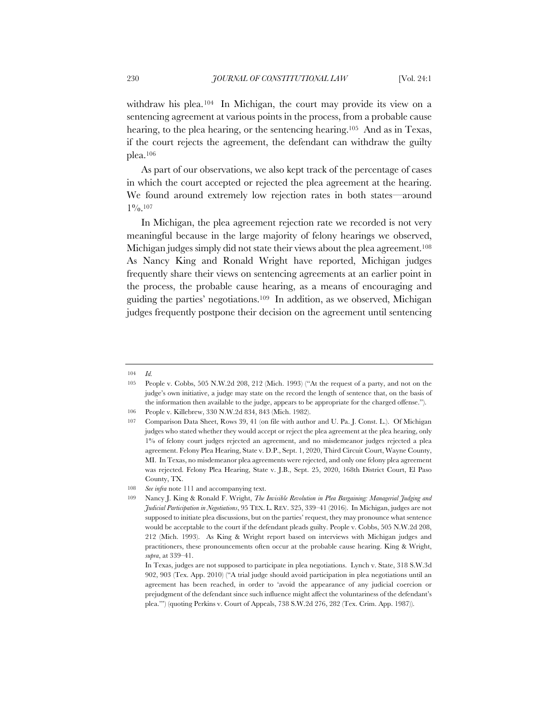withdraw his plea.<sup>104</sup> In Michigan, the court may provide its view on a sentencing agreement at various points in the process, from a probable cause hearing, to the plea hearing, or the sentencing hearing.<sup>105</sup> And as in Texas, if the court rejects the agreement, the defendant can withdraw the guilty plea.106

As part of our observations, we also kept track of the percentage of cases in which the court accepted or rejected the plea agreement at the hearing. We found around extremely low rejection rates in both states—around  $1\frac{0}{0}$ .107

In Michigan, the plea agreement rejection rate we recorded is not very meaningful because in the large majority of felony hearings we observed, Michigan judges simply did not state their views about the plea agreement.108 As Nancy King and Ronald Wright have reported, Michigan judges frequently share their views on sentencing agreements at an earlier point in the process, the probable cause hearing, as a means of encouraging and guiding the parties' negotiations.109 In addition, as we observed, Michigan judges frequently postpone their decision on the agreement until sentencing

<sup>104</sup> *Id.*

<sup>105</sup> People v. Cobbs, 505 N.W.2d 208, 212 (Mich. 1993) ("At the request of a party, and not on the judge's own initiative, a judge may state on the record the length of sentence that, on the basis of the information then available to the judge, appears to be appropriate for the charged offense.").

<sup>106</sup> People v. Killebrew, 330 N.W.2d 834, 843 (Mich. 1982).

<sup>107</sup> Comparison Data Sheet, Rows 39, 41 (on file with author and U. Pa. J. Const. L.). Of Michigan judges who stated whether they would accept or reject the plea agreement at the plea hearing, only 1% of felony court judges rejected an agreement, and no misdemeanor judges rejected a plea agreement. Felony Plea Hearing, State v. D.P., Sept. 1, 2020, Third Circuit Court, Wayne County, MI. In Texas, no misdemeanor plea agreements were rejected, and only one felony plea agreement was rejected. Felony Plea Hearing, State v. J.B., Sept. 25, 2020, 168th District Court, El Paso County, TX.

<sup>108</sup> *See infra* note 111 and accompanying text.

<sup>109</sup> Nancy J. King & Ronald F. Wright, *The Invisible Revolution in Plea Bargaining: Managerial Judging and Judicial Participation in Negotiations*, 95 TEX. L. REV. 325, 339–41 (2016). In Michigan, judges are not supposed to initiate plea discussions, but on the parties' request, they may pronounce what sentence would be acceptable to the court if the defendant pleads guilty. People v. Cobbs, 505 N.W.2d 208, 212 (Mich. 1993). As King & Wright report based on interviews with Michigan judges and practitioners, these pronouncements often occur at the probable cause hearing. King & Wright, *supra*, at 339–41.

In Texas, judges are not supposed to participate in plea negotiations. Lynch v. State, 318 S.W.3d 902, 903 (Tex. App. 2010) ("A trial judge should avoid participation in plea negotiations until an agreement has been reached, in order to 'avoid the appearance of any judicial coercion or prejudgment of the defendant since such influence might affect the voluntariness of the defendant's plea.'") (quoting Perkins v. Court of Appeals, 738 S.W.2d 276, 282 (Tex. Crim. App. 1987)).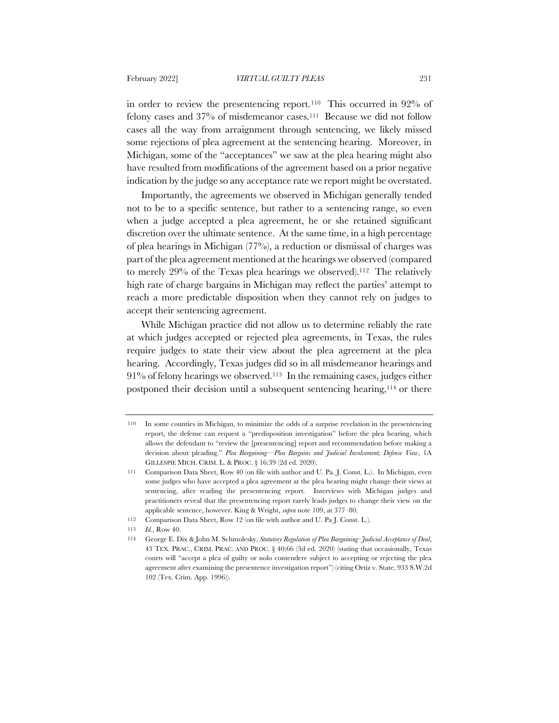in order to review the presentencing report.110 This occurred in 92% of felony cases and 37% of misdemeanor cases.111 Because we did not follow cases all the way from arraignment through sentencing, we likely missed some rejections of plea agreement at the sentencing hearing. Moreover, in Michigan, some of the "acceptances" we saw at the plea hearing might also have resulted from modifications of the agreement based on a prior negative indication by the judge so any acceptance rate we report might be overstated.

Importantly, the agreements we observed in Michigan generally tended not to be to a specific sentence, but rather to a sentencing range, so even when a judge accepted a plea agreement, he or she retained significant discretion over the ultimate sentence. At the same time, in a high percentage of plea hearings in Michigan (77%), a reduction or dismissal of charges was part of the plea agreement mentioned at the hearings we observed (compared to merely 29% of the Texas plea hearings we observed).112 The relatively high rate of charge bargains in Michigan may reflect the parties' attempt to reach a more predictable disposition when they cannot rely on judges to accept their sentencing agreement.

While Michigan practice did not allow us to determine reliably the rate at which judges accepted or rejected plea agreements, in Texas, the rules require judges to state their view about the plea agreement at the plea hearing. Accordingly, Texas judges did so in all misdemeanor hearings and 91% of felony hearings we observed.113 In the remaining cases, judges either postponed their decision until a subsequent sentencing hearing,114 or there

<sup>110</sup> In some counties in Michigan, to minimize the odds of a surprise revelation in the presentencing report, the defense can request a "predisposition investigation" before the plea hearing, which allows the defendant to "review the [presentencing] report and recommendation before making a decision about pleading." *Plea Bargaining—Plea Bargains and Judicial Involvement; Defense View*, 1A GILLESPIE MICH. CRIM. L. & PROC. § 16:39 (2d ed. 2020).

<sup>111</sup> Comparison Data Sheet, Row 40 (on file with author and U. Pa. J. Const. L.). In Michigan, even some judges who have accepted a plea agreement at the plea hearing might change their views at sentencing, after reading the presentencing report. Interviews with Michigan judges and practitioners reveal that the presentencing report rarely leads judges to change their view on the applicable sentence, however. King & Wright, *supra* note 109, at 377–80.

<sup>112</sup> Comparison Data Sheet, Row 12 (on file with author and U. Pa J. Const. L.).

<sup>113</sup> *Id.*, Row 40.

<sup>114</sup> George E. Dix & John M. Schmolesky, *Statutory Regulation of Plea Bargaining–Judicial Acceptance of Deal*, 43 TEX. PRAC., CRIM. PRAC. AND PROC. § 40:66 (3d ed. 2020) (stating that occasionally, Texas courts will "accept a plea of guilty or nolo contendere subject to accepting or rejecting the plea agreement after examining the presentence investigation report") (citing Ortiz v. State, 933 S.W.2d 102 (Tex. Crim. App. 1996)).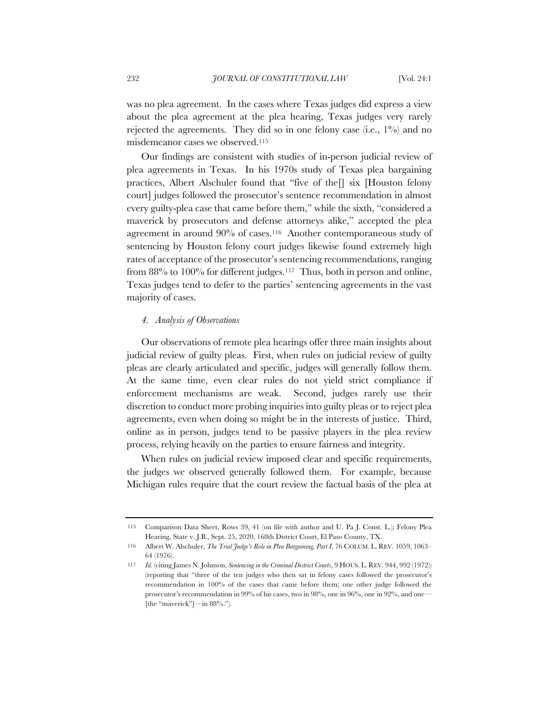was no plea agreement. In the cases where Texas judges did express a view about the plea agreement at the plea hearing, Texas judges very rarely rejected the agreements. They did so in one felony case (i.e.,  $1\%$ ) and no misdemeanor cases we observed.115

Our findings are consistent with studies of in-person judicial review of plea agreements in Texas. In his 1970s study of Texas plea bargaining practices, Albert Alschuler found that "five of the[] six [Houston felony court] judges followed the prosecutor's sentence recommendation in almost every guilty-plea case that came before them," while the sixth, "considered a maverick by prosecutors and defense attorneys alike," accepted the plea agreement in around 90% of cases.116 Another contemporaneous study of sentencing by Houston felony court judges likewise found extremely high rates of acceptance of the prosecutor's sentencing recommendations, ranging from 88% to 100% for different judges.117 Thus, both in person and online, Texas judges tend to defer to the parties' sentencing agreements in the vast majority of cases.

#### *4. Analysis of Observations*

Our observations of remote plea hearings offer three main insights about judicial review of guilty pleas. First, when rules on judicial review of guilty pleas are clearly articulated and specific, judges will generally follow them. At the same time, even clear rules do not yield strict compliance if enforcement mechanisms are weak. Second, judges rarely use their discretion to conduct more probing inquiries into guilty pleas or to reject plea agreements, even when doing so might be in the interests of justice. Third, online as in person, judges tend to be passive players in the plea review process, relying heavily on the parties to ensure fairness and integrity.

When rules on judicial review imposed clear and specific requirements, the judges we observed generally followed them. For example, because Michigan rules require that the court review the factual basis of the plea at

<sup>115</sup> Comparison Data Sheet, Rows 39, 41 (on file with author and U. Pa J. Const. L.); Felony Plea Hearing, State v. J.B., Sept. 25, 2020, 168th District Court, El Paso County, TX.

<sup>116</sup> Albert W. Alschuler, *The Trial Judge's Role in Plea Bargaining, Part I*, 76 COLUM. L. REV. 1059, 1063– 64 (1976).

<sup>117</sup> *Id.* (citing James N. Johnson, *Sentencing in the Criminal District Courts*, 9 HOUS. L. REV. 944, 992 (1972)) (reporting that "three of the ten judges who then sat in felony cases followed the prosecutor's recommendation in 100% of the cases that came before them; one other judge followed the prosecutor's recommendation in 99% of his cases, two in 98%, one in 96%, one in 92%, and one— [the "maverick"]—in 88%.").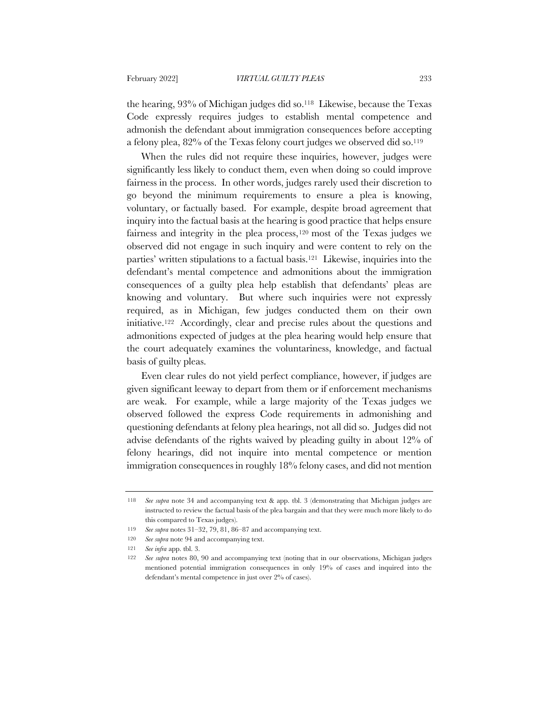the hearing, 93% of Michigan judges did so.118 Likewise, because the Texas Code expressly requires judges to establish mental competence and admonish the defendant about immigration consequences before accepting a felony plea, 82% of the Texas felony court judges we observed did so.119

When the rules did not require these inquiries, however, judges were significantly less likely to conduct them, even when doing so could improve fairness in the process. In other words, judges rarely used their discretion to go beyond the minimum requirements to ensure a plea is knowing, voluntary, or factually based. For example, despite broad agreement that inquiry into the factual basis at the hearing is good practice that helps ensure fairness and integrity in the plea process,120 most of the Texas judges we observed did not engage in such inquiry and were content to rely on the parties' written stipulations to a factual basis.121 Likewise, inquiries into the defendant's mental competence and admonitions about the immigration consequences of a guilty plea help establish that defendants' pleas are knowing and voluntary. But where such inquiries were not expressly required, as in Michigan, few judges conducted them on their own initiative.122 Accordingly, clear and precise rules about the questions and admonitions expected of judges at the plea hearing would help ensure that the court adequately examines the voluntariness, knowledge, and factual basis of guilty pleas.

Even clear rules do not yield perfect compliance, however, if judges are given significant leeway to depart from them or if enforcement mechanisms are weak. For example, while a large majority of the Texas judges we observed followed the express Code requirements in admonishing and questioning defendants at felony plea hearings, not all did so. Judges did not advise defendants of the rights waived by pleading guilty in about 12% of felony hearings, did not inquire into mental competence or mention immigration consequences in roughly 18% felony cases, and did not mention

<sup>118</sup> *See supra* note 34 and accompanying text & app. tbl. 3 (demonstrating that Michigan judges are instructed to review the factual basis of the plea bargain and that they were much more likely to do this compared to Texas judges).

<sup>119</sup> *See supra* notes 31–32, 79, 81, 86–87 and accompanying text.

<sup>120</sup> *See supra* note 94 and accompanying text.

<sup>121</sup> *See infra* app. tbl. 3.

<sup>122</sup> *See supra* notes 80, 90 and accompanying text (noting that in our observations, Michigan judges mentioned potential immigration consequences in only 19% of cases and inquired into the defendant's mental competence in just over 2% of cases).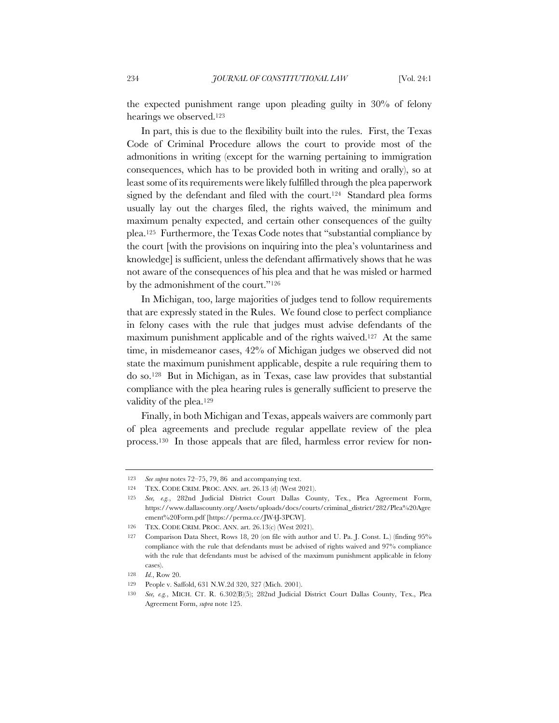the expected punishment range upon pleading guilty in 30% of felony hearings we observed.123

In part, this is due to the flexibility built into the rules. First, the Texas Code of Criminal Procedure allows the court to provide most of the admonitions in writing (except for the warning pertaining to immigration consequences, which has to be provided both in writing and orally), so at least some of its requirements were likely fulfilled through the plea paperwork signed by the defendant and filed with the court.<sup>124</sup> Standard plea forms usually lay out the charges filed, the rights waived, the minimum and maximum penalty expected, and certain other consequences of the guilty plea.125 Furthermore, the Texas Code notes that "substantial compliance by the court [with the provisions on inquiring into the plea's voluntariness and knowledge] is sufficient, unless the defendant affirmatively shows that he was not aware of the consequences of his plea and that he was misled or harmed by the admonishment of the court."126

In Michigan, too, large majorities of judges tend to follow requirements that are expressly stated in the Rules. We found close to perfect compliance in felony cases with the rule that judges must advise defendants of the maximum punishment applicable and of the rights waived.127 At the same time, in misdemeanor cases, 42% of Michigan judges we observed did not state the maximum punishment applicable, despite a rule requiring them to do so.128 But in Michigan, as in Texas, case law provides that substantial compliance with the plea hearing rules is generally sufficient to preserve the validity of the plea.129

Finally, in both Michigan and Texas, appeals waivers are commonly part of plea agreements and preclude regular appellate review of the plea process.130 In those appeals that are filed, harmless error review for non-

<sup>123</sup> *See supra* notes 72–75, 79, 86 and accompanying text.

<sup>124</sup> TEX. CODE CRIM. PROC. ANN. art. 26.13 (d) (West 2021).

<sup>125</sup> *See, e.g.*, 282nd Judicial District Court Dallas County, Tex., Plea Agreement Form, https://www.dallascounty.org/Assets/uploads/docs/courts/criminal\_district/282/Plea%20Agre ement%20Form.pdf [https://perma.cc/JW4J-3PCW].

<sup>126</sup> TEX. CODE CRIM. PROC. ANN. art. 26.13(c) (West 2021).

<sup>127</sup> Comparison Data Sheet, Rows 18, 20 (on file with author and U. Pa. J. Const. L.) (finding 95% compliance with the rule that defendants must be advised of rights waived and 97% compliance with the rule that defendants must be advised of the maximum punishment applicable in felony cases).

<sup>128</sup> *Id.*, Row 20.

<sup>129</sup> People v. Saffold, 631 N.W.2d 320, 327 (Mich. 2001).

<sup>130</sup> *See, e.g.*, MICH. CT. R. 6.302(B)(5); 282nd Judicial District Court Dallas County, Tex., Plea Agreement Form, *supra* note 125.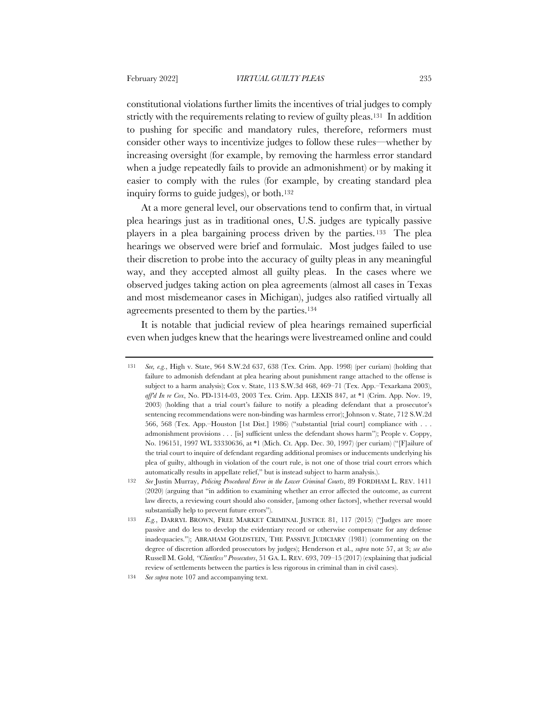constitutional violations further limits the incentives of trial judges to comply strictly with the requirements relating to review of guilty pleas.131 In addition to pushing for specific and mandatory rules, therefore, reformers must consider other ways to incentivize judges to follow these rules—whether by increasing oversight (for example, by removing the harmless error standard when a judge repeatedly fails to provide an admonishment) or by making it easier to comply with the rules (for example, by creating standard plea inquiry forms to guide judges), or both.<sup>132</sup>

At a more general level, our observations tend to confirm that, in virtual plea hearings just as in traditional ones, U.S. judges are typically passive players in a plea bargaining process driven by the parties. <sup>133</sup> The plea hearings we observed were brief and formulaic. Most judges failed to use their discretion to probe into the accuracy of guilty pleas in any meaningful way, and they accepted almost all guilty pleas. In the cases where we observed judges taking action on plea agreements (almost all cases in Texas and most misdemeanor cases in Michigan), judges also ratified virtually all agreements presented to them by the parties.134

It is notable that judicial review of plea hearings remained superficial even when judges knew that the hearings were livestreamed online and could

<sup>131</sup> *See, e.g.*, High v. State, 964 S.W.2d 637, 638 (Tex. Crim. App. 1998) (per curiam) (holding that failure to admonish defendant at plea hearing about punishment range attached to the offense is subject to a harm analysis); Cox v. State, 113 S.W.3d 468, 469–71 (Tex. App.–Texarkana 2003), *aff'd In re Cox*, No. PD-1314-03, 2003 Tex. Crim. App. LEXIS 847, at \*1 (Crim. App. Nov. 19, 2003) (holding that a trial court's failure to notify a pleading defendant that a prosecutor's sentencing recommendations were non-binding was harmless error); Johnson v. State, 712 S.W.2d 566, 568 (Tex. App.–Houston [1st Dist.] 1986) ("substantial [trial court] compliance with . . . admonishment provisions . . . [is] sufficient unless the defendant shows harm"); People v. Coppy, No. 196151, 1997 WL 33330636, at \*1 (Mich. Ct. App. Dec. 30, 1997) (per curiam) ("[F]ailure of the trial court to inquire of defendant regarding additional promises or inducements underlying his plea of guilty, although in violation of the court rule, is not one of those trial court errors which automatically results in appellate relief," but is instead subject to harm analysis.).

<sup>132</sup> *See* Justin Murray, *Policing Procedural Error in the Lower Criminal Courts*, 89 FORDHAM L. REV. 1411 (2020) (arguing that "in addition to examining whether an error affected the outcome, as current law directs, a reviewing court should also consider, [among other factors], whether reversal would substantially help to prevent future errors").

<sup>133</sup> *E.g.*, DARRYL BROWN, FREE MARKET CRIMINAL JUSTICE 81, 117 (2015) ("Judges are more passive and do less to develop the evidentiary record or otherwise compensate for any defense inadequacies."); ABRAHAM GOLDSTEIN, THE PASSIVE JUDICIARY (1981) (commenting on the degree of discretion afforded prosecutors by judges); Henderson et al., *supra* note 57, at 3; *see also* Russell M. Gold, *"Clientless" Prosecutors*, 51 GA. L. REV. 693, 709–15 (2017) (explaining that judicial review of settlements between the parties is less rigorous in criminal than in civil cases).

<sup>134</sup> *See supra* note 107 and accompanying text.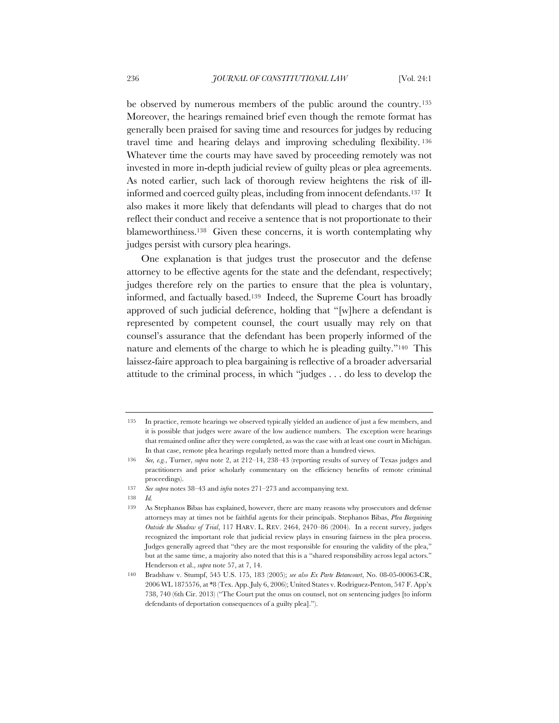be observed by numerous members of the public around the country.135 Moreover, the hearings remained brief even though the remote format has generally been praised for saving time and resources for judges by reducing travel time and hearing delays and improving scheduling flexibility. <sup>136</sup> Whatever time the courts may have saved by proceeding remotely was not invested in more in-depth judicial review of guilty pleas or plea agreements. As noted earlier, such lack of thorough review heightens the risk of illinformed and coerced guilty pleas, including from innocent defendants.137 It also makes it more likely that defendants will plead to charges that do not reflect their conduct and receive a sentence that is not proportionate to their blameworthiness.138 Given these concerns, it is worth contemplating why judges persist with cursory plea hearings.

One explanation is that judges trust the prosecutor and the defense attorney to be effective agents for the state and the defendant, respectively; judges therefore rely on the parties to ensure that the plea is voluntary, informed, and factually based.139 Indeed, the Supreme Court has broadly approved of such judicial deference, holding that "[w]here a defendant is represented by competent counsel, the court usually may rely on that counsel's assurance that the defendant has been properly informed of the nature and elements of the charge to which he is pleading guilty."140 This laissez-faire approach to plea bargaining is reflective of a broader adversarial attitude to the criminal process, in which "judges . . . do less to develop the

<sup>135</sup> In practice, remote hearings we observed typically yielded an audience of just a few members, and it is possible that judges were aware of the low audience numbers. The exception were hearings that remained online after they were completed, as was the case with at least one court in Michigan. In that case, remote plea hearings regularly netted more than a hundred views.

<sup>136</sup> *See, e.g.*, Turner, *supra* note 2, at 212–14, 238–43 (reporting results of survey of Texas judges and practitioners and prior scholarly commentary on the efficiency benefits of remote criminal proceedings).

<sup>137</sup> *See supra* notes 38–43 and *infra* notes 271–273 and accompanying text.

<sup>138</sup> *Id.*

<sup>139</sup> As Stephanos Bibas has explained, however, there are many reasons why prosecutors and defense attorneys may at times not be faithful agents for their principals. Stephanos Bibas, *Plea Bargaining Outside the Shadow of Trial*, 117 HARV. L. REV. 2464, 2470–86 (2004). In a recent survey, judges recognized the important role that judicial review plays in ensuring fairness in the plea process. Judges generally agreed that "they are the most responsible for ensuring the validity of the plea," but at the same time, a majority also noted that this is a "shared responsibility across legal actors." Henderson et al., *supra* note 57, at 7, 14.

<sup>140</sup> Bradshaw v. Stumpf, 545 U.S. 175, 183 (2005); *see also Ex Parte Betancourt*, No. 08-05-00063-CR, 2006 WL 1875576, at \*8 (Tex. App. July 6, 2006); United States v. Rodriguez-Penton, 547 F. App'x 738, 740 (6th Cir. 2013) ("The Court put the onus on counsel, not on sentencing judges [to inform defendants of deportation consequences of a guilty plea].").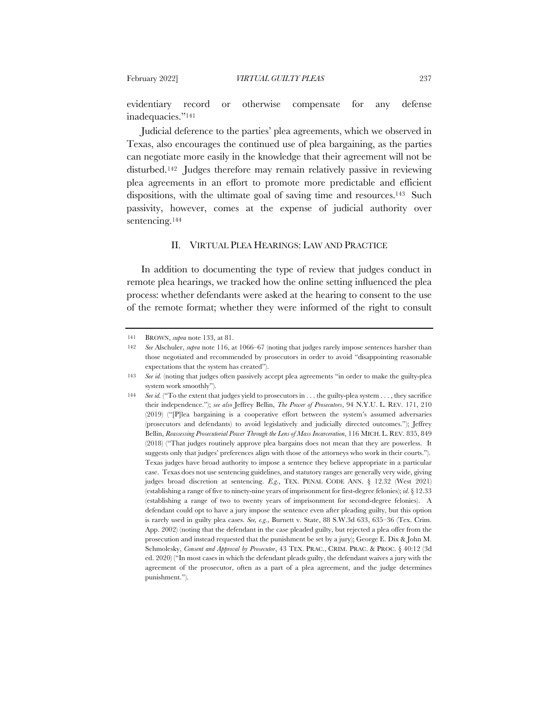evidentiary record or otherwise compensate for any defense inadequacies."141

Judicial deference to the parties' plea agreements, which we observed in Texas, also encourages the continued use of plea bargaining, as the parties can negotiate more easily in the knowledge that their agreement will not be disturbed.142 Judges therefore may remain relatively passive in reviewing plea agreements in an effort to promote more predictable and efficient dispositions, with the ultimate goal of saving time and resources.<sup>143</sup> Such passivity, however, comes at the expense of judicial authority over sentencing.<sup>144</sup>

### II. VIRTUAL PLEA HEARINGS: LAW AND PRACTICE

In addition to documenting the type of review that judges conduct in remote plea hearings, we tracked how the online setting influenced the plea process: whether defendants were asked at the hearing to consent to the use of the remote format; whether they were informed of the right to consult

<sup>141</sup> BROWN, *supra* note 133, at 81.

<sup>142</sup> *See* Alschuler, *supra* note 116, at 1066–67 (noting that judges rarely impose sentences harsher than those negotiated and recommended by prosecutors in order to avoid "disappointing reasonable expectations that the system has created").

<sup>143</sup> *See id.* (noting that judges often passively accept plea agreements "in order to make the guilty-plea system work smoothly").

<sup>144</sup> *See id.* ("To the extent that judges yield to prosecutors in . . . the guilty-plea system . . . , they sacrifice their independence."); *see also* Jeffrey Bellin, *The Power of Prosecutors*, 94 N.Y.U. L. REV. 171, 210 (2019) ("[P]lea bargaining is a cooperative effort between the system's assumed adversaries (prosecutors and defendants) to avoid legislatively and judicially directed outcomes."); Jeffrey Bellin, *Reassessing Prosecutorial Power Through the Lens of Mass Incarceration*, 116 MICH. L. REV. 835, 849 (2018) ("That judges routinely approve plea bargains does not mean that they are powerless. It suggests only that judges' preferences align with those of the attorneys who work in their courts."). Texas judges have broad authority to impose a sentence they believe appropriate in a particular case. Texas does not use sentencing guidelines, and statutory ranges are generally very wide, giving judges broad discretion at sentencing. *E.g*., TEX. PENAL CODE ANN. § 12.32 (West 2021) (establishing a range of five to ninety-nine years of imprisonment for first-degree felonies); *id*. § 12.33 (establishing a range of two to twenty years of imprisonment for second-degree felonies). A defendant could opt to have a jury impose the sentence even after pleading guilty, but this option is rarely used in guilty plea cases. *See, e.g*., Burnett v. State, 88 S.W.3d 633, 635–36 (Tex. Crim. App. 2002) (noting that the defendant in the case pleaded guilty, but rejected a plea offer from the prosecution and instead requested that the punishment be set by a jury); George E. Dix & John M. Schmolesky, *Consent and Approval by Prosecutor*, 43 TEX. PRAC., CRIM. PRAC. & PROC. § 40:12 (3d ed. 2020) ("In most cases in which the defendant pleads guilty, the defendant waives a jury with the agreement of the prosecutor, often as a part of a plea agreement, and the judge determines punishment.").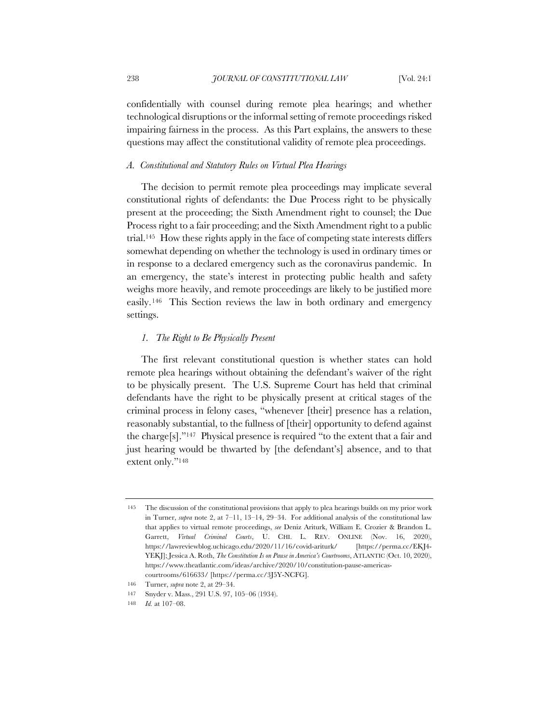confidentially with counsel during remote plea hearings; and whether technological disruptions or the informal setting of remote proceedings risked impairing fairness in the process. As this Part explains, the answers to these questions may affect the constitutional validity of remote plea proceedings.

#### *A. Constitutional and Statutory Rules on Virtual Plea Hearings*

The decision to permit remote plea proceedings may implicate several constitutional rights of defendants: the Due Process right to be physically present at the proceeding; the Sixth Amendment right to counsel; the Due Process right to a fair proceeding; and the Sixth Amendment right to a public trial.145 How these rights apply in the face of competing state interests differs somewhat depending on whether the technology is used in ordinary times or in response to a declared emergency such as the coronavirus pandemic. In an emergency, the state's interest in protecting public health and safety weighs more heavily, and remote proceedings are likely to be justified more easily.146 This Section reviews the law in both ordinary and emergency settings.

# *1. The Right to Be Physically Present*

The first relevant constitutional question is whether states can hold remote plea hearings without obtaining the defendant's waiver of the right to be physically present. The U.S. Supreme Court has held that criminal defendants have the right to be physically present at critical stages of the criminal process in felony cases, "whenever [their] presence has a relation, reasonably substantial, to the fullness of [their] opportunity to defend against the charge[s]."147 Physical presence is required "to the extent that a fair and just hearing would be thwarted by [the defendant's] absence, and to that extent only."148

<sup>145</sup> The discussion of the constitutional provisions that apply to plea hearings builds on my prior work in Turner, *supra* note 2, at 7–11, 13–14, 29–34. For additional analysis of the constitutional law that applies to virtual remote proceedings, *see* Deniz Ariturk, William E. Crozier & Brandon L. Garrett, *Virtual Criminal Courts*, U. CHI. L. REV. ONLINE (Nov. 16, 2020), https://lawreviewblog.uchicago.edu/2020/11/16/covid-ariturk/ [https://perma.cc/EKJ4- YEKJ]; Jessica A. Roth, *The Constitution Is on Pause in America's Courtrooms*, ATLANTIC (Oct. 10, 2020), https://www.theatlantic.com/ideas/archive/2020/10/constitution-pause-americascourtrooms/616633/ [https://perma.cc/3J5Y-NCFG].

<sup>146</sup> Turner, *supra* note 2, at 29–34.

<sup>147</sup> Snyder v. Mass., 291 U.S. 97, 105–06 (1934).

<sup>148</sup> *Id.* at 107–08.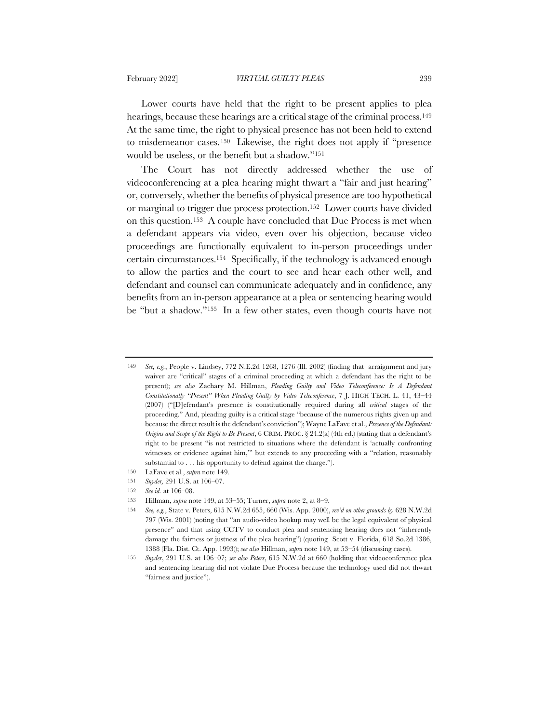Lower courts have held that the right to be present applies to plea hearings, because these hearings are a critical stage of the criminal process.<sup>149</sup> At the same time, the right to physical presence has not been held to extend to misdemeanor cases.150 Likewise, the right does not apply if "presence would be useless, or the benefit but a shadow."151

The Court has not directly addressed whether the use of videoconferencing at a plea hearing might thwart a "fair and just hearing" or, conversely, whether the benefits of physical presence are too hypothetical or marginal to trigger due process protection.152 Lower courts have divided on this question.153 A couple have concluded that Due Process is met when a defendant appears via video, even over his objection, because video proceedings are functionally equivalent to in-person proceedings under certain circumstances.154 Specifically, if the technology is advanced enough to allow the parties and the court to see and hear each other well, and defendant and counsel can communicate adequately and in confidence, any benefits from an in-person appearance at a plea or sentencing hearing would be "but a shadow."155 In a few other states, even though courts have not

<sup>149</sup> *See, e.g.*, People v. Lindsey, 772 N.E.2d 1268, 1276 (Ill. 2002) (finding that arraignment and jury waiver are "critical" stages of a criminal proceeding at which a defendant has the right to be present); *see also* Zachary M. Hillman, *Pleading Guilty and Video Teleconference: Is A Defendant Constitutionally "Present" When Pleading Guilty by Video Teleconference*, 7 J. HIGH TECH. L. 41, 43–44 (2007) ("[D]efendant's presence is constitutionally required during all *critical* stages of the proceeding." And, pleading guilty is a critical stage "because of the numerous rights given up and because the direct result is the defendant's conviction"); Wayne LaFave et al., *Presence of the Defendant: Origins and Scope of the Right to Be Present*, 6 CRIM. PROC. § 24.2(a) (4th ed.) (stating that a defendant's right to be present "is not restricted to situations where the defendant is 'actually confronting witnesses or evidence against him,'" but extends to any proceeding with a "relation, reasonably substantial to . . . his opportunity to defend against the charge.").

<sup>150</sup> LaFave et al., *supra* note 149.

<sup>151</sup> *Snyder,* 291 U.S. at 106–07.

<sup>152</sup> *See id.* at 106–08.

<sup>153</sup> Hillman, *supra* note 149, at 53–55; Turner, *supra* note 2, at 8–9.

<sup>154</sup> *See, e.g.*, State v. Peters, 615 N.W.2d 655, 660 (Wis. App. 2000), *rev'd on other grounds by* 628 N.W.2d 797 (Wis. 2001) (noting that "an audio-video hookup may well be the legal equivalent of physical presence" and that using CCTV to conduct plea and sentencing hearing does not "inherently damage the fairness or justness of the plea hearing") (quoting Scott v. Florida, 618 So.2d 1386, 1388 (Fla. Dist. Ct. App. 1993)); *see also* Hillman, *supra* note 149, at 53–54 (discussing cases).

<sup>155</sup> *Snyder*, 291 U.S. at 106–07; *see also Peters*, 615 N.W.2d at 660 (holding that videoconference plea and sentencing hearing did not violate Due Process because the technology used did not thwart "fairness and justice").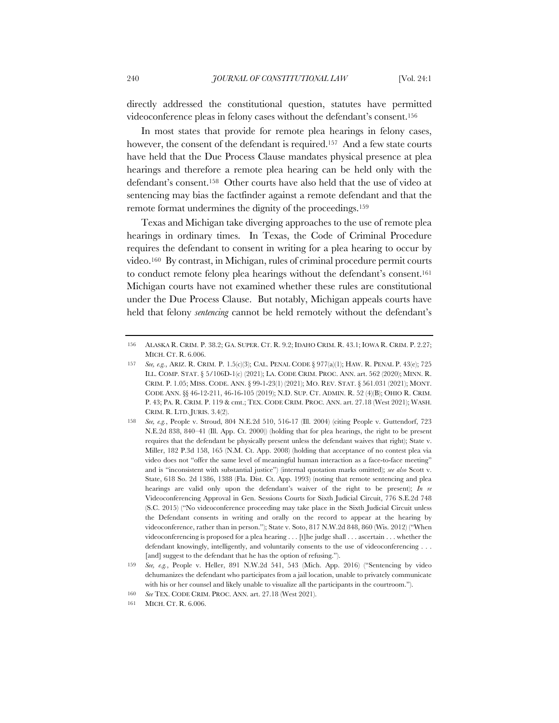directly addressed the constitutional question, statutes have permitted videoconference pleas in felony cases without the defendant's consent.156

In most states that provide for remote plea hearings in felony cases, however, the consent of the defendant is required.<sup>157</sup> And a few state courts have held that the Due Process Clause mandates physical presence at plea hearings and therefore a remote plea hearing can be held only with the defendant's consent.158 Other courts have also held that the use of video at sentencing may bias the factfinder against a remote defendant and that the remote format undermines the dignity of the proceedings.159

Texas and Michigan take diverging approaches to the use of remote plea hearings in ordinary times. In Texas, the Code of Criminal Procedure requires the defendant to consent in writing for a plea hearing to occur by video.160 By contrast, in Michigan, rules of criminal procedure permit courts to conduct remote felony plea hearings without the defendant's consent.161 Michigan courts have not examined whether these rules are constitutional under the Due Process Clause. But notably, Michigan appeals courts have held that felony *sentencing* cannot be held remotely without the defendant's

<sup>156</sup> ALASKA R. CRIM. P. 38.2; GA. SUPER. CT. R. 9.2; IDAHO CRIM. R. 43.1; IOWA R. CRIM. P. 2.27; MICH CT R 6.006

<sup>157</sup> *See, e.g.*, ARIZ. R. CRIM. P. 1.5(c)(3); CAL. PENAL CODE § 977(a)(1); HAW. R. PENAL P. 43(e); 725 ILL. COMP. STAT. § 5/106D-1(c) (2021); LA. CODE CRIM. PROC. ANN. art. 562 (2020); MINN. R. CRIM. P. 1.05; MISS. CODE. ANN. § 99-1-23(1) (2021); MO. REV. STAT. § 561.031 (2021); MONT. CODE ANN. §§ 46-12-211, 46-16-105 (2019); N.D. SUP. CT. ADMIN. R. 52 (4)(B); OHIO R. CRIM. P. 43; PA. R. CRIM. P. 119 & cmt.; TEX. CODE CRIM. PROC. ANN. art. 27.18 (West 2021); WASH. CRIM. R. LTD. JURIS. 3.4(2).

<sup>158</sup> *See, e.g.*, People v. Stroud, 804 N.E.2d 510, 516-17 (Ill. 2004) (citing People v. Guttendorf, 723 N.E.2d 838, 840–41 (Ill. App. Ct. 2000)) (holding that for plea hearings, the right to be present requires that the defendant be physically present unless the defendant waives that right); State v. Miller, 182 P.3d 158, 165 (N.M. Ct. App. 2008) (holding that acceptance of no contest plea via video does not "offer the same level of meaningful human interaction as a face-to-face meeting" and is "inconsistent with substantial justice") (internal quotation marks omitted); *see also* Scott v. State, 618 So. 2d 1386, 1388 (Fla. Dist. Ct. App. 1993) (noting that remote sentencing and plea hearings are valid only upon the defendant's waiver of the right to be present); *In re* Videoconferencing Approval in Gen. Sessions Courts for Sixth Judicial Circuit, 776 S.E.2d 748 (S.C. 2015) ("No videoconference proceeding may take place in the Sixth Judicial Circuit unless the Defendant consents in writing and orally on the record to appear at the hearing by videoconference, rather than in person."); State v. Soto, 817 N.W.2d 848, 860 (Wis. 2012) ("When videoconferencing is proposed for a plea hearing . . . [t]he judge shall . . . ascertain . . . whether the defendant knowingly, intelligently, and voluntarily consents to the use of videoconferencing . . . [and] suggest to the defendant that he has the option of refusing.").

<sup>159</sup> *See, e.g.*, People v. Heller, 891 N.W.2d 541, 543 (Mich. App. 2016) ("Sentencing by video dehumanizes the defendant who participates from a jail location, unable to privately communicate with his or her counsel and likely unable to visualize all the participants in the courtroom.").

<sup>160</sup> *See* TEX. CODE CRIM. PROC. ANN. art. 27.18 (West 2021).

<sup>161</sup> MICH. CT. R. 6.006.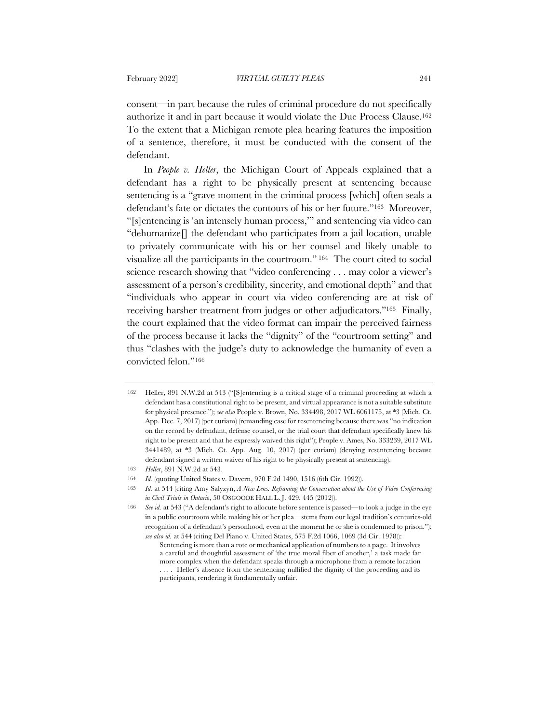consent—in part because the rules of criminal procedure do not specifically authorize it and in part because it would violate the Due Process Clause.162 To the extent that a Michigan remote plea hearing features the imposition of a sentence, therefore, it must be conducted with the consent of the defendant.

In *People v. Heller*, the Michigan Court of Appeals explained that a defendant has a right to be physically present at sentencing because sentencing is a "grave moment in the criminal process [which] often seals a defendant's fate or dictates the contours of his or her future."163 Moreover, "[s]entencing is 'an intensely human process,'" and sentencing via video can "dehumanize[] the defendant who participates from a jail location, unable to privately communicate with his or her counsel and likely unable to visualize all the participants in the courtroom." <sup>164</sup> The court cited to social science research showing that "video conferencing . . . may color a viewer's assessment of a person's credibility, sincerity, and emotional depth" and that "individuals who appear in court via video conferencing are at risk of receiving harsher treatment from judges or other adjudicators."165 Finally, the court explained that the video format can impair the perceived fairness of the process because it lacks the "dignity" of the "courtroom setting" and thus "clashes with the judge's duty to acknowledge the humanity of even a convicted felon."166

<sup>162</sup> Heller, 891 N.W.2d at 543 ("[S]entencing is a critical stage of a criminal proceeding at which a defendant has a constitutional right to be present, and virtual appearance is not a suitable substitute for physical presence."); *see also* People v. Brown, No. 334498, 2017 WL 6061175, at \*3 (Mich. Ct. App. Dec. 7, 2017) (per curiam) (remanding case for resentencing because there was "no indication on the record by defendant, defense counsel, or the trial court that defendant specifically knew his right to be present and that he expressly waived this right"); People v. Ames, No. 333239, 2017 WL 3441489, at \*3 (Mich. Ct. App. Aug. 10, 2017) (per curiam) (denying resentencing because defendant signed a written waiver of his right to be physically present at sentencing).

<sup>163</sup> *Heller*, 891 N.W.2d at 543.

<sup>164</sup> *Id.* (quoting United States v. Davern, 970 F.2d 1490, 1516 (6th Cir. 1992)).

<sup>165</sup> *Id.* at 544 (citing Amy Salyzyn, *A New Lens: Reframing the Conversation about the Use of Video Conferencing in Civil Trials in Ontario*, 50 OSGOODE HALL L. J. 429, 445 (2012)).

<sup>166</sup> *See id.* at 543 ("A defendant's right to allocute before sentence is passed—to look a judge in the eye in a public courtroom while making his or her plea—stems from our legal tradition's centuries-old recognition of a defendant's personhood, even at the moment he or she is condemned to prison."); *see also id.* at 544 (citing Del Piano v. United States, 575 F.2d 1066, 1069 (3d Cir. 1978)):

Sentencing is more than a rote or mechanical application of numbers to a page. It involves a careful and thoughtful assessment of 'the true moral fiber of another,' a task made far more complex when the defendant speaks through a microphone from a remote location . . . . Heller's absence from the sentencing nullified the dignity of the proceeding and its participants, rendering it fundamentally unfair.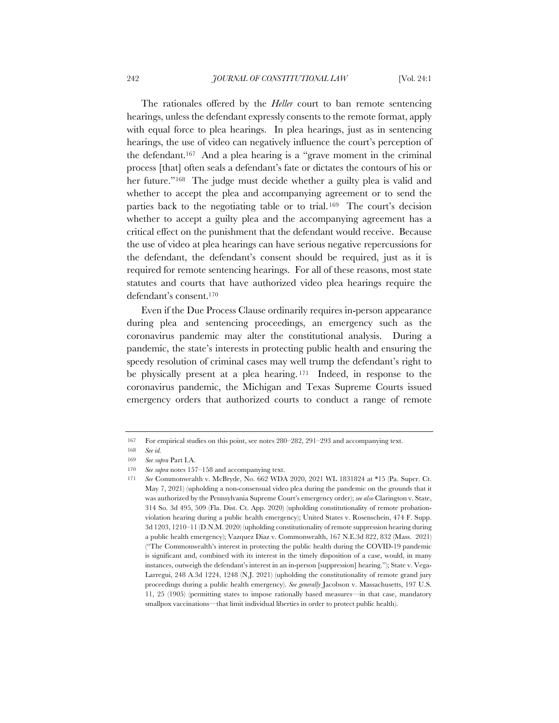The rationales offered by the *Heller* court to ban remote sentencing hearings, unless the defendant expressly consents to the remote format, apply with equal force to plea hearings. In plea hearings, just as in sentencing hearings, the use of video can negatively influence the court's perception of the defendant.167 And a plea hearing is a "grave moment in the criminal process [that] often seals a defendant's fate or dictates the contours of his or her future."<sup>168</sup> The judge must decide whether a guilty plea is valid and whether to accept the plea and accompanying agreement or to send the parties back to the negotiating table or to trial.<sup>169</sup> The court's decision whether to accept a guilty plea and the accompanying agreement has a critical effect on the punishment that the defendant would receive. Because the use of video at plea hearings can have serious negative repercussions for the defendant, the defendant's consent should be required, just as it is required for remote sentencing hearings. For all of these reasons, most state statutes and courts that have authorized video plea hearings require the defendant's consent.170

Even if the Due Process Clause ordinarily requires in-person appearance during plea and sentencing proceedings, an emergency such as the coronavirus pandemic may alter the constitutional analysis. During a pandemic, the state's interests in protecting public health and ensuring the speedy resolution of criminal cases may well trump the defendant's right to be physically present at a plea hearing. <sup>171</sup> Indeed, in response to the coronavirus pandemic, the Michigan and Texas Supreme Courts issued emergency orders that authorized courts to conduct a range of remote

<sup>167</sup> For empirical studies on this point, see notes 280–282, 291–293 and accompanying text.

<sup>168</sup> *See id.*

<sup>169</sup> *See supra* Part I.A.

<sup>170</sup> *See supra* notes 157–158 and accompanying text.

<sup>171</sup> *See* Commonwealth v. McBryde, No. 662 WDA 2020, 2021 WL 1831824 at \*15 (Pa. Super. Ct. May 7, 2021) (upholding a non-consensual video plea during the pandemic on the grounds that it was authorized by the Pennsylvania Supreme Court's emergency order); *see also* Clarington v. State, 314 So. 3d 495, 509 (Fla. Dist. Ct. App. 2020) (upholding constitutionality of remote probationviolation hearing during a public health emergency); United States v. Rosenschein, 474 F. Supp. 3d 1203, 1210–11 (D.N.M. 2020) (upholding constitutionality of remote suppression hearing during a public health emergency); Vazquez Diaz v. Commonwealth, 167 N.E.3d 822, 832 (Mass. 2021) ("The Commonwealth's interest in protecting the public health during the COVID-19 pandemic is significant and, combined with its interest in the timely disposition of a case, would, in many instances, outweigh the defendant's interest in an in-person [suppression] hearing."); State v. Vega-Larregui, 248 A.3d 1224, 1248 (N.J. 2021) (upholding the constitutionality of remote grand jury proceedings during a public health emergency). *See generally* Jacobson v. Massachusetts, 197 U.S. 11, 25 (1905) (permitting states to impose rationally based measures—in that case, mandatory smallpox vaccinations—that limit individual liberties in order to protect public health).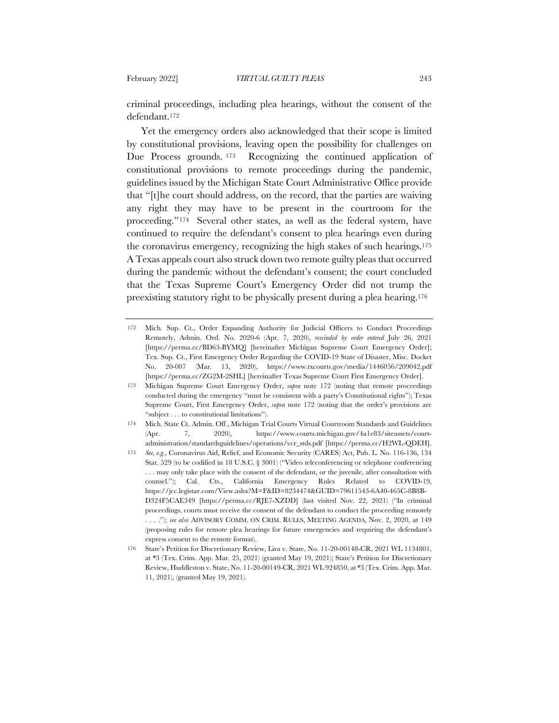criminal proceedings, including plea hearings, without the consent of the defendant.172

Yet the emergency orders also acknowledged that their scope is limited by constitutional provisions, leaving open the possibility for challenges on Due Process grounds. <sup>173</sup> Recognizing the continued application of constitutional provisions to remote proceedings during the pandemic, guidelines issued by the Michigan State Court Administrative Office provide that "[t]he court should address, on the record, that the parties are waiving any right they may have to be present in the courtroom for the proceeding."174 Several other states, as well as the federal system, have continued to require the defendant's consent to plea hearings even during the coronavirus emergency, recognizing the high stakes of such hearings.175 A Texas appeals court also struck down two remote guilty pleas that occurred during the pandemic without the defendant's consent; the court concluded that the Texas Supreme Court's Emergency Order did not trump the preexisting statutory right to be physically present during a plea hearing.176

<sup>172</sup> Mich. Sup. Ct., Order Expanding Authority for Judicial Officers to Conduct Proceedings Remotely, Admin. Ord. No. 2020-6 (Apr. 7, 2020), *rescinded by order entered* July 26, 2021 [https://perma.cc/BD63-BYMQ] [hereinafter Michigan Supreme Court Emergency Order]; Tex. Sup. Ct., First Emergency Order Regarding the COVID-19 State of Disaster, Misc. Docket No. 20-007 (Mar. 13, 2020), https://www.txcourts.gov/media/1446056/209042.pdf [https://perma.cc/ZG2M-2SHL] [hereinafter Texas Supreme Court First Emergency Order].

<sup>173</sup> Michigan Supreme Court Emergency Order, *supra* note 172 (noting that remote proceedings conducted during the emergency "must be consistent with a party's Constitutional rights"); Texas Supreme Court, First Emergency Order, *supra* note 172 (noting that the order's provisions are "subject . . . to constitutional limitations").

<sup>174</sup> Mich. State Ct. Admin. Off., Michigan Trial Courts Virtual Courtroom Standards and Guidelines (Apr. 7, 2020), https://www.courts.michigan.gov/4a1e83/siteassets/courtadministration/standardsguidelines/operations/vcr\_stds.pdf [https://perma.cc/H2WL-QDEH].

<sup>175</sup> *See, e.g.*, Coronavirus Aid, Relief, and Economic Security (CARES) Act, Pub. L. No. 116-136, 134 Stat. 529 (to be codified in 18 U.S.C. § 3001) ("Video teleconferencing or telephone conferencing . . . may only take place with the consent of the defendant, or the juvenile, after consultation with counsel."); Cal. Cts., California Emergency Rules Related to COVID-19, https://jcc.legistar.com/View.ashx?M=F&ID=8234474&GUID=79611543-6A40-465C-8B8B-D324F5CAE349 [https://perma.cc/RJE7-XZDD] (last visited Nov. 22, 2021) ("In criminal proceedings, courts must receive the consent of the defendant to conduct the proceeding remotely . . . ."); *see also* ADVISORY COMM. ON CRIM. RULES, MEETING AGENDA, Nov. 2, 2020, at 149 (proposing rules for remote plea hearings for future emergencies and requiring the defendant's express consent to the remote format).

<sup>176</sup> State's Petition for Discretionary Review, Lira v. State, No. 11-20-00148-CR, 2021 WL 1134801, at \*3 (Tex. Crim. App. Mar. 25, 2021) (granted May 19, 2021); State's Petition for Discretionary Review, Huddleston v. State, No. 11-20-00149-CR, 2021 WL 924850, at \*3 (Tex. Crim. App. Mar. 11, 2021), (granted May 19, 2021).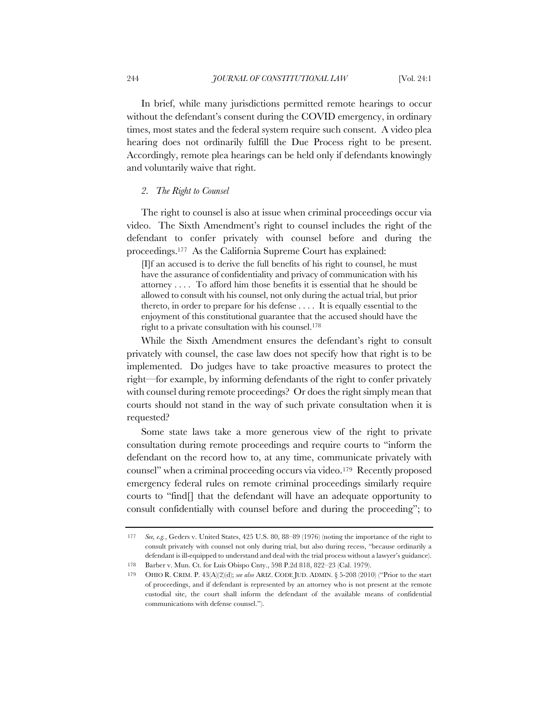In brief, while many jurisdictions permitted remote hearings to occur without the defendant's consent during the COVID emergency, in ordinary times, most states and the federal system require such consent. A video plea hearing does not ordinarily fulfill the Due Process right to be present. Accordingly, remote plea hearings can be held only if defendants knowingly and voluntarily waive that right.

# *2. The Right to Counsel*

The right to counsel is also at issue when criminal proceedings occur via video. The Sixth Amendment's right to counsel includes the right of the defendant to confer privately with counsel before and during the proceedings.177 As the California Supreme Court has explained:

[I]f an accused is to derive the full benefits of his right to counsel, he must have the assurance of confidentiality and privacy of communication with his attorney . . . . To afford him those benefits it is essential that he should be allowed to consult with his counsel, not only during the actual trial, but prior thereto, in order to prepare for his defense . . . . It is equally essential to the enjoyment of this constitutional guarantee that the accused should have the right to a private consultation with his counsel.178

While the Sixth Amendment ensures the defendant's right to consult privately with counsel, the case law does not specify how that right is to be implemented. Do judges have to take proactive measures to protect the right—for example, by informing defendants of the right to confer privately with counsel during remote proceedings? Or does the right simply mean that courts should not stand in the way of such private consultation when it is requested?

Some state laws take a more generous view of the right to private consultation during remote proceedings and require courts to "inform the defendant on the record how to, at any time, communicate privately with counsel" when a criminal proceeding occurs via video.<sup>179</sup> Recently proposed emergency federal rules on remote criminal proceedings similarly require courts to "find[] that the defendant will have an adequate opportunity to consult confidentially with counsel before and during the proceeding"; to

<sup>177</sup> *See, e.g.*, Geders v. United States, 425 U.S. 80, 88–89 (1976) (noting the importance of the right to consult privately with counsel not only during trial, but also during recess, "because ordinarily a defendant is ill-equipped to understand and deal with the trial process without a lawyer's guidance).

<sup>178</sup> Barber v. Mun. Ct. for Luis Obispo Cnty., 598 P.2d 818, 822–23 (Cal. 1979).

<sup>179</sup> OHIO R. CRIM. P. 43(A)(2)(d); *see also* ARIZ. CODE JUD. ADMIN. § 5-208 (2010) ("Prior to the start of proceedings, and if defendant is represented by an attorney who is not present at the remote custodial site, the court shall inform the defendant of the available means of confidential communications with defense counsel.").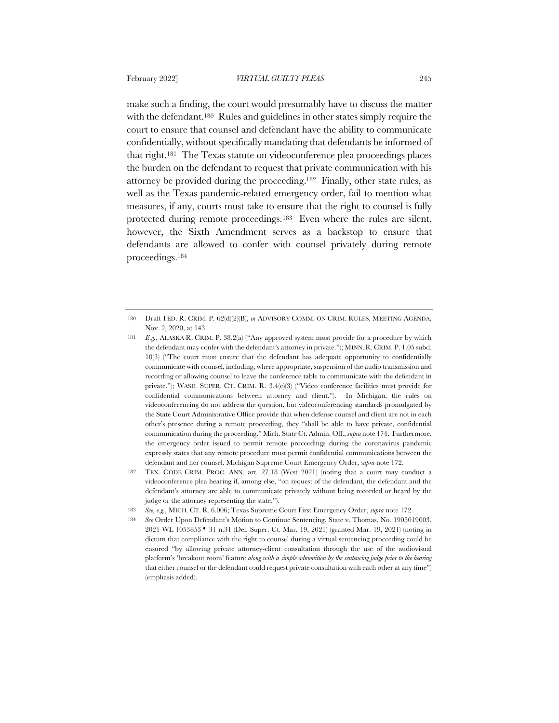make such a finding, the court would presumably have to discuss the matter with the defendant.180 Rules and guidelines in other states simply require the court to ensure that counsel and defendant have the ability to communicate confidentially, without specifically mandating that defendants be informed of that right.181 The Texas statute on videoconference plea proceedings places the burden on the defendant to request that private communication with his attorney be provided during the proceeding.182 Finally, other state rules, as well as the Texas pandemic-related emergency order, fail to mention what measures, if any, courts must take to ensure that the right to counsel is fully protected during remote proceedings.183 Even where the rules are silent, however, the Sixth Amendment serves as a backstop to ensure that defendants are allowed to confer with counsel privately during remote proceedings.184

<sup>180</sup> Draft FED. R. CRIM. P. 62(d)(2)(B), *in* ADVISORY COMM. ON CRIM. RULES, MEETING AGENDA, Nov. 2, 2020, at 143.

<sup>181</sup> *E.g.*, ALASKA R. CRIM. P. 38.2(a) ("Any approved system must provide for a procedure by which the defendant may confer with the defendant's attorney in private."); MINN. R. CRIM. P. 1.05 subd. 10(3) ("The court must ensure that the defendant has adequate opportunity to confidentially communicate with counsel, including, where appropriate, suspension of the audio transmission and recording or allowing counsel to leave the conference table to communicate with the defendant in private."); WASH. SUPER. CT. CRIM. R. 3.4(e)(3) ("Video conference facilities must provide for confidential communications between attorney and client."). In Michigan, the rules on videoconferencing do not address the question, but videoconferencing standards promulgated by the State Court Administrative Office provide that when defense counsel and client are not in each other's presence during a remote proceeding, they "shall be able to have private, confidential communication during the proceeding." Mich. State Ct. Admin. Off., *supra* note 174. Furthermore, the emergency order issued to permit remote proceedings during the coronavirus pandemic expressly states that any remote procedure must permit confidential communications between the defendant and her counsel. Michigan Supreme Court Emergency Order, *supra* note 172.

<sup>182</sup> TEX. CODE CRIM. PROC. ANN. art. 27.18 (West 2021) (noting that a court may conduct a videoconference plea hearing if, among else, "on request of the defendant, the defendant and the defendant's attorney are able to communicate privately without being recorded or heard by the judge or the attorney representing the state.").

<sup>183</sup> *See, e.g.*, MICH. CT. R. 6.006; Texas Supreme Court First Emergency Order, *supra* note 172.

<sup>184</sup> *See* Order Upon Defendant's Motion to Continue Sentencing, State v. Thomas, No. 1905019003, 2021 WL 1053853 ¶ 31 n.31 (Del. Super. Ct. Mar. 19, 2021) (granted Mar. 19, 2021) (noting in dictum that compliance with the right to counsel during a virtual sentencing proceeding could be ensured "by allowing private attorney-client consultation through the use of the audiovisual platform's 'breakout room' feature *along with a simple admonition by the sentencing judge prior to the hearing* that either counsel or the defendant could request private consultation with each other at any time") (emphasis added).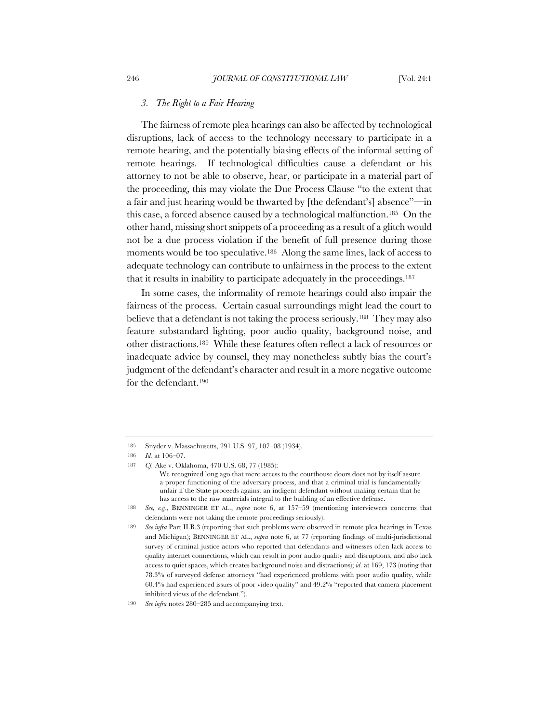#### *3. The Right to a Fair Hearing*

The fairness of remote plea hearings can also be affected by technological disruptions, lack of access to the technology necessary to participate in a remote hearing, and the potentially biasing effects of the informal setting of remote hearings. If technological difficulties cause a defendant or his attorney to not be able to observe, hear, or participate in a material part of the proceeding, this may violate the Due Process Clause "to the extent that a fair and just hearing would be thwarted by [the defendant's] absence"—in this case, a forced absence caused by a technological malfunction.185 On the other hand, missing short snippets of a proceeding as a result of a glitch would not be a due process violation if the benefit of full presence during those moments would be too speculative.<sup>186</sup> Along the same lines, lack of access to adequate technology can contribute to unfairness in the process to the extent that it results in inability to participate adequately in the proceedings.187

In some cases, the informality of remote hearings could also impair the fairness of the process. Certain casual surroundings might lead the court to believe that a defendant is not taking the process seriously.188 They may also feature substandard lighting, poor audio quality, background noise, and other distractions.189 While these features often reflect a lack of resources or inadequate advice by counsel, they may nonetheless subtly bias the court's judgment of the defendant's character and result in a more negative outcome for the defendant.190

<sup>185</sup> Snyder v. Massachusetts, 291 U.S. 97, 107–08 (1934).

<sup>186</sup> *Id.* at 106–07.

<sup>187</sup> *Cf.* Ake v. Oklahoma, 470 U.S. 68, 77 (1985):

We recognized long ago that mere access to the courthouse doors does not by itself assure a proper functioning of the adversary process, and that a criminal trial is fundamentally unfair if the State proceeds against an indigent defendant without making certain that he has access to the raw materials integral to the building of an effective defense.

<sup>188</sup> *See, e.g.*, BENNINGER ET AL., *supra* note 6, at 157–59 (mentioning interviewees concerns that defendants were not taking the remote proceedings seriously).

<sup>189</sup> *See infra* Part II.B.3 (reporting that such problems were observed in remote plea hearings in Texas and Michigan); BENNINGER ET AL., *supra* note 6, at 77 (reporting findings of multi-jurisdictional survey of criminal justice actors who reported that defendants and witnesses often lack access to quality internet connections, which can result in poor audio quality and disruptions, and also lack access to quiet spaces, which creates background noise and distractions); *id*. at 169, 173 (noting that 78.3% of surveyed defense attorneys "had experienced problems with poor audio quality, while 60.4% had experienced issues of poor video quality" and 49.2% "reported that camera placement inhibited views of the defendant.").

<sup>190</sup> *See infra* notes 280–285 and accompanying text.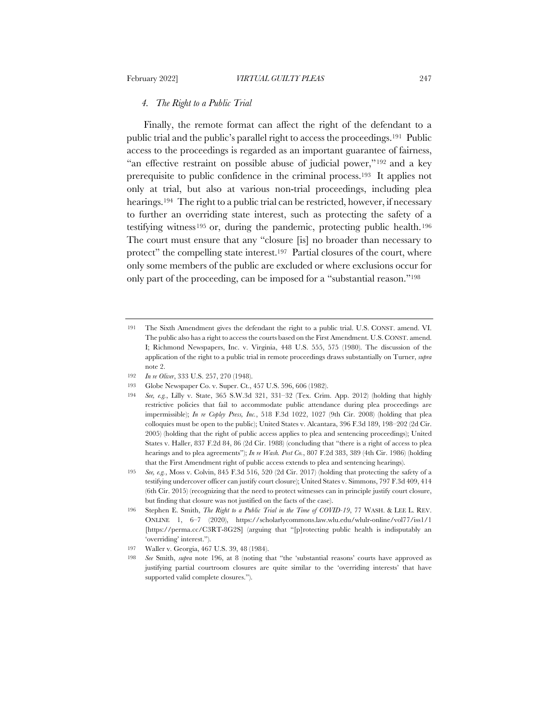#### *4. The Right to a Public Trial*

Finally, the remote format can affect the right of the defendant to a public trial and the public's parallel right to access the proceedings.191 Public access to the proceedings is regarded as an important guarantee of fairness, "an effective restraint on possible abuse of judicial power,"<sup>192</sup> and a key prerequisite to public confidence in the criminal process.193 It applies not only at trial, but also at various non-trial proceedings, including plea hearings.<sup>194</sup> The right to a public trial can be restricted, however, if necessary to further an overriding state interest, such as protecting the safety of a testifying witness195 or, during the pandemic, protecting public health.196 The court must ensure that any "closure [is] no broader than necessary to protect" the compelling state interest.<sup>197</sup> Partial closures of the court, where only some members of the public are excluded or where exclusions occur for only part of the proceeding, can be imposed for a "substantial reason."198

- 192 *In re Oliver*, 333 U.S. 257, 270 (1948).
- 193 Globe Newspaper Co. v. Super. Ct., 457 U.S. 596, 606 (1982).
- 194 *See, e.g.*, Lilly v. State, 365 S.W.3d 321, 331–32 (Tex. Crim. App. 2012) (holding that highly restrictive policies that fail to accommodate public attendance during plea proceedings are impermissible); *In re Copley Press, Inc.*, 518 F.3d 1022, 1027 (9th Cir. 2008) (holding that plea colloquies must be open to the public); United States v. Alcantara, 396 F.3d 189, 198–202 (2d Cir. 2005) (holding that the right of public access applies to plea and sentencing proceedings); United States v. Haller, 837 F.2d 84, 86 (2d Cir. 1988) (concluding that "there is a right of access to plea hearings and to plea agreements"); *In re Wash. Post Co.*, 807 F.2d 383, 389 (4th Cir. 1986) (holding that the First Amendment right of public access extends to plea and sentencing hearings).
- 195 *See, e.g.*, Moss v. Colvin, 845 F.3d 516, 520 (2d Cir. 2017) (holding that protecting the safety of a testifying undercover officer can justify court closure); United States v. Simmons, 797 F.3d 409, 414 (6th Cir. 2015) (recognizing that the need to protect witnesses can in principle justify court closure, but finding that closure was not justified on the facts of the case).
- 196 Stephen E. Smith, *The Right to a Public Trial in the Time of COVID-19*, 77 WASH. & LEE L. REV. ONLINE 1, 6–7 (2020), https://scholarlycommons.law.wlu.edu/wlulr-online/vol77/iss1/1 [https://perma.cc/C3RT-8G2S] (arguing that "[p]rotecting public health is indisputably an 'overriding' interest.").

<sup>191</sup> The Sixth Amendment gives the defendant the right to a public trial. U.S. CONST. amend. VI. The public also has a right to access the courts based on the First Amendment. U.S. CONST. amend. I; Richmond Newspapers, Inc. v. Virginia, 448 U.S. 555, 575 (1980). The discussion of the application of the right to a public trial in remote proceedings draws substantially on Turner, *supra*  note 2.

<sup>197</sup> Waller v. Georgia, 467 U.S. 39, 48 (1984).

<sup>198</sup> *See* Smith, *supra* note 196, at 8 (noting that "the 'substantial reasons' courts have approved as justifying partial courtroom closures are quite similar to the 'overriding interests' that have supported valid complete closures.").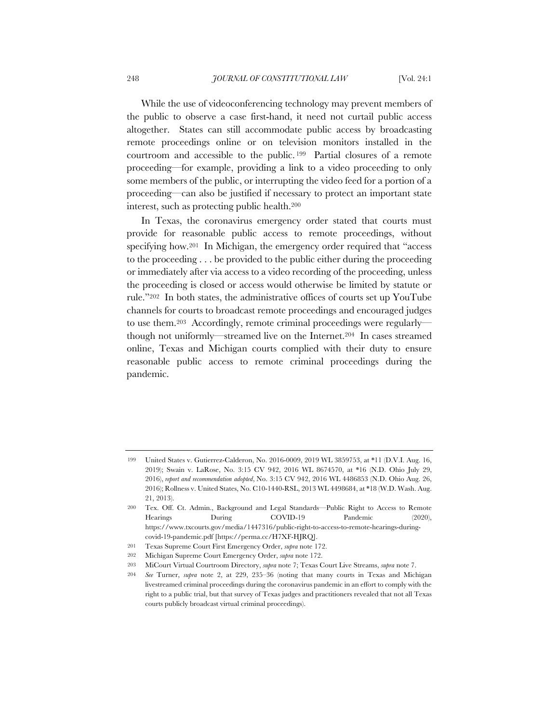While the use of videoconferencing technology may prevent members of the public to observe a case first-hand, it need not curtail public access altogether. States can still accommodate public access by broadcasting remote proceedings online or on television monitors installed in the courtroom and accessible to the public. <sup>199</sup> Partial closures of a remote proceeding—for example, providing a link to a video proceeding to only some members of the public, or interrupting the video feed for a portion of a proceeding—can also be justified if necessary to protect an important state interest, such as protecting public health.200

In Texas, the coronavirus emergency order stated that courts must provide for reasonable public access to remote proceedings, without specifying how.<sup>201</sup> In Michigan, the emergency order required that "access" to the proceeding . . . be provided to the public either during the proceeding or immediately after via access to a video recording of the proceeding, unless the proceeding is closed or access would otherwise be limited by statute or rule."202 In both states, the administrative offices of courts set up YouTube channels for courts to broadcast remote proceedings and encouraged judges to use them.203 Accordingly, remote criminal proceedings were regularly though not uniformly—streamed live on the Internet.204 In cases streamed online, Texas and Michigan courts complied with their duty to ensure reasonable public access to remote criminal proceedings during the pandemic.

<sup>199</sup> United States v. Gutierrez-Calderon, No. 2016-0009, 2019 WL 3859753, at \*11 (D.V.I. Aug. 16, 2019); Swain v. LaRose, No. 3:15 CV 942, 2016 WL 8674570, at \*16 (N.D. Ohio July 29, 2016), *report and recommendation adopted*, No. 3:15 CV 942, 2016 WL 4486853 (N.D. Ohio Aug. 26, 2016); Rollness v. United States, No. C10-1440-RSL, 2013 WL 4498684, at \*18 (W.D. Wash. Aug. 21, 2013).

<sup>200</sup> Tex. Off. Ct. Admin., Background and Legal Standards—Public Right to Access to Remote Hearings During COVID-19 Pandemic (2020), https://www.txcourts.gov/media/1447316/public-right-to-access-to-remote-hearings-duringcovid-19-pandemic.pdf [https://perma.cc/H7XF-HJRQ].

<sup>201</sup> Texas Supreme Court First Emergency Order, *supra* note 172.

<sup>202</sup> Michigan Supreme Court Emergency Order, *supra* note 172.

<sup>203</sup> MiCourt Virtual Courtroom Directory, *supra* note 7; Texas Court Live Streams, *supra* note 7.

<sup>204</sup> *See* Turner, *supra* note 2, at 229, 235–36 (noting that many courts in Texas and Michigan livestreamed criminal proceedings during the coronavirus pandemic in an effort to comply with the right to a public trial, but that survey of Texas judges and practitioners revealed that not all Texas courts publicly broadcast virtual criminal proceedings).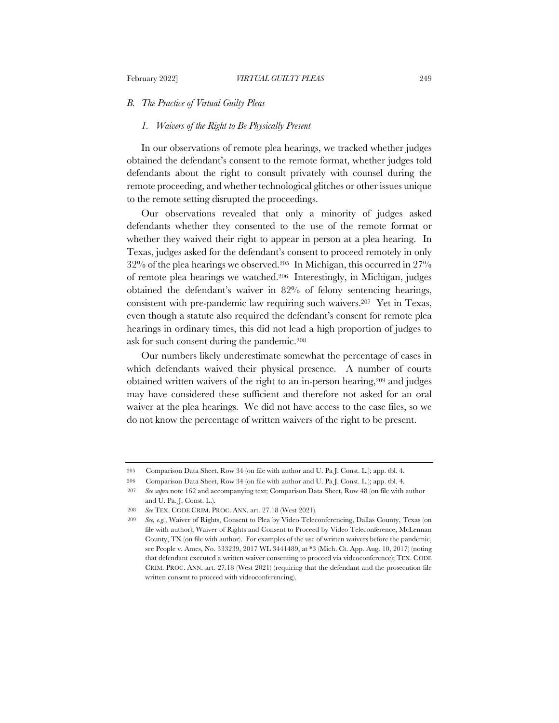#### *B. The Practice of Virtual Guilty Pleas*

# *1. Waivers of the Right to Be Physically Present*

In our observations of remote plea hearings, we tracked whether judges obtained the defendant's consent to the remote format, whether judges told defendants about the right to consult privately with counsel during the remote proceeding, and whether technological glitches or other issues unique to the remote setting disrupted the proceedings.

Our observations revealed that only a minority of judges asked defendants whether they consented to the use of the remote format or whether they waived their right to appear in person at a plea hearing. In Texas, judges asked for the defendant's consent to proceed remotely in only 32% of the plea hearings we observed.205 In Michigan, this occurred in 27% of remote plea hearings we watched.206 Interestingly, in Michigan, judges obtained the defendant's waiver in 82% of felony sentencing hearings, consistent with pre-pandemic law requiring such waivers.207 Yet in Texas, even though a statute also required the defendant's consent for remote plea hearings in ordinary times, this did not lead a high proportion of judges to ask for such consent during the pandemic.208

Our numbers likely underestimate somewhat the percentage of cases in which defendants waived their physical presence. A number of courts obtained written waivers of the right to an in-person hearing,209 and judges may have considered these sufficient and therefore not asked for an oral waiver at the plea hearings. We did not have access to the case files, so we do not know the percentage of written waivers of the right to be present.

<sup>205</sup> Comparison Data Sheet, Row 34 (on file with author and U. Pa J. Const. L.); app. tbl. 4.

<sup>206</sup> Comparison Data Sheet, Row 34 (on file with author and U. Pa J. Const. L.); app. tbl. 4*.*

<sup>207</sup> *See supra* note 162 and accompanying text; Comparison Data Sheet, Row 48 (on file with author and U. Pa. J. Const. L.).

<sup>208</sup> *See* TEX. CODE CRIM. PROC. ANN. art. 27.18 (West 2021).

<sup>209</sup> *See, e.g.*, Waiver of Rights, Consent to Plea by Video Teleconferencing, Dallas County, Texas (on file with author); Waiver of Rights and Consent to Proceed by Video Teleconference, McLennan County, TX (on file with author). For examples of the use of written waivers before the pandemic, see People v. Ames, No. 333239, 2017 WL 3441489, at \*3 (Mich. Ct. App. Aug. 10, 2017) (noting that defendant executed a written waiver consenting to proceed via videoconference); TEX. CODE CRIM. PROC. ANN. art. 27.18 (West 2021) (requiring that the defendant and the prosecution file written consent to proceed with videoconferencing).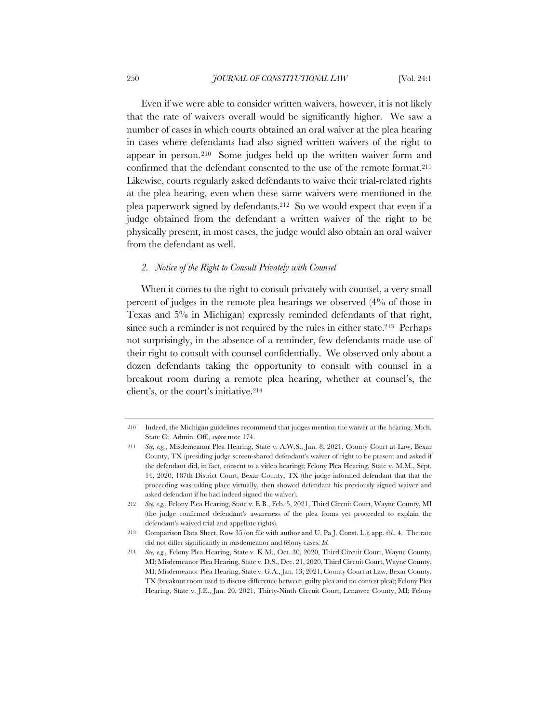Even if we were able to consider written waivers, however, it is not likely that the rate of waivers overall would be significantly higher. We saw a number of cases in which courts obtained an oral waiver at the plea hearing in cases where defendants had also signed written waivers of the right to appear in person.210 Some judges held up the written waiver form and confirmed that the defendant consented to the use of the remote format.211 Likewise, courts regularly asked defendants to waive their trial-related rights at the plea hearing, even when these same waivers were mentioned in the plea paperwork signed by defendants.212 So we would expect that even if a judge obtained from the defendant a written waiver of the right to be physically present, in most cases, the judge would also obtain an oral waiver from the defendant as well.

#### *2. Notice of the Right to Consult Privately with Counsel*

When it comes to the right to consult privately with counsel, a very small percent of judges in the remote plea hearings we observed (4% of those in Texas and 5% in Michigan) expressly reminded defendants of that right, since such a reminder is not required by the rules in either state.<sup>213</sup> Perhaps not surprisingly, in the absence of a reminder, few defendants made use of their right to consult with counsel confidentially. We observed only about a dozen defendants taking the opportunity to consult with counsel in a breakout room during a remote plea hearing, whether at counsel's, the client's, or the court's initiative.214

<sup>210</sup> Indeed, the Michigan guidelines recommend that judges mention the waiver at the hearing. Mich. State Ct. Admin. Off., *supra* note 174.

<sup>211</sup> *See, e.g.*, Misdemeanor Plea Hearing, State v. A.W.S., Jan. 8, 2021, County Court at Law, Bexar County, TX (presiding judge screen-shared defendant's waiver of right to be present and asked if the defendant did, in fact, consent to a video hearing); Felony Plea Hearing, State v. M.M., Sept. 14, 2020, 187th District Court, Bexar County, TX (the judge informed defendant that that the proceeding was taking place virtually, then showed defendant his previously signed waiver and asked defendant if he had indeed signed the waiver).

<sup>212</sup> *See, e.g.*, Felony Plea Hearing, State v. E.B., Feb. 5, 2021, Third Circuit Court, Wayne County, MI (the judge confirmed defendant's awareness of the plea forms yet proceeded to explain the defendant's waived trial and appellate rights).

<sup>213</sup> Comparison Data Sheet, Row 35 (on file with author and U. Pa J. Const. L.); app. tbl. 4. The rate did not differ significantly in misdemeanor and felony cases. *Id.*

<sup>214</sup> *See, e.g.*, Felony Plea Hearing, State v. K.M., Oct. 30, 2020, Third Circuit Court, Wayne County, MI; Misdemeanor Plea Hearing, State v. D.S., Dec. 21, 2020, Third Circuit Court, Wayne County, MI; Misdemeanor Plea Hearing, State v. G.A., Jan. 13, 2021, County Court at Law, Bexar County, TX (breakout room used to discuss difference between guilty plea and no contest plea); Felony Plea Hearing, State v. J.E., Jan. 20, 2021, Thirty-Ninth Circuit Court, Lenawee County, MI; Felony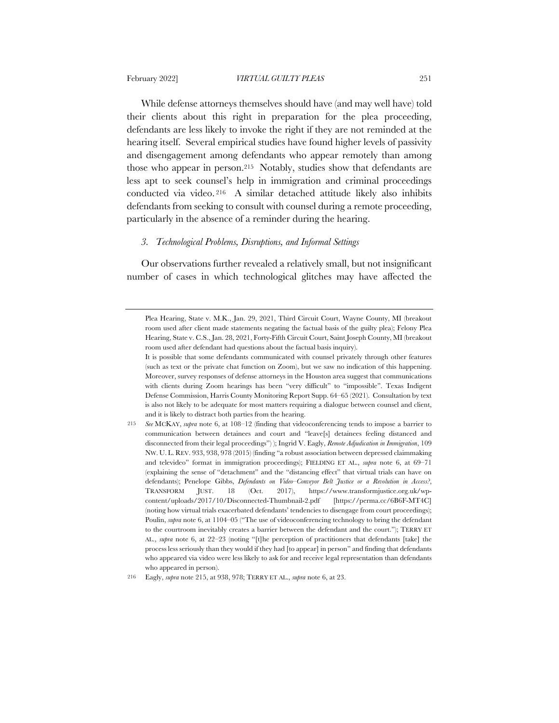While defense attorneys themselves should have (and may well have) told their clients about this right in preparation for the plea proceeding, defendants are less likely to invoke the right if they are not reminded at the hearing itself. Several empirical studies have found higher levels of passivity and disengagement among defendants who appear remotely than among those who appear in person.215 Notably, studies show that defendants are less apt to seek counsel's help in immigration and criminal proceedings conducted via video. <sup>216</sup> A similar detached attitude likely also inhibits defendants from seeking to consult with counsel during a remote proceeding, particularly in the absence of a reminder during the hearing.

# *3. Technological Problems, Disruptions, and Informal Settings*

Our observations further revealed a relatively small, but not insignificant number of cases in which technological glitches may have affected the

Plea Hearing, State v. M.K., Jan. 29, 2021, Third Circuit Court, Wayne County, MI (breakout room used after client made statements negating the factual basis of the guilty plea); Felony Plea Hearing, State v. C.S., Jan. 28, 2021, Forty-Fifth Circuit Court, Saint Joseph County, MI (breakout room used after defendant had questions about the factual basis inquiry).

It is possible that some defendants communicated with counsel privately through other features (such as text or the private chat function on Zoom), but we saw no indication of this happening. Moreover, survey responses of defense attorneys in the Houston area suggest that communications with clients during Zoom hearings has been "very difficult" to "impossible". Texas Indigent Defense Commission, Harris County Monitoring Report Supp. 64–65 (2021). Consultation by text is also not likely to be adequate for most matters requiring a dialogue between counsel and client, and it is likely to distract both parties from the hearing.

<sup>215</sup> *See* MCKAY, *supra* note 6, at 108–12 (finding that videoconferencing tends to impose a barrier to communication between detainees and court and "leave[s] detainees feeling distanced and disconnected from their legal proceedings") ); Ingrid V. Eagly, *Remote Adjudication in Immigration*, 109 NW. U. L. REV. 933, 938, 978 (2015) (finding "a robust association between depressed claimmaking and televideo" format in immigration proceedings); FIELDING ET AL., *supra* note 6, at 69–71 (explaining the sense of "detachment" and the "distancing effect" that virtual trials can have on defendants); Penelope Gibbs, *Defendants on Video–Conveyor Belt Justice or a Revolution in Access?*, TRANSFORM JUST. 18 (Oct. 2017), https://www.transformjustice.org.uk/wpcontent/uploads/2017/10/Disconnected-Thumbnail-2.pdf [https://perma.cc/6B6F-MT4C] (noting how virtual trials exacerbated defendants' tendencies to disengage from court proceedings); Poulin, *supra* note 6, at 1104–05 ("The use of videoconferencing technology to bring the defendant to the courtroom inevitably creates a barrier between the defendant and the court."); TERRY ET AL., *supra* note 6, at 22–23 (noting "[t]he perception of practitioners that defendants [take] the process less seriously than they would if they had [to appear] in person" and finding that defendants who appeared via video were less likely to ask for and receive legal representation than defendants who appeared in person).

<sup>216</sup> Eagly, *supra* note 215, at 938, 978; TERRY ET AL., *supra* note 6, at 23.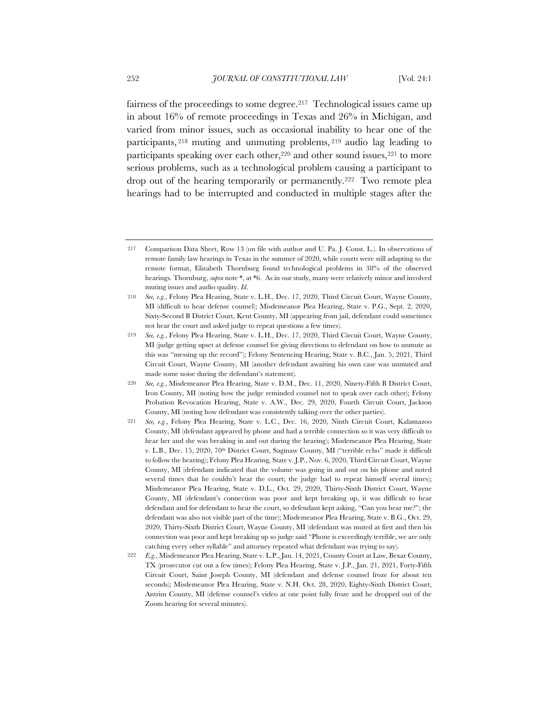fairness of the proceedings to some degree.<sup>217</sup> Technological issues came up in about 16% of remote proceedings in Texas and 26% in Michigan, and varied from minor issues, such as occasional inability to hear one of the participants, <sup>218</sup> muting and unmuting problems, <sup>219</sup> audio lag leading to participants speaking over each other,<sup>220</sup> and other sound issues,<sup>221</sup> to more serious problems, such as a technological problem causing a participant to drop out of the hearing temporarily or permanently.222 Two remote plea hearings had to be interrupted and conducted in multiple stages after the

<sup>217</sup> Comparison Data Sheet, Row 13 (on file with author and U. Pa. J. Const. L.). In observations of remote family law hearings in Texas in the summer of 2020, while courts were still adapting to the remote format, Elizabeth Thornburg found technological problems in 38% of the observed hearings. Thornburg, *supra* note \*, at \*6. As in our study, many were relatively minor and involved muting issues and audio quality. *Id*.

<sup>218</sup> *See, e.g.*, Felony Plea Hearing, State v. L.H., Dec. 17, 2020, Third Circuit Court, Wayne County, MI (difficult to hear defense counsel); Misdemeanor Plea Hearing, State v. P.G., Sept. 2, 2020, Sixty-Second B District Court, Kent County, MI (appearing from jail, defendant could sometimes not hear the court and asked judge to repeat questions a few times).

<sup>219</sup> *See, e.g.*, Felony Plea Hearing, State v. L.H., Dec. 17, 2020, Third Circuit Court, Wayne County, MI (judge getting upset at defense counsel for giving directions to defendant on how to unmute as this was "messing up the record"); Felony Sentencing Hearing, State v. B.C., Jan. 5, 2021, Third Circuit Court, Wayne County, MI (another defendant awaiting his own case was unmuted and made some noise during the defendant's statement).

<sup>220</sup> *See, e.g.*, Misdemeanor Plea Hearing, State v. D.M., Dec. 11, 2020, Ninety-Fifth B District Court, Iron County, MI (noting how the judge reminded counsel not to speak over each other); Felony Probation Revocation Hearing, State v. A.W., Dec. 29, 2020, Fourth Circuit Court, Jackson County, MI (noting how defendant was consistently talking over the other parties).

<sup>221</sup> *See, e.g.*, Felony Plea Hearing, State v. L.C., Dec. 16, 2020, Ninth Circuit Court, Kalamazoo County, MI (defendant appeared by phone and had a terrible connection so it was very difficult to hear her and she was breaking in and out during the hearing); Misdemeanor Plea Hearing, State v. L.B., Dec. 15, 2020, 70<sup>th</sup> District Court, Saginaw County, MI ("terrible echo" made it difficult to follow the hearing); Felony Plea Hearing, State v. J.P., Nov. 6, 2020, Third Circuit Court, Wayne County, MI (defendant indicated that the volume was going in and out on his phone and noted several times that he couldn't hear the court; the judge had to repeat himself several times); Misdemeanor Plea Hearing, State v. D.L., Oct. 29, 2020, Thirty-Sixth District Court, Wayne County, MI (defendant's connection was poor and kept breaking up, it was difficult to hear defendant and for defendant to hear the court, so defendant kept asking, "Can you hear me?"; the defendant was also not visible part of the time); Misdemeanor Plea Hearing, State v. B.G., Oct. 29, 2020, Thirty-Sixth District Court, Wayne County, MI (defendant was muted at first and then his connection was poor and kept breaking up so judge said "Phone is exceedingly terrible, we are only catching every other syllable" and attorney repeated what defendant was trying to say).

<sup>222</sup> *E.g.*, Misdemeanor Plea Hearing, State v. L.P., Jan. 14, 2021, County Court at Law, Bexar County, TX (prosecutor cut out a few times); Felony Plea Hearing, State v. J.P., Jan. 21, 2021, Forty-Fifth Circuit Court, Saint Joseph County, MI (defendant and defense counsel froze for about ten seconds); Misdemeanor Plea Hearing, State v. N.H. Oct. 28, 2020, Eighty-Sixth District Court, Antrim County, MI (defense counsel's video at one point fully froze and he dropped out of the Zoom hearing for several minutes).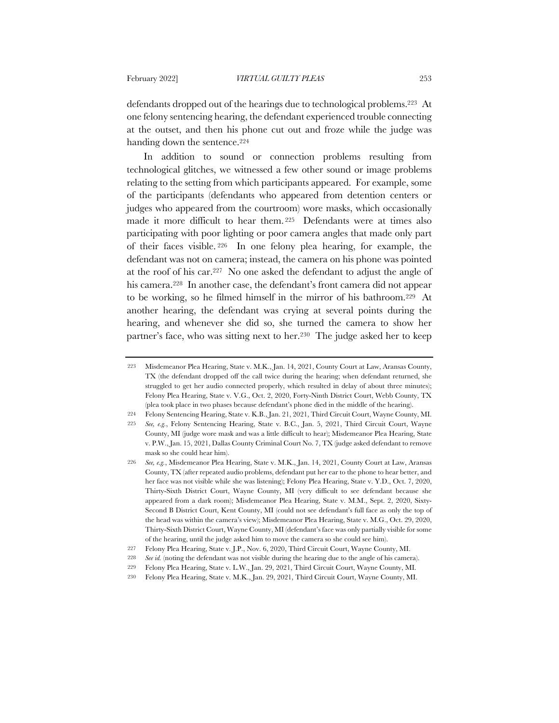defendants dropped out of the hearings due to technological problems.223 At one felony sentencing hearing, the defendant experienced trouble connecting at the outset, and then his phone cut out and froze while the judge was handing down the sentence.<sup>224</sup>

In addition to sound or connection problems resulting from technological glitches, we witnessed a few other sound or image problems relating to the setting from which participants appeared. For example, some of the participants (defendants who appeared from detention centers or judges who appeared from the courtroom) wore masks, which occasionally made it more difficult to hear them. <sup>225</sup> Defendants were at times also participating with poor lighting or poor camera angles that made only part of their faces visible. <sup>226</sup> In one felony plea hearing, for example, the defendant was not on camera; instead, the camera on his phone was pointed at the roof of his car.227 No one asked the defendant to adjust the angle of his camera.228 In another case, the defendant's front camera did not appear to be working, so he filmed himself in the mirror of his bathroom.229 At another hearing, the defendant was crying at several points during the hearing, and whenever she did so, she turned the camera to show her partner's face, who was sitting next to her.230 The judge asked her to keep

<sup>223</sup> Misdemeanor Plea Hearing, State v. M.K., Jan. 14, 2021, County Court at Law, Aransas County, TX (the defendant dropped off the call twice during the hearing; when defendant returned, she struggled to get her audio connected properly, which resulted in delay of about three minutes); Felony Plea Hearing, State v. V.G., Oct. 2, 2020, Forty-Ninth District Court, Webb County, TX (plea took place in two phases because defendant's phone died in the middle of the hearing).

<sup>224</sup> Felony Sentencing Hearing, State v. K.B., Jan. 21, 2021, Third Circuit Court, Wayne County, MI.

<sup>225</sup> *See, e.g.*, Felony Sentencing Hearing, State v. B.C., Jan. 5, 2021, Third Circuit Court, Wayne County, MI (judge wore mask and was a little difficult to hear); Misdemeanor Plea Hearing, State v. P.W., Jan. 15, 2021, Dallas County Criminal Court No. 7, TX (judge asked defendant to remove mask so she could hear him).

<sup>226</sup> *See, e.g.*, Misdemeanor Plea Hearing, State v. M.K., Jan. 14, 2021, County Court at Law, Aransas County, TX (after repeated audio problems, defendant put her ear to the phone to hear better, and her face was not visible while she was listening); Felony Plea Hearing, State v. Y.D., Oct. 7, 2020, Thirty-Sixth District Court, Wayne County, MI (very difficult to see defendant because she appeared from a dark room); Misdemeanor Plea Hearing, State v. M.M., Sept. 2, 2020, Sixty-Second B District Court, Kent County, MI (could not see defendant's full face as only the top of the head was within the camera's view); Misdemeanor Plea Hearing, State v. M.G., Oct. 29, 2020, Thirty-Sixth District Court, Wayne County, MI (defendant's face was only partially visible for some of the hearing, until the judge asked him to move the camera so she could see him).

<sup>227</sup> Felony Plea Hearing, State v. J.P., Nov. 6, 2020, Third Circuit Court, Wayne County, MI.

<sup>228</sup> *See id.* (noting the defendant was not visible during the hearing due to the angle of his camera).

<sup>229</sup> Felony Plea Hearing, State v. L.W., Jan. 29, 2021, Third Circuit Court, Wayne County, MI.

<sup>230</sup> Felony Plea Hearing, State v. M.K., Jan. 29, 2021, Third Circuit Court, Wayne County, MI.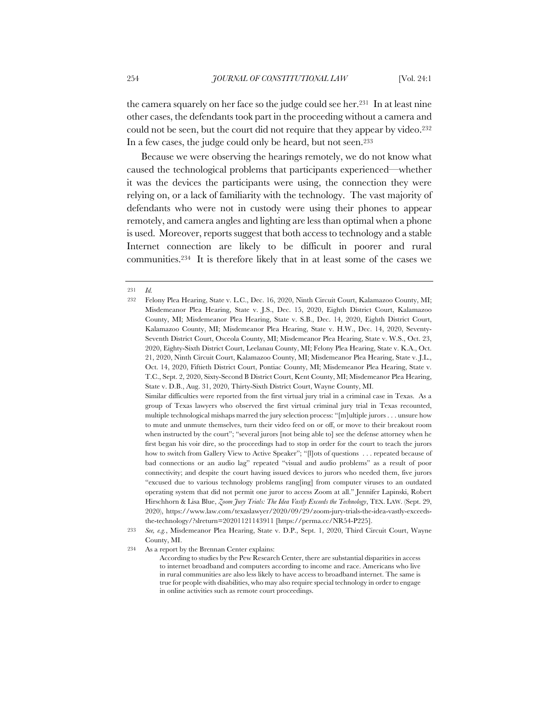the camera squarely on her face so the judge could see her.231 In at least nine other cases, the defendants took part in the proceeding without a camera and could not be seen, but the court did not require that they appear by video.<sup>232</sup> In a few cases, the judge could only be heard, but not seen.233

Because we were observing the hearings remotely, we do not know what caused the technological problems that participants experienced—whether it was the devices the participants were using, the connection they were relying on, or a lack of familiarity with the technology. The vast majority of defendants who were not in custody were using their phones to appear remotely, and camera angles and lighting are less than optimal when a phone is used. Moreover, reports suggest that both access to technology and a stable Internet connection are likely to be difficult in poorer and rural communities.234 It is therefore likely that in at least some of the cases we

<sup>231</sup> *Id.*

<sup>232</sup> Felony Plea Hearing, State v. L.C., Dec. 16, 2020, Ninth Circuit Court, Kalamazoo County, MI; Misdemeanor Plea Hearing, State v. J.S., Dec. 15, 2020, Eighth District Court, Kalamazoo County, MI; Misdemeanor Plea Hearing, State v. S.B., Dec. 14, 2020, Eighth District Court, Kalamazoo County, MI; Misdemeanor Plea Hearing, State v. H.W., Dec. 14, 2020, Seventy-Seventh District Court, Osceola County, MI; Misdemeanor Plea Hearing, State v. W.S., Oct. 23, 2020, Eighty-Sixth District Court, Leelanau County, MI; Felony Plea Hearing, State v. K.A., Oct. 21, 2020, Ninth Circuit Court, Kalamazoo County, MI; Misdemeanor Plea Hearing, State v. J.L., Oct. 14, 2020, Fiftieth District Court, Pontiac County, MI; Misdemeanor Plea Hearing, State v. T.C., Sept. 2, 2020, Sixty-Second B District Court, Kent County, MI; Misdemeanor Plea Hearing, State v. D.B., Aug. 31, 2020, Thirty-Sixth District Court, Wayne County, MI. Similar difficulties were reported from the first virtual jury trial in a criminal case in Texas. As a

group of Texas lawyers who observed the first virtual criminal jury trial in Texas recounted, multiple technological mishaps marred the jury selection process: "[m]ultiple jurors . . . unsure how to mute and unmute themselves, turn their video feed on or off, or move to their breakout room when instructed by the court"; "several jurors [not being able to] see the defense attorney when he first began his voir dire, so the proceedings had to stop in order for the court to teach the jurors how to switch from Gallery View to Active Speaker"; "[I]ots of questions . . . repeated because of bad connections or an audio lag" repeated "visual and audio problems" as a result of poor connectivity; and despite the court having issued devices to jurors who needed them, five jurors "excused due to various technology problems rang[ing] from computer viruses to an outdated operating system that did not permit one juror to access Zoom at all." Jennifer Lapinski, Robert Hirschhorn & Lisa Blue, *Zoom Jury Trials: The Idea Vastly Exceeds the Technology*, TEX. LAW. (Sept. 29, 2020), https://www.law.com/texaslawyer/2020/09/29/zoom-jury-trials-the-idea-vastly-exceedsthe-technology/?slreturn=20201121143911 [https://perma.cc/NR54-P225].

<sup>233</sup> *See, e.g.*, Misdemeanor Plea Hearing, State v. D.P., Sept. 1, 2020, Third Circuit Court, Wayne County, MI.

<sup>234</sup> As a report by the Brennan Center explains:

According to studies by the Pew Research Center, there are substantial disparities in access to internet broadband and computers according to income and race. Americans who live in rural communities are also less likely to have access to broadband internet. The same is true for people with disabilities, who may also require special technology in order to engage in online activities such as remote court proceedings.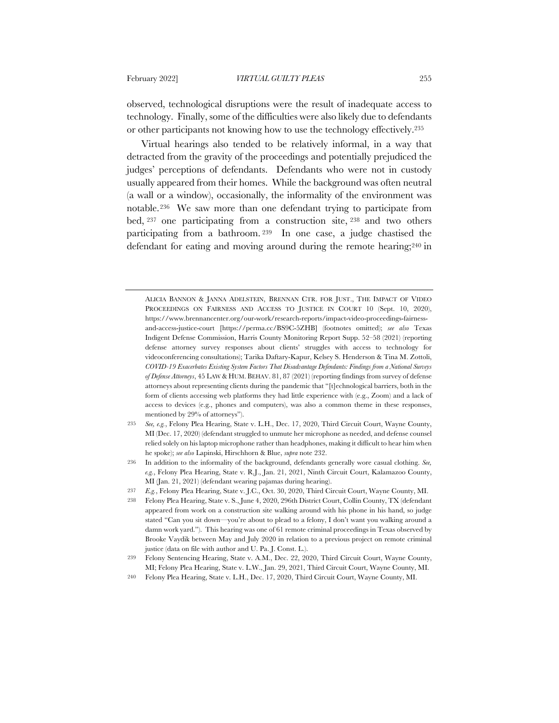observed, technological disruptions were the result of inadequate access to technology. Finally, some of the difficulties were also likely due to defendants or other participants not knowing how to use the technology effectively.235

Virtual hearings also tended to be relatively informal, in a way that detracted from the gravity of the proceedings and potentially prejudiced the judges' perceptions of defendants. Defendants who were not in custody usually appeared from their homes. While the background was often neutral (a wall or a window), occasionally, the informality of the environment was notable.236 We saw more than one defendant trying to participate from bed, <sup>237</sup> one participating from a construction site, <sup>238</sup> and two others participating from a bathroom. <sup>239</sup> In one case, a judge chastised the defendant for eating and moving around during the remote hearing;240 in

ALICIA BANNON & JANNA ADELSTEIN, BRENNAN CTR. FOR JUST., THE IMPACT OF VIDEO PROCEEDINGS ON FAIRNESS AND ACCESS TO JUSTICE IN COURT 10 (Sept. 10, 2020), https://www.brennancenter.org/our-work/research-reports/impact-video-proceedings-fairnessand-access-justice-court [https://perma.cc/BS9C-5ZHB] (footnotes omitted); *see also* Texas Indigent Defense Commission, Harris County Monitoring Report Supp. 52–58 (2021) (reporting defense attorney survey responses about clients' struggles with access to technology for videoconferencing consultations); Tarika Daftary-Kapur, Kelsey S. Henderson & Tina M. Zottoli, *COVID-19 Exacerbates Existing System Factors That Disadvantage Defendants: Findings from a National Surveys of Defense Attorneys*, 45 LAW & HUM. BEHAV. 81, 87 (2021) (reporting findings from survey of defense attorneys about representing clients during the pandemic that "[t]echnological barriers, both in the form of clients accessing web platforms they had little experience with (e.g., Zoom) and a lack of access to devices (e.g., phones and computers), was also a common theme in these responses, mentioned by 29% of attorneys").

<sup>235</sup> *See, e.g.*, Felony Plea Hearing, State v. L.H., Dec. 17, 2020, Third Circuit Court, Wayne County, MI (Dec. 17, 2020) (defendant struggled to unmute her microphone as needed, and defense counsel relied solely on his laptop microphone rather than headphones, making it difficult to hear him when he spoke); *see also* Lapinski, Hirschhorn & Blue, *supra* note 232.

<sup>236</sup> In addition to the informality of the background, defendants generally wore casual clothing. *See, e.g.*, Felony Plea Hearing, State v. R.J., Jan. 21, 2021, Ninth Circuit Court, Kalamazoo County, MI (Jan. 21, 2021) (defendant wearing pajamas during hearing).

<sup>237</sup> *E.g.*, Felony Plea Hearing, State v. J.C., Oct. 30, 2020, Third Circuit Court, Wayne County, MI.

<sup>238</sup> Felony Plea Hearing, State v. S., June 4, 2020, 296th District Court, Collin County, TX (defendant appeared from work on a construction site walking around with his phone in his hand, so judge stated "Can you sit down—you're about to plead to a felony, I don't want you walking around a damn work yard."). This hearing was one of 61 remote criminal proceedings in Texas observed by Brooke Vaydik between May and July 2020 in relation to a previous project on remote criminal justice (data on file with author and U. Pa. J. Const. L.).

<sup>239</sup> Felony Sentencing Hearing, State v. A.M., Dec. 22, 2020, Third Circuit Court, Wayne County, MI; Felony Plea Hearing, State v. L.W., Jan. 29, 2021, Third Circuit Court, Wayne County, MI.

<sup>240</sup> Felony Plea Hearing, State v. L.H., Dec. 17, 2020, Third Circuit Court, Wayne County, MI.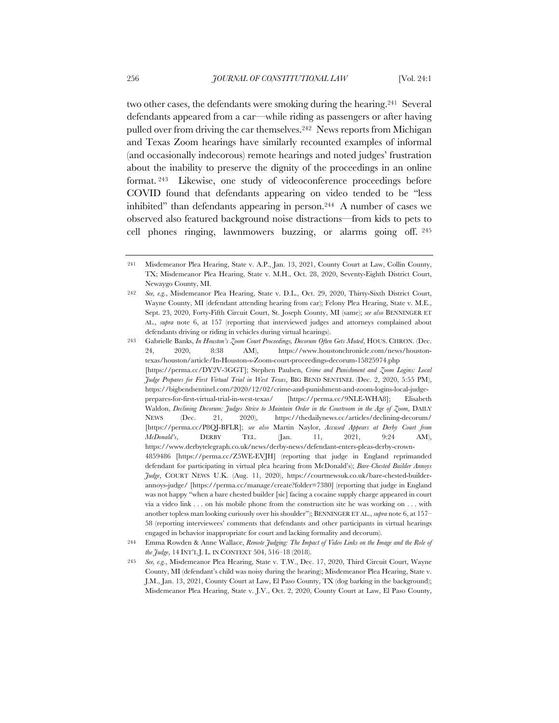two other cases, the defendants were smoking during the hearing.241 Several defendants appeared from a car—while riding as passengers or after having pulled over from driving the car themselves.242 News reports from Michigan and Texas Zoom hearings have similarly recounted examples of informal (and occasionally indecorous) remote hearings and noted judges' frustration about the inability to preserve the dignity of the proceedings in an online format. <sup>243</sup> Likewise, one study of videoconference proceedings before COVID found that defendants appearing on video tended to be "less inhibited" than defendants appearing in person.244 A number of cases we observed also featured background noise distractions—from kids to pets to cell phones ringing, lawnmowers buzzing, or alarms going off. <sup>245</sup>

<sup>241</sup> Misdemeanor Plea Hearing, State v. A.P., Jan. 13, 2021, County Court at Law, Collin County, TX; Misdemeanor Plea Hearing, State v. M.H., Oct. 28, 2020, Seventy-Eighth District Court, Newaygo County, MI.

<sup>242</sup> *See, e.g.*, Misdemeanor Plea Hearing, State v. D.L., Oct. 29, 2020, Thirty-Sixth District Court, Wayne County, MI (defendant attending hearing from car); Felony Plea Hearing, State v. M.E., Sept. 23, 2020, Forty-Fifth Circuit Court, St. Joseph County, MI (same); *see also* BENNINGER ET AL., *supra* note 6, at 157 (reporting that interviewed judges and attorneys complained about defendants driving or riding in vehicles during virtual hearings).

<sup>243</sup> Gabrielle Banks, *In Houston's Zoom Court Proceedings, Decorum Often Gets Muted*, HOUS. CHRON. (Dec. 24, 2020, 8:38 AM), https://www.houstonchronicle.com/news/houstontexas/houston/article/In-Houston-s-Zoom-court-proceedings-decorum-15825974.php [https://perma.cc/DY2V-3GGT]; Stephen Paulsen, *Crime and Punishment and Zoom Logins: Local Judge Prepares for First Virtual Trial in West Texas*, BIG BEND SENTINEL (Dec. 2, 2020, 5:55 PM), https://bigbendsentinel.com/2020/12/02/crime-and-punishment-and-zoom-logins-local-judgeprepares-for-first-virtual-trial-in-west-texas/ [https://perma.cc/9NLE-WHA8]; Elisabeth Waldon, *Declining Decorum: Judges Strive to Maintain Order in the Courtroom in the Age of Zoom*, DAILY NEWS (Dec. 21, 2020), https://thedailynews.cc/articles/declining-decorum/ [https://perma.cc/P8QJ-BFLR]; *see also* Martin Naylor, *Accused Appears at Derby Court from McDonald's*, DERBY TEL. (Jan. 11, 2021, 9:24 AM), https://www.derbytelegraph.co.uk/news/derby-news/defendant-enters-pleas-derby-crown-4859486 [https://perma.cc/Z5WE-EVJH] (reporting that judge in England reprimanded defendant for participating in virtual plea hearing from McDonald's); *Bare-Chested Builder Annoys Judge*, COURT NEWS U.K. (Aug. 11, 2020), https://courtnewsuk.co.uk/bare-chested-builderannoys-judge/ [https://perma.cc/manage/create?folder=7380] (reporting that judge in England was not happy "when a bare chested builder [sic] facing a cocaine supply charge appeared in court via a video link . . . on his mobile phone from the construction site he was working on . . . with another topless man looking curiously over his shoulder"); BENNINGER ET AL., *supra* note 6, at 157– 58 (reporting interviewees' comments that defendants and other participants in virtual hearings engaged in behavior inappropriate for court and lacking formality and decorum).

<sup>244</sup> Emma Rowden & Anne Wallace, *Remote Judging: The Impact of Video Links on the Image and the Role of the Judge*, 14 INT'L J. L. IN CONTEXT 504, 516–18 (2018).

<sup>245</sup> *See, e.g.*, Misdemeanor Plea Hearing, State v. T.W., Dec. 17, 2020, Third Circuit Court, Wayne County, MI (defendant's child was noisy during the hearing); Misdemeanor Plea Hearing, State v. J.M., Jan. 13, 2021, County Court at Law, El Paso County, TX (dog barking in the background); Misdemeanor Plea Hearing, State v. J.V., Oct. 2, 2020, County Court at Law, El Paso County,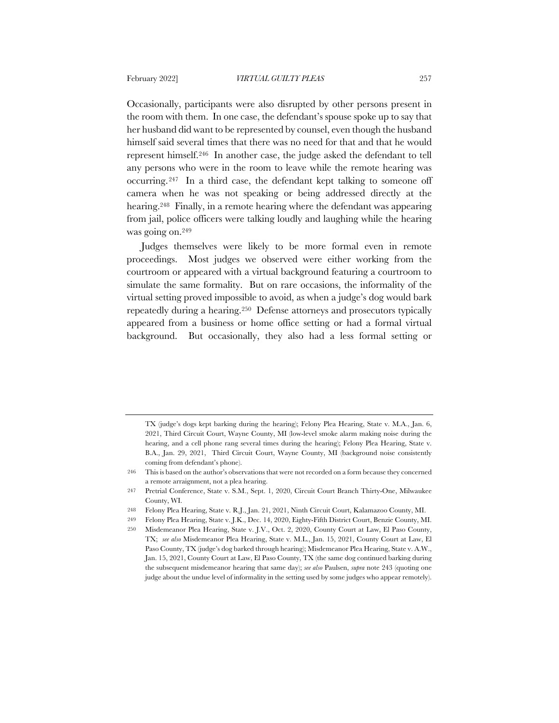Occasionally, participants were also disrupted by other persons present in the room with them. In one case, the defendant's spouse spoke up to say that her husband did want to be represented by counsel, even though the husband himself said several times that there was no need for that and that he would represent himself.246 In another case, the judge asked the defendant to tell any persons who were in the room to leave while the remote hearing was occurring.247 In a third case, the defendant kept talking to someone off camera when he was not speaking or being addressed directly at the hearing.248 Finally, in a remote hearing where the defendant was appearing from jail, police officers were talking loudly and laughing while the hearing was going on.249

Judges themselves were likely to be more formal even in remote proceedings. Most judges we observed were either working from the courtroom or appeared with a virtual background featuring a courtroom to simulate the same formality. But on rare occasions, the informality of the virtual setting proved impossible to avoid, as when a judge's dog would bark repeatedly during a hearing.250 Defense attorneys and prosecutors typically appeared from a business or home office setting or had a formal virtual background. But occasionally, they also had a less formal setting or

TX (judge's dogs kept barking during the hearing); Felony Plea Hearing, State v. M.A., Jan. 6, 2021, Third Circuit Court, Wayne County, MI (low-level smoke alarm making noise during the hearing, and a cell phone rang several times during the hearing); Felony Plea Hearing, State v. B.A., Jan. 29, 2021, Third Circuit Court, Wayne County, MI (background noise consistently coming from defendant's phone).

<sup>246</sup> This is based on the author's observations that were not recorded on a form because they concerned a remote arraignment, not a plea hearing.

<sup>247</sup> Pretrial Conference, State v. S.M., Sept. 1, 2020, Circuit Court Branch Thirty-One, Milwaukee County, WI.

<sup>248</sup> Felony Plea Hearing, State v. R.J., Jan. 21, 2021, Ninth Circuit Court, Kalamazoo County, MI.

<sup>249</sup> Felony Plea Hearing, State v. J.K., Dec. 14, 2020, Eighty-Fifth District Court, Benzie County, MI.

<sup>250</sup> Misdemeanor Plea Hearing, State v. J.V., Oct. 2, 2020, County Court at Law, El Paso County, TX; *see also* Misdemeanor Plea Hearing, State v. M.L., Jan. 15, 2021, County Court at Law, El Paso County, TX (judge's dog barked through hearing); Misdemeanor Plea Hearing, State v. A.W., Jan. 15, 2021, County Court at Law, El Paso County, TX (the same dog continued barking during the subsequent misdemeanor hearing that same day); *see also* Paulsen, *supra* note 243 (quoting one judge about the undue level of informality in the setting used by some judges who appear remotely).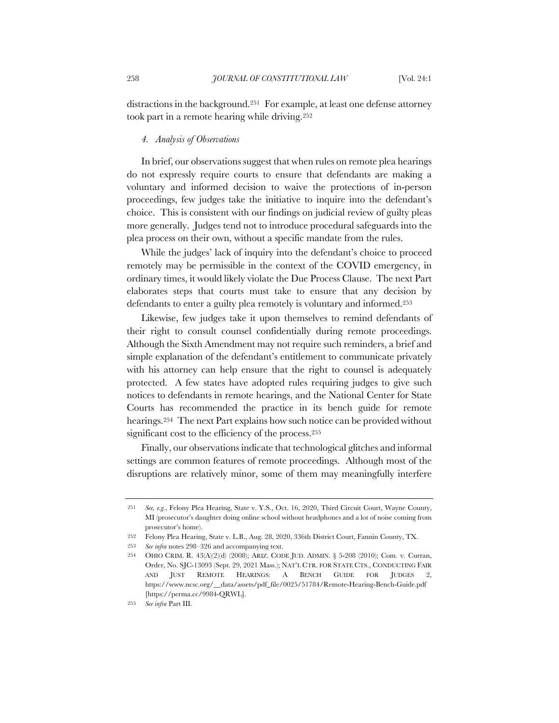distractions in the background.251 For example, at least one defense attorney took part in a remote hearing while driving.252

#### *4. Analysis of Observations*

In brief, our observations suggest that when rules on remote plea hearings do not expressly require courts to ensure that defendants are making a voluntary and informed decision to waive the protections of in-person proceedings, few judges take the initiative to inquire into the defendant's choice. This is consistent with our findings on judicial review of guilty pleas more generally. Judges tend not to introduce procedural safeguards into the plea process on their own, without a specific mandate from the rules.

While the judges' lack of inquiry into the defendant's choice to proceed remotely may be permissible in the context of the COVID emergency, in ordinary times, it would likely violate the Due Process Clause. The next Part elaborates steps that courts must take to ensure that any decision by defendants to enter a guilty plea remotely is voluntary and informed.253

Likewise, few judges take it upon themselves to remind defendants of their right to consult counsel confidentially during remote proceedings. Although the Sixth Amendment may not require such reminders, a brief and simple explanation of the defendant's entitlement to communicate privately with his attorney can help ensure that the right to counsel is adequately protected. A few states have adopted rules requiring judges to give such notices to defendants in remote hearings, and the National Center for State Courts has recommended the practice in its bench guide for remote hearings.254 The next Part explains how such notice can be provided without significant cost to the efficiency of the process.<sup>255</sup>

Finally, our observations indicate that technological glitches and informal settings are common features of remote proceedings. Although most of the disruptions are relatively minor, some of them may meaningfully interfere

<sup>251</sup> *See, e.g.*, Felony Plea Hearing, State v. Y.S., Oct. 16, 2020, Third Circuit Court, Wayne County, MI (prosecutor's daughter doing online school without headphones and a lot of noise coming from prosecutor's home).

<sup>252</sup> Felony Plea Hearing, State v. L.B., Aug. 28, 2020, 336th District Court, Fannin County, TX.

<sup>253</sup> *See infra* notes 298–326 and accompanying text.

<sup>254</sup> OHIO CRIM. R. 43(A)(2)(d) (2008); ARIZ. CODE JUD. ADMIN. § 5-208 (2010); Com. v. Curran, Order, No. SJC-13093 (Sept. 29, 2021 Mass.); NAT'L CTR. FOR STATE CTS., CONDUCTING FAIR AND JUST REMOTE HEARINGS: A BENCH GUIDE FOR JUDGES 2, https://www.ncsc.org/\_\_data/assets/pdf\_file/0025/51784/Remote-Hearing-Bench-Guide.pdf [https://perma.cc/9984-QRWL].

<sup>255</sup> *See infra* Part III.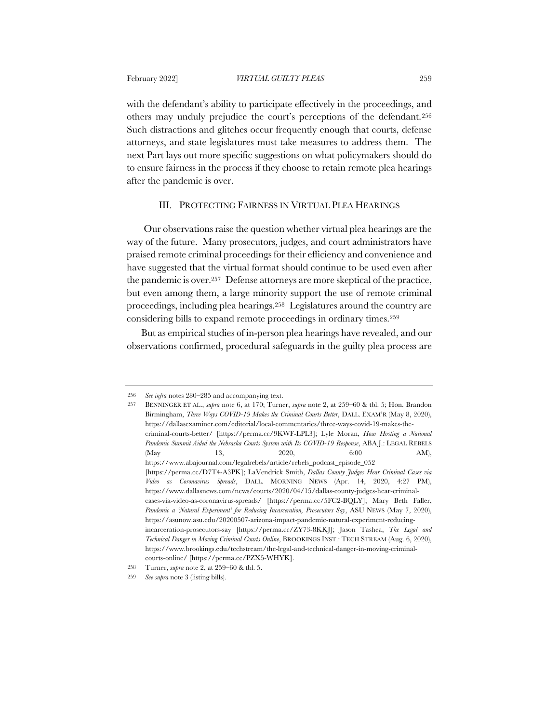after the pandemic is over.

with the defendant's ability to participate effectively in the proceedings, and others may unduly prejudice the court's perceptions of the defendant.256 Such distractions and glitches occur frequently enough that courts, defense attorneys, and state legislatures must take measures to address them. The next Part lays out more specific suggestions on what policymakers should do to ensure fairness in the process if they choose to retain remote plea hearings

#### III. PROTECTING FAIRNESS IN VIRTUAL PLEA HEARINGS

Our observations raise the question whether virtual plea hearings are the way of the future. Many prosecutors, judges, and court administrators have praised remote criminal proceedings for their efficiency and convenience and have suggested that the virtual format should continue to be used even after the pandemic is over.257 Defense attorneys are more skeptical of the practice, but even among them, a large minority support the use of remote criminal proceedings, including plea hearings.258 Legislatures around the country are considering bills to expand remote proceedings in ordinary times.259

But as empirical studies of in-person plea hearings have revealed, and our observations confirmed, procedural safeguards in the guilty plea process are

<sup>256</sup> *See infra* notes 280–285 and accompanying text.

<sup>257</sup> BENNINGER ET AL., *supra* note 6, at 170; Turner, *supra* note 2, at 259–60 & tbl. 5; Hon. Brandon Birmingham, *Three Ways COVID-19 Makes the Criminal Courts Better*, DALL. EXAM'R (May 8, 2020), https://dallasexaminer.com/editorial/local-commentaries/three-ways-covid-19-makes-thecriminal-courts-better/ [https://perma.cc/9KWF-LPL3]; Lyle Moran, *How Hosting a National Pandemic Summit Aided the Nebraska Courts System with Its COVID-19 Response*, ABA J.: LEGAL REBELS (May 13, 2020, 6:00 AM), https://www.abajournal.com/legalrebels/article/rebels\_podcast\_episode\_052 [https://perma.cc/D7T4-A3PK]; LaVendrick Smith, *Dallas County Judges Hear Criminal Cases via Video as Coronavirus Spreads*, DALL. MORNING NEWS (Apr. 14, 2020, 4:27 PM), https://www.dallasnews.com/news/courts/2020/04/15/dallas-county-judges-hear-criminalcases-via-video-as-coronavirus-spreads/ [https://perma.cc/5FC2-BQLY]; Mary Beth Faller, *Pandemic a 'Natural Experiment' for Reducing Incarceration, Prosecutors Say*, ASU NEWS (May 7, 2020), https://asunow.asu.edu/20200507-arizona-impact-pandemic-natural-experiment-reducingincarceration-prosecutors-say [https://perma.cc/ZY73-8KKJ]; Jason Tashea, *The Legal and Technical Danger in Moving Criminal Courts Online*, BROOKINGS INST.: TECH STREAM (Aug. 6, 2020), https://www.brookings.edu/techstream/the-legal-and-technical-danger-in-moving-criminalcourts-online/ [https://perma.cc/PZX5-WHYK].

<sup>258</sup> Turner, *supra* note 2, at 259–60 & tbl. 5.

<sup>259</sup> *See supra* note 3 (listing bills).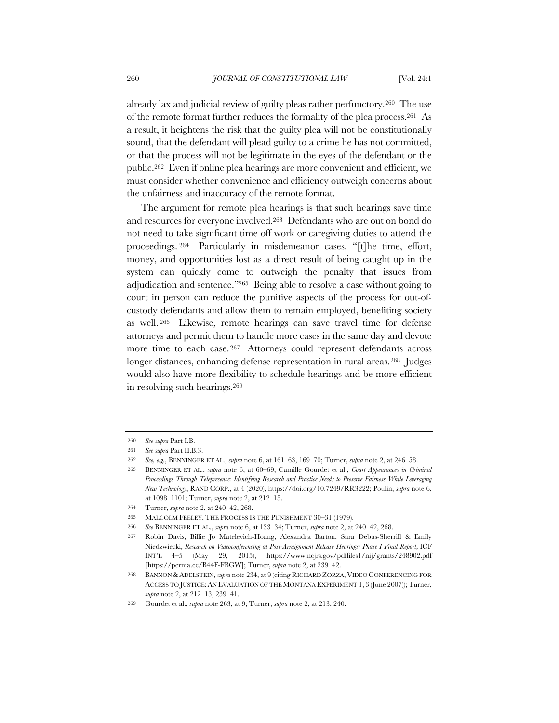already lax and judicial review of guilty pleas rather perfunctory.260 The use of the remote format further reduces the formality of the plea process.261 As a result, it heightens the risk that the guilty plea will not be constitutionally sound, that the defendant will plead guilty to a crime he has not committed, or that the process will not be legitimate in the eyes of the defendant or the public.262 Even if online plea hearings are more convenient and efficient, we must consider whether convenience and efficiency outweigh concerns about the unfairness and inaccuracy of the remote format.

The argument for remote plea hearings is that such hearings save time and resources for everyone involved.263 Defendants who are out on bond do not need to take significant time off work or caregiving duties to attend the proceedings. <sup>264</sup> Particularly in misdemeanor cases, "[t]he time, effort, money, and opportunities lost as a direct result of being caught up in the system can quickly come to outweigh the penalty that issues from adjudication and sentence."265 Being able to resolve a case without going to court in person can reduce the punitive aspects of the process for out-ofcustody defendants and allow them to remain employed, benefiting society as well. <sup>266</sup> Likewise, remote hearings can save travel time for defense attorneys and permit them to handle more cases in the same day and devote more time to each case. <sup>267</sup> Attorneys could represent defendants across longer distances, enhancing defense representation in rural areas.<sup>268</sup> Judges would also have more flexibility to schedule hearings and be more efficient in resolving such hearings.269

<sup>260</sup> *See supra* Part I.B.

<sup>261</sup> *See supra* Part II.B.3.

<sup>262</sup> *See, e.g.*, BENNINGER ET AL., *supra* note 6, at 161–63, 169–70; Turner, *supra* note 2, at 246–58.

<sup>263</sup> BENNINGER ET AL., *supra* note 6, at 60–69; Camille Gourdet et al., *Court Appearances in Criminal Proceedings Through Telepresence: Identifying Research and Practice Needs to Preserve Fairness While Leveraging New Technology*, RAND CORP., at 4 (2020), https://doi.org/10.7249/RR3222; Poulin, *supra* note 6, at 1098–1101; Turner, *supra* note 2, at 212–15.

<sup>264</sup> Turner, *supra* note 2, at 240–42, 268.

<sup>265</sup> MALCOLM FEELEY, THE PROCESS IS THE PUNISHMENT 30–31 (1979).

<sup>266</sup> *See* BENNINGER ET AL., *supra* note 6, at 133–34; Turner, *supra* note 2, at 240–42, 268.

<sup>267</sup> Robin Davis, Billie Jo Matelevich-Hoang, Alexandra Barton, Sara Debus-Sherrill & Emily Niedzwiecki, *Research on Videoconferencing at Post-Arraignment Release Hearings: Phase I Final Report*, ICF INT'L 4–5 (May 29, 2015), https://www.ncjrs.gov/pdffiles1/nij/grants/248902.pdf [https://perma.cc/B44F-FBGW]; Turner, *supra* note 2, at 239–42.

<sup>268</sup> BANNON &ADELSTEIN, *supra* note 234, at 9 (citing RICHARD ZORZA, VIDEO CONFERENCING FOR ACCESS TO JUSTICE:AN EVALUATION OF THE MONTANA EXPERIMENT 1, 3 (June 2007)); Turner, *supra* note 2, at 212–13, 239–41.

<sup>269</sup> Gourdet et al., *supra* note 263, at 9; Turner, *supra* note 2, at 213, 240.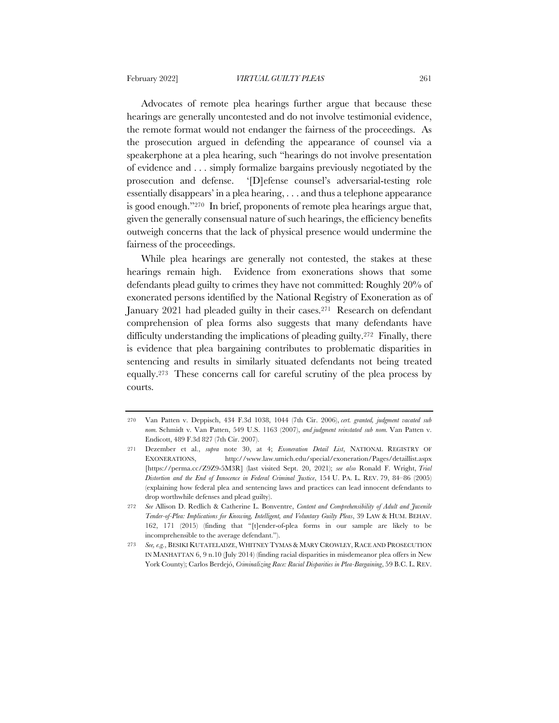Advocates of remote plea hearings further argue that because these hearings are generally uncontested and do not involve testimonial evidence, the remote format would not endanger the fairness of the proceedings. As the prosecution argued in defending the appearance of counsel via a speakerphone at a plea hearing, such "hearings do not involve presentation of evidence and . . . simply formalize bargains previously negotiated by the prosecution and defense. '[D]efense counsel's adversarial-testing role essentially disappears' in a plea hearing, . . . and thus a telephone appearance is good enough."270 In brief, proponents of remote plea hearings argue that, given the generally consensual nature of such hearings, the efficiency benefits outweigh concerns that the lack of physical presence would undermine the fairness of the proceedings.

While plea hearings are generally not contested, the stakes at these hearings remain high. Evidence from exonerations shows that some defendants plead guilty to crimes they have not committed: Roughly 20% of exonerated persons identified by the National Registry of Exoneration as of January 2021 had pleaded guilty in their cases.271 Research on defendant comprehension of plea forms also suggests that many defendants have difficulty understanding the implications of pleading guilty.<sup>272</sup> Finally, there is evidence that plea bargaining contributes to problematic disparities in sentencing and results in similarly situated defendants not being treated equally.273 These concerns call for careful scrutiny of the plea process by courts.

<sup>270</sup> Van Patten v. Deppisch, 434 F.3d 1038, 1044 (7th Cir. 2006), *cert. granted, judgment vacated sub nom.* Schmidt v. Van Patten, 549 U.S. 1163 (2007), *and judgment reinstated sub nom.* Van Patten v. Endicott, 489 F.3d 827 (7th Cir. 2007).

<sup>271</sup> Dezember et al., *supra* note 30, at 4; *Exoneration Detail List*, NATIONAL REGISTRY OF EXONERATIONS, http://www.law.umich.edu/special/exoneration/Pages/detaillist.aspx [https://perma.cc/Z9Z9-5M3R] (last visited Sept. 20, 2021); *see also* Ronald F. Wright, *Trial Distortion and the End of Innocence in Federal Criminal Justice*, 154 U. PA. L. REV. 79, 84–86 (2005) (explaining how federal plea and sentencing laws and practices can lead innocent defendants to drop worthwhile defenses and plead guilty).

<sup>272</sup> *See* Allison D. Redlich & Catherine L. Bonventre, *Content and Comprehensibility of Adult and Juvenile Tender-of-Plea: Implications for Knowing, Intelligent, and Voluntary Guilty Pleas*, 39 LAW & HUM. BEHAV. 162, 171 (2015) (finding that "[t]ender-of-plea forms in our sample are likely to be incomprehensible to the average defendant.").

<sup>273</sup> *See, e.g.*, BESIKI KUTATELADZE, WHITNEY TYMAS & MARY CROWLEY, RACE AND PROSECUTION IN MANHATTAN 6, 9 n.10 (July 2014) (finding racial disparities in misdemeanor plea offers in New York County); Carlos Berdejó, *Criminalizing Race: Racial Disparities in Plea-Bargaining*, 59 B.C. L. REV.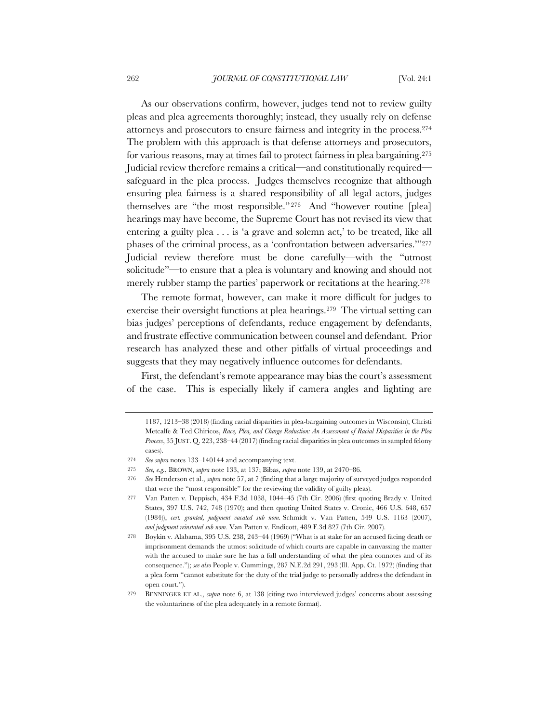As our observations confirm, however, judges tend not to review guilty pleas and plea agreements thoroughly; instead, they usually rely on defense attorneys and prosecutors to ensure fairness and integrity in the process.274 The problem with this approach is that defense attorneys and prosecutors, for various reasons, may at times fail to protect fairness in plea bargaining.275 Judicial review therefore remains a critical—and constitutionally required safeguard in the plea process. Judges themselves recognize that although ensuring plea fairness is a shared responsibility of all legal actors, judges themselves are "the most responsible." <sup>276</sup> And "however routine [plea] hearings may have become, the Supreme Court has not revised its view that entering a guilty plea . . . is 'a grave and solemn act,' to be treated, like all phases of the criminal process, as a 'confrontation between adversaries.""277 Judicial review therefore must be done carefully—with the "utmost solicitude"—to ensure that a plea is voluntary and knowing and should not merely rubber stamp the parties' paperwork or recitations at the hearing.278

The remote format, however, can make it more difficult for judges to exercise their oversight functions at plea hearings.279 The virtual setting can bias judges' perceptions of defendants, reduce engagement by defendants, and frustrate effective communication between counsel and defendant. Prior research has analyzed these and other pitfalls of virtual proceedings and suggests that they may negatively influence outcomes for defendants.

First, the defendant's remote appearance may bias the court's assessment of the case. This is especially likely if camera angles and lighting are

<sup>1187, 1213–38 (2018) (</sup>finding racial disparities in plea-bargaining outcomes in Wisconsin); Christi Metcalfe & Ted Chiricos, *Race, Plea, and Charge Reduction: An Assessment of Racial Disparities in the Plea Process*, 35 JUST. Q. 223, 238–44 (2017) (finding racial disparities in plea outcomes in sampled felony cases).

<sup>274</sup> *See supra* notes 133–140144 and accompanying text.

<sup>275</sup> *See, e.g.*, BROWN, *supra* note 133, at 137; Bibas, *supra* note 139, at 2470–86.

<sup>276</sup> *See* Henderson et al., *supra* note 57, at 7 (finding that a large majority of surveyed judges responded that were the "most responsible" for the reviewing the validity of guilty pleas).

<sup>277</sup> Van Patten v. Deppisch, 434 F.3d 1038, 1044–45 (7th Cir. 2006) (first quoting Brady v. United States, 397 U.S. 742, 748 (1970); and then quoting United States v. Cronic, 466 U.S. 648, 657 (1984)), *cert. granted, judgment vacated sub nom.* Schmidt v. Van Patten, 549 U.S. 1163 (2007), *and judgment reinstated sub nom.* Van Patten v. Endicott, 489 F.3d 827 (7th Cir. 2007).

<sup>278</sup> Boykin v. Alabama, 395 U.S. 238, 243–44 (1969) ("What is at stake for an accused facing death or imprisonment demands the utmost solicitude of which courts are capable in canvassing the matter with the accused to make sure he has a full understanding of what the plea connotes and of its consequence."); *see also* People v. Cummings, 287 N.E.2d 291, 293 (Ill. App. Ct. 1972) (finding that a plea form "cannot substitute for the duty of the trial judge to personally address the defendant in open court.").

<sup>279</sup> BENNINGER ET AL., *supra* note 6, at 138 (citing two interviewed judges' concerns about assessing the voluntariness of the plea adequately in a remote format).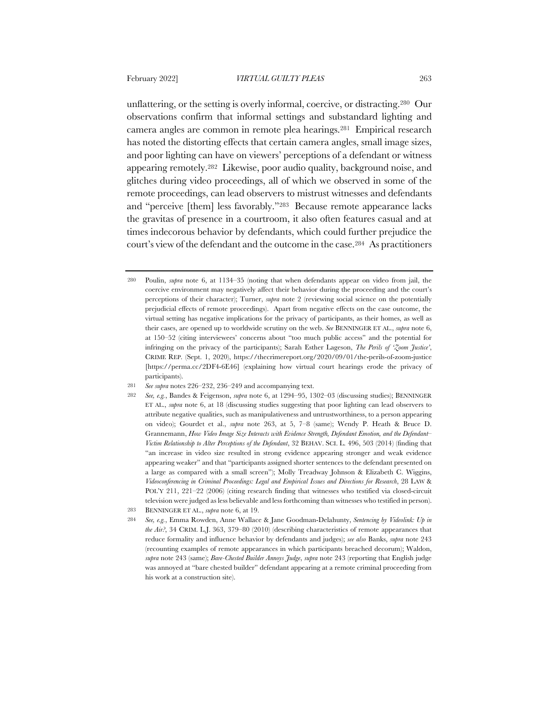unflattering, or the setting is overly informal, coercive, or distracting.280 Our observations confirm that informal settings and substandard lighting and camera angles are common in remote plea hearings.281 Empirical research has noted the distorting effects that certain camera angles, small image sizes, and poor lighting can have on viewers' perceptions of a defendant or witness appearing remotely.282 Likewise, poor audio quality, background noise, and glitches during video proceedings, all of which we observed in some of the remote proceedings, can lead observers to mistrust witnesses and defendants and "perceive [them] less favorably."283 Because remote appearance lacks the gravitas of presence in a courtroom, it also often features casual and at times indecorous behavior by defendants, which could further prejudice the court's view of the defendant and the outcome in the case.284 As practitioners

his work at a construction site).

<sup>280</sup> Poulin, *supra* note 6, at 1134–35 (noting that when defendants appear on video from jail, the coercive environment may negatively affect their behavior during the proceeding and the court's perceptions of their character); Turner, *supra* note 2 (reviewing social science on the potentially prejudicial effects of remote proceedings). Apart from negative effects on the case outcome, the virtual setting has negative implications for the privacy of participants, as their homes, as well as their cases, are opened up to worldwide scrutiny on the web. *See* BENNINGER ET AL., *supra* note 6, at 150–52 (citing interviewees' concerns about "too much public access" and the potential for infringing on the privacy of the participants); Sarah Esther Lageson, *The Perils of 'Zoom Justice'*, CRIME REP. (Sept. 1, 2020), https://thecrimereport.org/2020/09/01/the-perils-of-zoom-justice [https://perma.cc/2DF4-6E46] (explaining how virtual court hearings erode the privacy of participants).

<sup>281</sup> *See supra* notes 226–232, 236–249 and accompanying text.

<sup>282</sup> *See, e.g.*, Bandes & Feigenson, *supra* note 6, at 1294–95, 1302–03 (discussing studies); BENNINGER ET AL., *supra* note 6, at 18 (discussing studies suggesting that poor lighting can lead observers to attribute negative qualities, such as manipulativeness and untrustworthiness, to a person appearing on video); Gourdet et al., *supra* note 263, at 5, 7–8 (same); Wendy P. Heath & Bruce D. Grannemann, *How Video Image Size Interacts with Evidence Strength, Defendant Emotion, and the Defendant– Victim Relationship to Alter Perceptions of the Defendant*, 32 BEHAV. SCI. L. 496, 503 (2014) (finding that "an increase in video size resulted in strong evidence appearing stronger and weak evidence appearing weaker" and that "participants assigned shorter sentences to the defendant presented on a large as compared with a small screen"); Molly Treadway Johnson & Elizabeth C. Wiggins, *Videoconferencing in Criminal Proceedings: Legal and Empirical Issues and Directions for Research*, 28 LAW & POL'Y 211, 221–22 (2006) (citing research finding that witnesses who testified via closed-circuit television were judged as less believable and less forthcoming than witnesses who testified in person). 283 BENNINGER ET AL., *supra* note 6, at 19.

<sup>284</sup> *See, e.g.*, Emma Rowden, Anne Wallace & Jane Goodman-Delahunty, *Sentencing by Videolink: Up in the Air?*, 34 CRIM. L.J. 363, 379–80 (2010) (describing characteristics of remote appearances that reduce formality and influence behavior by defendants and judges); *see also* Banks, *supra* note 243 (recounting examples of remote appearances in which participants breached decorum); Waldon, *supra* note 243 (same); *Bare-Chested Builder Annoys Judge*, *supra* note 243 (reporting that English judge was annoyed at "bare chested builder" defendant appearing at a remote criminal proceeding from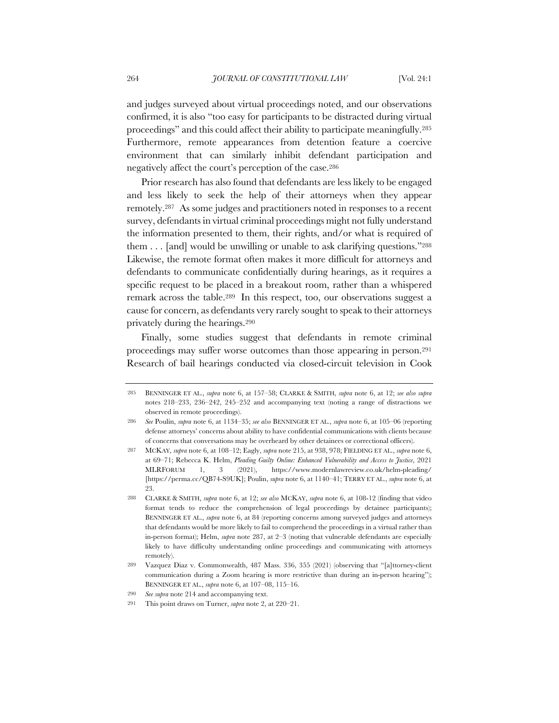and judges surveyed about virtual proceedings noted, and our observations confirmed, it is also "too easy for participants to be distracted during virtual proceedings" and this could affect their ability to participate meaningfully.285 Furthermore, remote appearances from detention feature a coercive environment that can similarly inhibit defendant participation and negatively affect the court's perception of the case.286

Prior research has also found that defendants are less likely to be engaged and less likely to seek the help of their attorneys when they appear remotely.287 As some judges and practitioners noted in responses to a recent survey, defendants in virtual criminal proceedings might not fully understand the information presented to them, their rights, and/or what is required of them . . . [and] would be unwilling or unable to ask clarifying questions."288 Likewise, the remote format often makes it more difficult for attorneys and defendants to communicate confidentially during hearings, as it requires a specific request to be placed in a breakout room, rather than a whispered remark across the table.289 In this respect, too, our observations suggest a cause for concern, as defendants very rarely sought to speak to their attorneys privately during the hearings.290

Finally, some studies suggest that defendants in remote criminal proceedings may suffer worse outcomes than those appearing in person.291 Research of bail hearings conducted via closed-circuit television in Cook

<sup>285</sup> BENNINGER ET AL., *supra* note 6, at 157–58; CLARKE & SMITH, *supra* note 6, at 12; *see also supra* notes 218–233, 236–242, 245–252 and accompanying text (noting a range of distractions we observed in remote proceedings).

<sup>286</sup> *See* Poulin, *supra* note 6, at 1134–35; *see also* BENNINGER ET AL., *supra* note 6, at 105–06 (reporting defense attorneys' concerns about ability to have confidential communications with clients because of concerns that conversations may be overheard by other detainees or correctional officers).

<sup>287</sup> MCKAY*, supra* note 6, at 108–12; Eagly, *supra* note 215, at 938, 978; FIELDING ET AL., *supra* note 6, at 69–71; Rebecca K. Helm, *Pleading Guilty Online: Enhanced Vulnerability and Access to Justice*, 2021 MLRFORUM 1, 3 (2021), https://www.modernlawreview.co.uk/helm-pleading/ [https://perma.cc/QB74-S9UK]; Poulin, *supra* note 6, at 1140–41; TERRY ET AL., *supra* note 6, at 23.

<sup>288</sup> CLARKE & SMITH, *supra* note 6, at 12; *see also* MCKAY, *supra* note 6, at 108-12 (finding that video format tends to reduce the comprehension of legal proceedings by detainee participants); BENNINGER ET AL., *supra* note 6, at 84 (reporting concerns among surveyed judges and attorneys that defendants would be more likely to fail to comprehend the proceedings in a virtual rather than in-person format); Helm, *supra* note 287, at 2–3 (noting that vulnerable defendants are especially likely to have difficulty understanding online proceedings and communicating with attorneys remotely).

<sup>289</sup> Vazquez Diaz v. Commonwealth, 487 Mass. 336, 355 (2021) (observing that "[a]ttorney-client communication during a Zoom hearing is more restrictive than during an in-person hearing"); BENNINGER ET AL., *supra* note 6, at 107–08, 115–16.

<sup>290</sup> *See supra* note 214 and accompanying text.

<sup>291</sup> This point draws on Turner, *supra* note 2, at 220–21.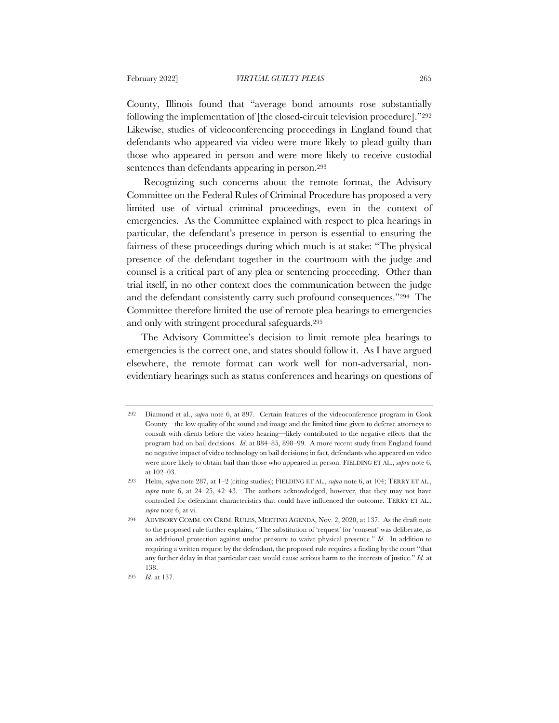County, Illinois found that "average bond amounts rose substantially following the implementation of [the closed-circuit television procedure]."292 Likewise, studies of videoconferencing proceedings in England found that defendants who appeared via video were more likely to plead guilty than those who appeared in person and were more likely to receive custodial sentences than defendants appearing in person.293

Recognizing such concerns about the remote format, the Advisory Committee on the Federal Rules of Criminal Procedure has proposed a very limited use of virtual criminal proceedings, even in the context of emergencies. As the Committee explained with respect to plea hearings in particular, the defendant's presence in person is essential to ensuring the fairness of these proceedings during which much is at stake: "The physical presence of the defendant together in the courtroom with the judge and counsel is a critical part of any plea or sentencing proceeding. Other than trial itself, in no other context does the communication between the judge and the defendant consistently carry such profound consequences."294 The Committee therefore limited the use of remote plea hearings to emergencies and only with stringent procedural safeguards.295

The Advisory Committee's decision to limit remote plea hearings to emergencies is the correct one, and states should follow it. As I have argued elsewhere, the remote format can work well for non-adversarial, nonevidentiary hearings such as status conferences and hearings on questions of

<sup>292</sup> Diamond et al., *supra* note 6, at 897. Certain features of the videoconference program in Cook County—the low quality of the sound and image and the limited time given to defense attorneys to consult with clients before the video hearing—likely contributed to the negative effects that the program had on bail decisions. *Id*. at 884–85, 898–99. A more recent study from England found no negative impact of video technology on bail decisions; in fact, defendants who appeared on video were more likely to obtain bail than those who appeared in person. FIELDING ET AL., *supra* note 6, at 102–03.

<sup>293</sup> Helm, *supra* note 287, at 1–2 (citing studies); FIELDING ET AL., *supra* note 6, at 104; TERRY ET AL., *supra* note 6, at 24–25, 42–43. The authors acknowledged, however, that they may not have controlled for defendant characteristics that could have influenced the outcome. TERRY ET AL., *supra* note 6, at vi.

<sup>294</sup> ADVISORY COMM. ON CRIM. RULES, MEETING AGENDA, Nov. 2, 2020, at 137. As the draft note to the proposed rule further explains, "The substitution of 'request' for 'consent' was deliberate, as an additional protection against undue pressure to waive physical presence." *Id*. In addition to requiring a written request by the defendant, the proposed rule requires a finding by the court "that any further delay in that particular case would cause serious harm to the interests of justice." *Id.* at 138.

<sup>295</sup> *Id.* at 137.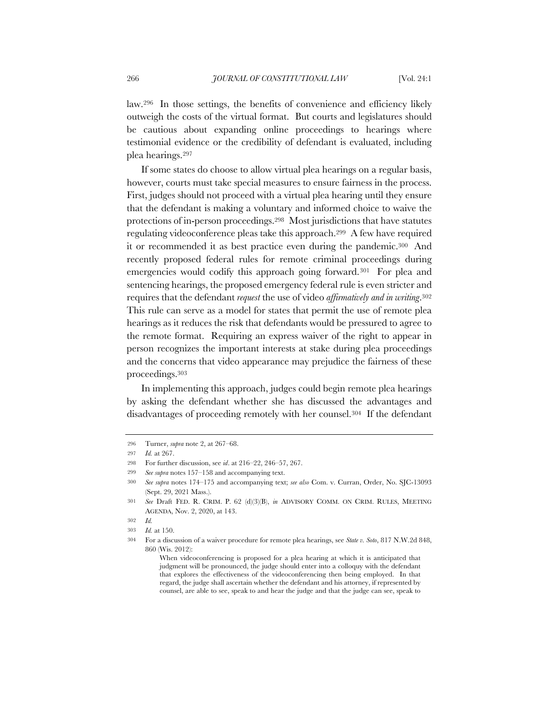law.296 In those settings, the benefits of convenience and efficiency likely outweigh the costs of the virtual format. But courts and legislatures should be cautious about expanding online proceedings to hearings where testimonial evidence or the credibility of defendant is evaluated, including plea hearings.297

If some states do choose to allow virtual plea hearings on a regular basis, however, courts must take special measures to ensure fairness in the process. First, judges should not proceed with a virtual plea hearing until they ensure that the defendant is making a voluntary and informed choice to waive the protections of in-person proceedings.298 Most jurisdictions that have statutes regulating videoconference pleas take this approach.299 A few have required it or recommended it as best practice even during the pandemic.300 And recently proposed federal rules for remote criminal proceedings during emergencies would codify this approach going forward.301 For plea and sentencing hearings, the proposed emergency federal rule is even stricter and requires that the defendant *request* the use of video *affirmatively and in writing*.302 This rule can serve as a model for states that permit the use of remote plea hearings as it reduces the risk that defendants would be pressured to agree to the remote format. Requiring an express waiver of the right to appear in person recognizes the important interests at stake during plea proceedings and the concerns that video appearance may prejudice the fairness of these proceedings.303

In implementing this approach, judges could begin remote plea hearings by asking the defendant whether she has discussed the advantages and disadvantages of proceeding remotely with her counsel.304 If the defendant

302 *Id.*

<sup>296</sup> Turner, *supra* note 2, at 267–68.

<sup>297</sup> *Id.* at 267.

<sup>298</sup> For further discussion, see *id*. at 216–22, 246–57, 267.

<sup>299</sup> *See supra* notes 157–158 and accompanying text.

<sup>300</sup> *See supra* notes 174–175 and accompanying text; *see also* Com. v. Curran, Order, No. SJC-13093 (Sept. 29, 2021 Mass.).

<sup>301</sup> *See* Draft FED. R. CRIM. P. 62 (d)(3)(B), *in* ADVISORY COMM. ON CRIM. RULES, MEETING AGENDA, Nov. 2, 2020, at 143.

<sup>303</sup> *Id.* at 150.

<sup>304</sup> For a discussion of a waiver procedure for remote plea hearings, see *State v. Soto*, 817 N.W.2d 848, 860 (Wis. 2012):

When videoconferencing is proposed for a plea hearing at which it is anticipated that judgment will be pronounced, the judge should enter into a colloquy with the defendant that explores the effectiveness of the videoconferencing then being employed. In that regard, the judge shall ascertain whether the defendant and his attorney, if represented by counsel, are able to see, speak to and hear the judge and that the judge can see, speak to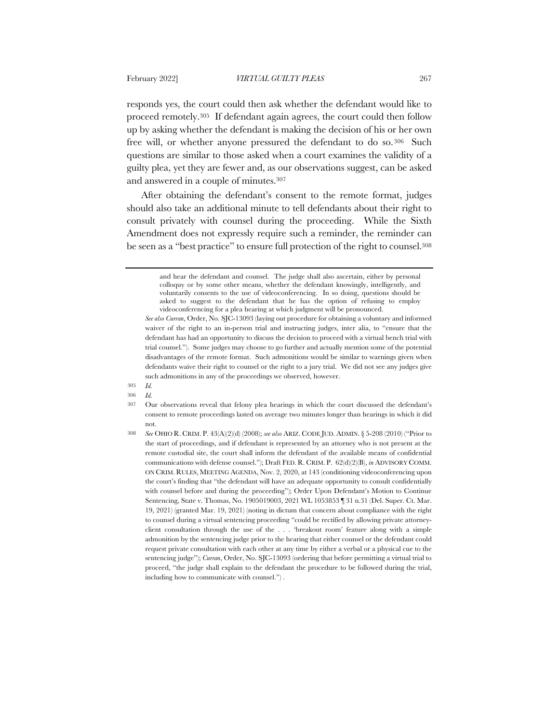responds yes, the court could then ask whether the defendant would like to proceed remotely.305 If defendant again agrees, the court could then follow up by asking whether the defendant is making the decision of his or her own free will, or whether anyone pressured the defendant to do so.306 Such questions are similar to those asked when a court examines the validity of a guilty plea, yet they are fewer and, as our observations suggest, can be asked and answered in a couple of minutes.307

After obtaining the defendant's consent to the remote format, judges should also take an additional minute to tell defendants about their right to consult privately with counsel during the proceeding. While the Sixth Amendment does not expressly require such a reminder, the reminder can be seen as a "best practice" to ensure full protection of the right to counsel.308

- 305 *Id.*
- 306 *Id.*

and hear the defendant and counsel. The judge shall also ascertain, either by personal colloquy or by some other means, whether the defendant knowingly, intelligently, and voluntarily consents to the use of videoconferencing. In so doing, questions should be asked to suggest to the defendant that he has the option of refusing to employ videoconferencing for a plea hearing at which judgment will be pronounced.

*See also Curran*, Order, No. SJC-13093 (laying out procedure for obtaining a voluntary and informed waiver of the right to an in-person trial and instructing judges, inter alia, to "ensure that the defendant has had an opportunity to discuss the decision to proceed with a virtual bench trial with trial counsel."). Some judges may choose to go further and actually mention some of the potential disadvantages of the remote format. Such admonitions would be similar to warnings given when defendants waive their right to counsel or the right to a jury trial. We did not see any judges give such admonitions in any of the proceedings we observed, however.

<sup>307</sup> Our observations reveal that felony plea hearings in which the court discussed the defendant's consent to remote proceedings lasted on average two minutes longer than hearings in which it did not.

<sup>308</sup> *See* OHIO R. CRIM. P. 43(A)(2)(d) (2008); *see also* ARIZ. CODE JUD. ADMIN. § 5-208 (2010) ("Prior to the start of proceedings, and if defendant is represented by an attorney who is not present at the remote custodial site, the court shall inform the defendant of the available means of confidential communications with defense counsel."); Draft FED. R. CRIM. P. 62(d)(2)(B), *in* ADVISORY COMM. ON CRIM. RULES, MEETING AGENDA, Nov. 2, 2020, at 143 (conditioning videoconferencing upon the court's finding that "the defendant will have an adequate opportunity to consult confidentially with counsel before and during the proceeding"); Order Upon Defendant's Motion to Continue Sentencing, State v. Thomas, No. 1905019003, 2021 WL 1053853 ¶ 31 n.31 (Del. Super. Ct. Mar. 19, 2021) (granted Mar. 19, 2021) (noting in dictum that concern about compliance with the right to counsel during a virtual sentencing proceeding "could be rectified by allowing private attorneyclient consultation through the use of the . . . 'breakout room' feature along with a simple admonition by the sentencing judge prior to the hearing that either counsel or the defendant could request private consultation with each other at any time by either a verbal or a physical cue to the sentencing judge"); *Curran*, Order, No. SJC-13093 (ordering that before permitting a virtual trial to proceed, "the judge shall explain to the defendant the procedure to be followed during the trial, including how to communicate with counsel.") .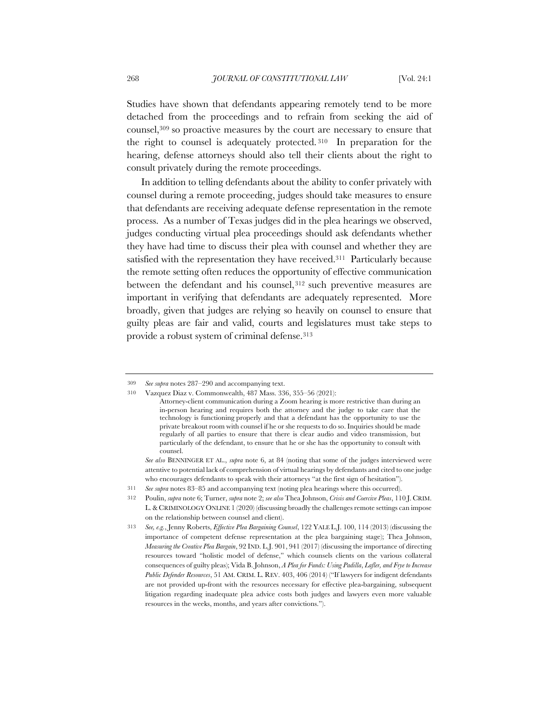Studies have shown that defendants appearing remotely tend to be more detached from the proceedings and to refrain from seeking the aid of counsel,309 so proactive measures by the court are necessary to ensure that the right to counsel is adequately protected. <sup>310</sup> In preparation for the hearing, defense attorneys should also tell their clients about the right to consult privately during the remote proceedings.

In addition to telling defendants about the ability to confer privately with counsel during a remote proceeding, judges should take measures to ensure that defendants are receiving adequate defense representation in the remote process. As a number of Texas judges did in the plea hearings we observed, judges conducting virtual plea proceedings should ask defendants whether they have had time to discuss their plea with counsel and whether they are satisfied with the representation they have received.<sup>311</sup> Particularly because the remote setting often reduces the opportunity of effective communication between the defendant and his counsel, 312 such preventive measures are important in verifying that defendants are adequately represented. More broadly, given that judges are relying so heavily on counsel to ensure that guilty pleas are fair and valid, courts and legislatures must take steps to provide a robust system of criminal defense.313

<sup>309</sup> *See supra* notes 287–290 and accompanying text.

<sup>310</sup> Vazquez Diaz v. Commonwealth, 487 Mass. 336, 355–56 (2021):

Attorney-client communication during a Zoom hearing is more restrictive than during an in-person hearing and requires both the attorney and the judge to take care that the technology is functioning properly and that a defendant has the opportunity to use the private breakout room with counsel if he or she requests to do so. Inquiries should be made regularly of all parties to ensure that there is clear audio and video transmission, but particularly of the defendant, to ensure that he or she has the opportunity to consult with counsel.

*See also* BENNINGER ET AL., *supra* note 6, at 84 (noting that some of the judges interviewed were attentive to potential lack of comprehension of virtual hearings by defendants and cited to one judge who encourages defendants to speak with their attorneys "at the first sign of hesitation").

<sup>311</sup> *See supra* notes 83–85 and accompanying text (noting plea hearings where this occurred).

<sup>312</sup> Poulin, *supra* note 6; Turner, *supra* note 2; *see also* Thea Johnson, *Crisis and Coercive Pleas*, 110 J. CRIM. L.& CRIMINOLOGY ONLINE 1 (2020) (discussing broadly the challenges remote settings can impose on the relationship between counsel and client).

<sup>313</sup> *See, e.g.*, Jenny Roberts, *Effective Plea Bargaining Counsel*, 122 YALE L.J. 100, 114 (2013) (discussing the importance of competent defense representation at the plea bargaining stage); Thea Johnson, *Measuring the Creative Plea Bargain*, 92 IND. L.J. 901, 941 (2017) (discussing the importance of directing resources toward "holistic model of defense," which counsels clients on the various collateral consequences of guilty pleas); Vida B. Johnson, *A Plea for Funds: Using Padilla*, *Lafler, and Frye to Increase Public Defender Resources*, 51 AM. CRIM. L. REV. 403, 406 (2014) ("If lawyers for indigent defendants are not provided up-front with the resources necessary for effective plea-bargaining, subsequent litigation regarding inadequate plea advice costs both judges and lawyers even more valuable resources in the weeks, months, and years after convictions.").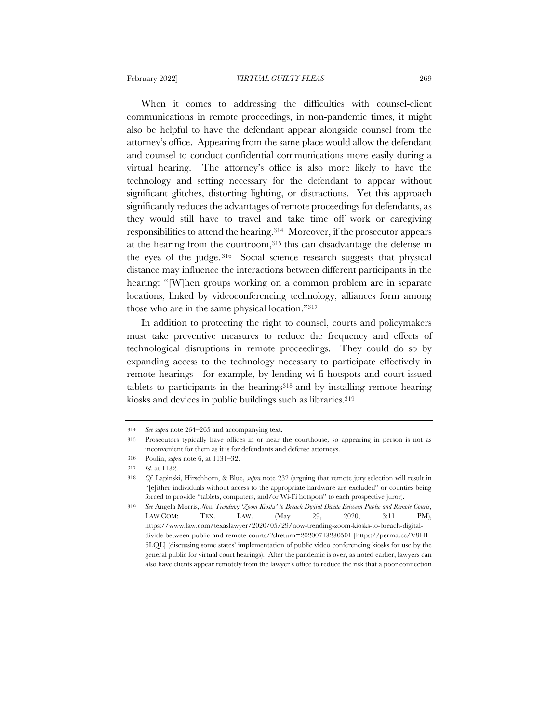When it comes to addressing the difficulties with counsel-client communications in remote proceedings, in non-pandemic times, it might also be helpful to have the defendant appear alongside counsel from the attorney's office. Appearing from the same place would allow the defendant and counsel to conduct confidential communications more easily during a virtual hearing. The attorney's office is also more likely to have the technology and setting necessary for the defendant to appear without significant glitches, distorting lighting, or distractions. Yet this approach significantly reduces the advantages of remote proceedings for defendants, as they would still have to travel and take time off work or caregiving responsibilities to attend the hearing.314 Moreover, if the prosecutor appears at the hearing from the courtroom,315 this can disadvantage the defense in the eyes of the judge. <sup>316</sup> Social science research suggests that physical distance may influence the interactions between different participants in the hearing: "[W]hen groups working on a common problem are in separate locations, linked by videoconferencing technology, alliances form among those who are in the same physical location."317

In addition to protecting the right to counsel, courts and policymakers must take preventive measures to reduce the frequency and effects of technological disruptions in remote proceedings. They could do so by expanding access to the technology necessary to participate effectively in remote hearings—for example, by lending wi-fi hotspots and court-issued tablets to participants in the hearings<sup>318</sup> and by installing remote hearing kiosks and devices in public buildings such as libraries.319

<sup>314</sup> *See supra* note 264–265 and accompanying text.

<sup>315</sup> Prosecutors typically have offices in or near the courthouse, so appearing in person is not as inconvenient for them as it is for defendants and defense attorneys.

<sup>316</sup> Poulin, *supra* note 6, at 1131–32.

<sup>317</sup> *Id.* at 1132.

<sup>318</sup> *Cf.* Lapinski, Hirschhorn, & Blue, *supra* note 232 (arguing that remote jury selection will result in "[e]ither individuals without access to the appropriate hardware are excluded" or counties being forced to provide "tablets, computers, and/or Wi-Fi hotspots" to each prospective juror).

<sup>319</sup> *See* Angela Morris, *Now Trending: 'Zoom Kiosks' to Breach Digital Divide Between Public and Remote Courts*, LAW.COM: TEX. LAW. (May 29, 2020, 3:11 PM), https://www.law.com/texaslawyer/2020/05/29/now-trending-zoom-kiosks-to-breach-digitaldivide-between-public-and-remote-courts/?slreturn=20200713230501 [https://perma.cc/V9HF-6LQL] (discussing some states' implementation of public video conferencing kiosks for use by the general public for virtual court hearings). After the pandemic is over, as noted earlier, lawyers can also have clients appear remotely from the lawyer's office to reduce the risk that a poor connection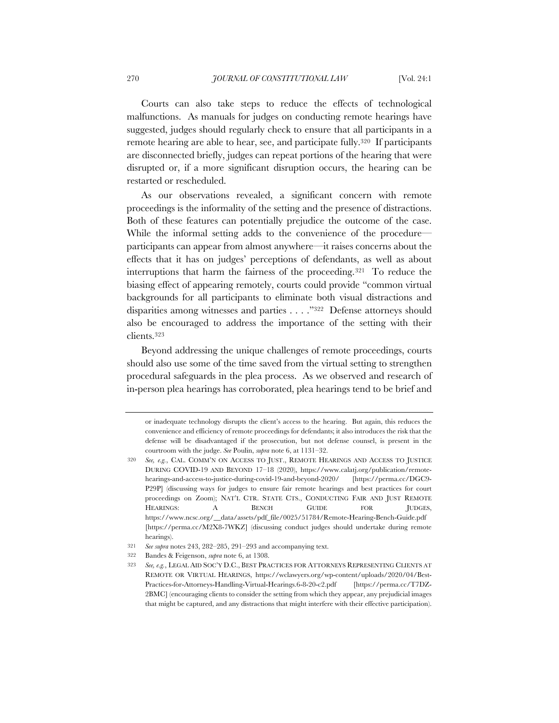Courts can also take steps to reduce the effects of technological malfunctions. As manuals for judges on conducting remote hearings have suggested, judges should regularly check to ensure that all participants in a remote hearing are able to hear, see, and participate fully.<sup>320</sup> If participants are disconnected briefly, judges can repeat portions of the hearing that were disrupted or, if a more significant disruption occurs, the hearing can be restarted or rescheduled.

As our observations revealed, a significant concern with remote proceedings is the informality of the setting and the presence of distractions. Both of these features can potentially prejudice the outcome of the case. While the informal setting adds to the convenience of the procedure participants can appear from almost anywhere—it raises concerns about the effects that it has on judges' perceptions of defendants, as well as about interruptions that harm the fairness of the proceeding.321 To reduce the biasing effect of appearing remotely, courts could provide "common virtual backgrounds for all participants to eliminate both visual distractions and disparities among witnesses and parties . . . ."322 Defense attorneys should also be encouraged to address the importance of the setting with their clients.323

Beyond addressing the unique challenges of remote proceedings, courts should also use some of the time saved from the virtual setting to strengthen procedural safeguards in the plea process. As we observed and research of in-person plea hearings has corroborated, plea hearings tend to be brief and

or inadequate technology disrupts the client's access to the hearing. But again, this reduces the convenience and efficiency of remote proceedings for defendants; it also introduces the risk that the defense will be disadvantaged if the prosecution, but not defense counsel, is present in the courtroom with the judge. *See* Poulin, *supra* note 6, at 1131–32.

<sup>320</sup> *See, e.g.*, CAL. COMM'N ON ACCESS TO JUST., REMOTE HEARINGS AND ACCESS TO JUSTICE DURING COVID-19 AND BEYOND 17–18 (2020), https://www.calatj.org/publication/remotehearings-and-access-to-justice-during-covid-19-and-beyond-2020/ [https://perma.cc/DGC9- P29P] (discussing ways for judges to ensure fair remote hearings and best practices for court proceedings on Zoom); NAT'L CTR. STATE CTS., CONDUCTING FAIR AND JUST REMOTE HEARINGS: A BENCH GUIDE FOR JUDGES, https://www.ncsc.org/\_\_data/assets/pdf\_file/0025/51784/Remote-Hearing-Bench-Guide.pdf [https://perma.cc/M2X8-7WKZ] (discussing conduct judges should undertake during remote hearings).

<sup>321</sup> *See supra* notes 243, 282–285, 291–293 and accompanying text.

<sup>322</sup> Bandes & Feigenson, *supra* note 6, at 1308.

<sup>323</sup> *See, e.g.*, LEGAL AID SOC'Y D.C., BEST PRACTICES FOR ATTORNEYS REPRESENTING CLIENTS AT REMOTE OR VIRTUAL HEARINGS, https://wclawyers.org/wp-content/uploads/2020/04/Best-Practices-for-Attorneys-Handling-Virtual-Hearings.6-8-20-c2.pdf [https://perma.cc/T7DZ-2BMC] (encouraging clients to consider the setting from which they appear, any prejudicial images that might be captured, and any distractions that might interfere with their effective participation).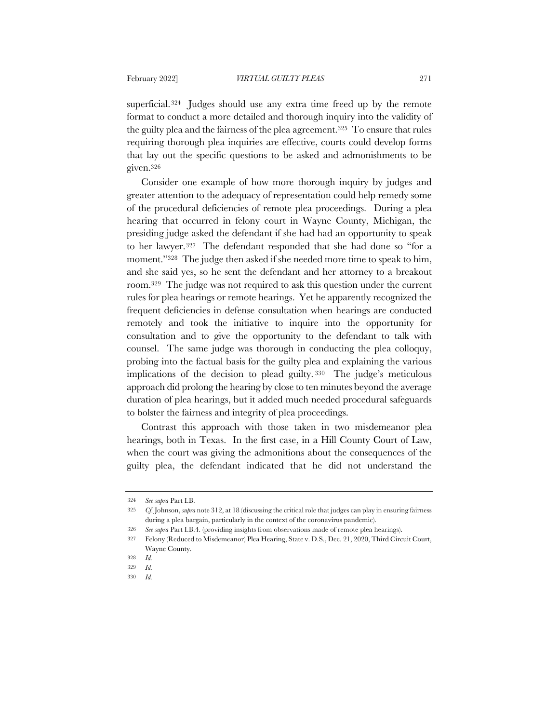superficial.324 Judges should use any extra time freed up by the remote format to conduct a more detailed and thorough inquiry into the validity of the guilty plea and the fairness of the plea agreement.325 To ensure that rules requiring thorough plea inquiries are effective, courts could develop forms that lay out the specific questions to be asked and admonishments to be given.326

Consider one example of how more thorough inquiry by judges and greater attention to the adequacy of representation could help remedy some of the procedural deficiencies of remote plea proceedings. During a plea hearing that occurred in felony court in Wayne County, Michigan, the presiding judge asked the defendant if she had had an opportunity to speak to her lawyer.327 The defendant responded that she had done so "for a moment."328 The judge then asked if she needed more time to speak to him, and she said yes, so he sent the defendant and her attorney to a breakout room.329 The judge was not required to ask this question under the current rules for plea hearings or remote hearings. Yet he apparently recognized the frequent deficiencies in defense consultation when hearings are conducted remotely and took the initiative to inquire into the opportunity for consultation and to give the opportunity to the defendant to talk with counsel. The same judge was thorough in conducting the plea colloquy, probing into the factual basis for the guilty plea and explaining the various implications of the decision to plead guilty. <sup>330</sup> The judge's meticulous approach did prolong the hearing by close to ten minutes beyond the average duration of plea hearings, but it added much needed procedural safeguards to bolster the fairness and integrity of plea proceedings.

Contrast this approach with those taken in two misdemeanor plea hearings, both in Texas. In the first case, in a Hill County Court of Law, when the court was giving the admonitions about the consequences of the guilty plea, the defendant indicated that he did not understand the

<sup>324</sup> *See supra* Part I.B.

<sup>325</sup> *Cf.* Johnson, *supra* note 312, at 18 (discussing the critical role that judges can play in ensuring fairness during a plea bargain, particularly in the context of the coronavirus pandemic).

<sup>326</sup> *See supra* Part I.B.4. (providing insights from observations made of remote plea hearings).

<sup>327</sup> Felony (Reduced to Misdemeanor) Plea Hearing, State v. D.S., Dec. 21, 2020, Third Circuit Court, Wayne County.

<sup>328</sup> *Id.*

<sup>329</sup> *Id.*

<sup>330</sup> *Id.*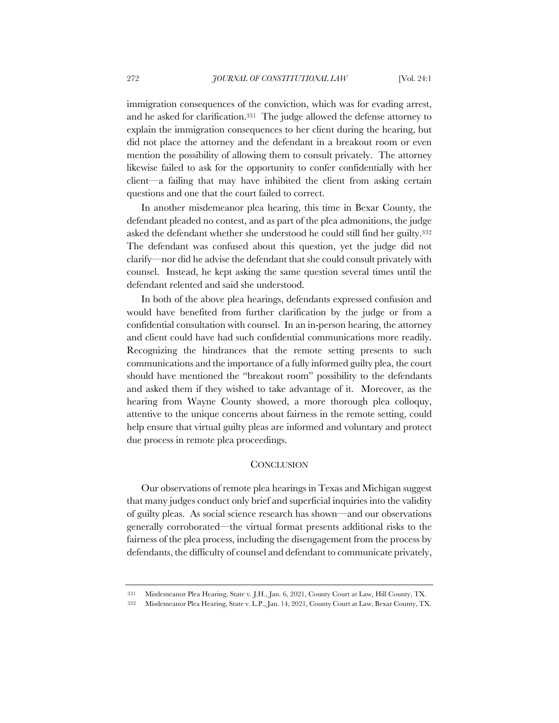immigration consequences of the conviction, which was for evading arrest, and he asked for clarification.331 The judge allowed the defense attorney to explain the immigration consequences to her client during the hearing, but did not place the attorney and the defendant in a breakout room or even mention the possibility of allowing them to consult privately. The attorney likewise failed to ask for the opportunity to confer confidentially with her client—a failing that may have inhibited the client from asking certain questions and one that the court failed to correct.

In another misdemeanor plea hearing, this time in Bexar County, the defendant pleaded no contest, and as part of the plea admonitions, the judge asked the defendant whether she understood he could still find her guilty.332 The defendant was confused about this question, yet the judge did not clarify—nor did he advise the defendant that she could consult privately with counsel. Instead, he kept asking the same question several times until the defendant relented and said she understood.

In both of the above plea hearings, defendants expressed confusion and would have benefited from further clarification by the judge or from a confidential consultation with counsel. In an in-person hearing, the attorney and client could have had such confidential communications more readily. Recognizing the hindrances that the remote setting presents to such communications and the importance of a fully informed guilty plea, the court should have mentioned the "breakout room" possibility to the defendants and asked them if they wished to take advantage of it. Moreover, as the hearing from Wayne County showed, a more thorough plea colloquy, attentive to the unique concerns about fairness in the remote setting, could help ensure that virtual guilty pleas are informed and voluntary and protect due process in remote plea proceedings.

#### **CONCLUSION**

Our observations of remote plea hearings in Texas and Michigan suggest that many judges conduct only brief and superficial inquiries into the validity of guilty pleas. As social science research has shown—and our observations generally corroborated—the virtual format presents additional risks to the fairness of the plea process, including the disengagement from the process by defendants, the difficulty of counsel and defendant to communicate privately,

<sup>331</sup> Misdemeanor Plea Hearing, State v. J.H., Jan. 6, 2021, County Court at Law, Hill County, TX.

<sup>332</sup> Misdemeanor Plea Hearing, State v. L.P., Jan. 14, 2021, County Court at Law, Bexar County, TX.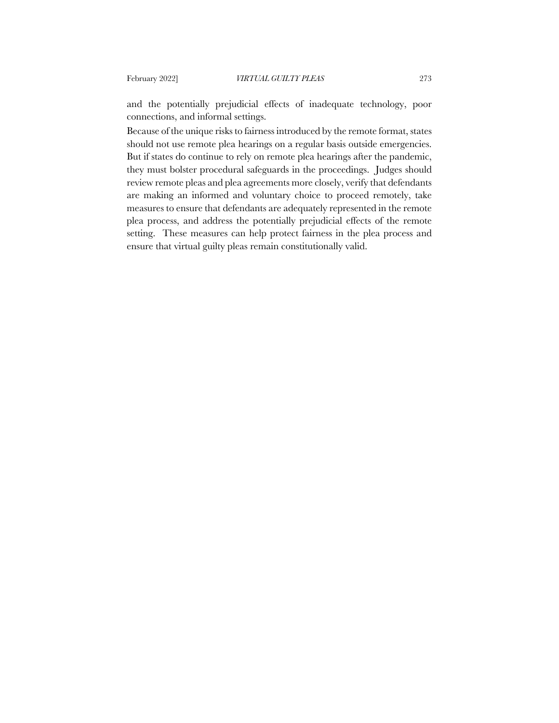and the potentially prejudicial effects of inadequate technology, poor connections, and informal settings.

Because of the unique risks to fairness introduced by the remote format, states should not use remote plea hearings on a regular basis outside emergencies. But if states do continue to rely on remote plea hearings after the pandemic, they must bolster procedural safeguards in the proceedings. Judges should review remote pleas and plea agreements more closely, verify that defendants are making an informed and voluntary choice to proceed remotely, take measures to ensure that defendants are adequately represented in the remote plea process, and address the potentially prejudicial effects of the remote setting. These measures can help protect fairness in the plea process and ensure that virtual guilty pleas remain constitutionally valid.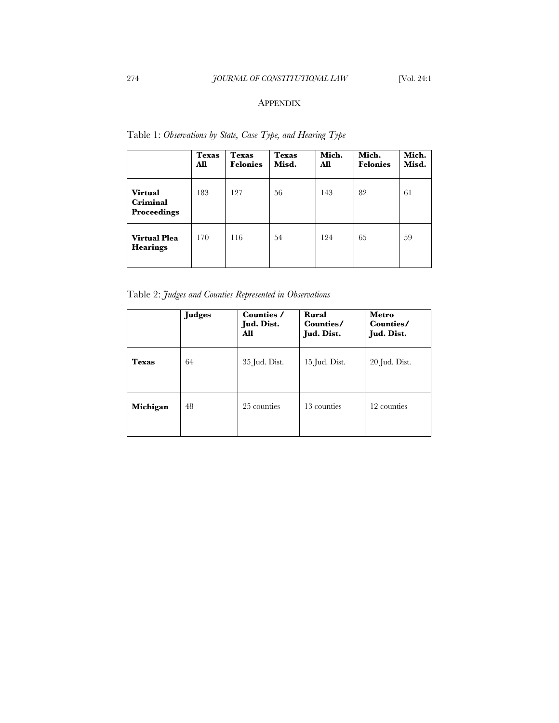# APPENDIX

|                                                  | <b>Texas</b><br>All | <b>Texas</b><br><b>Felonies</b> | <b>Texas</b><br>Misd. | Mich.<br>All | Mich.<br><b>Felonies</b> | Mich.<br>Misd. |
|--------------------------------------------------|---------------------|---------------------------------|-----------------------|--------------|--------------------------|----------------|
| <b>Virtual</b><br>Criminal<br><b>Proceedings</b> | 183                 | 127                             | 56                    | 143          | 82                       | 61             |
| <b>Virtual Plea</b><br><b>Hearings</b>           | 170                 | 116                             | 54                    | 124          | 65                       | 59             |

Table 1: *Observations by State, Case Type, and Hearing Type*

Table 2: *Judges and Counties Represented in Observations*

|              | <b>Judges</b> | Counties /<br>Jud. Dist.<br>All | Rural<br>Counties/<br>Jud. Dist. | Metro<br>Counties/<br>Jud. Dist. |
|--------------|---------------|---------------------------------|----------------------------------|----------------------------------|
| <b>Texas</b> | 64            | 35 Jud. Dist.                   | 15 Jud. Dist.                    | 20 Jud. Dist.                    |
| Michigan     | 48            | 25 counties                     | 13 counties                      | 12 counties                      |